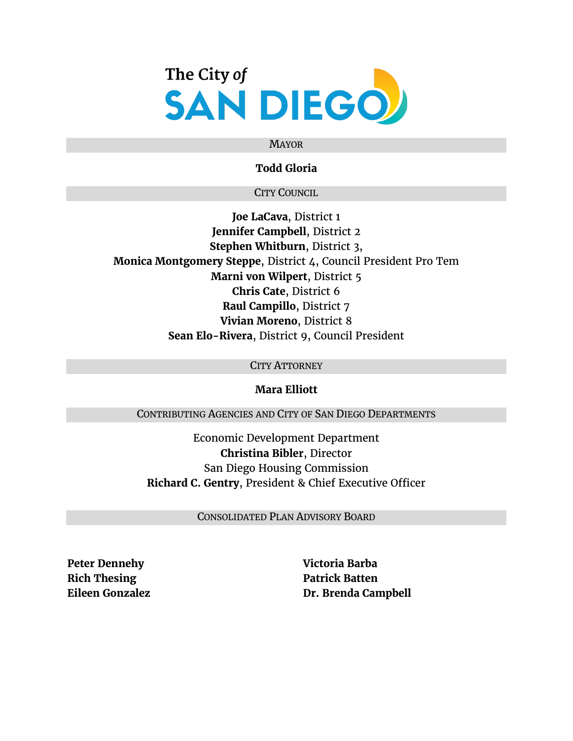

### MAYOR

### **Todd Gloria**

### CITY COUNCIL

**Joe LaCava**, District 1 **Jennifer Campbell**, District 2 **Stephen Whitburn**, District 3, **Monica Montgomery Steppe**, District 4, Council President Pro Tem **Marni von Wilpert**, District 5 **Chris Cate**, District 6 **Raul Campillo**, District 7 **Vivian Moreno**, District 8 **Sean Elo-Rivera**, District 9, Council President

### CITY ATTORNEY

### **Mara Elliott**

CONTRIBUTING AGENCIES AND CITY OF SAN DIEGO DEPARTMENTS

Economic Development Department **Christina Bibler**, Director San Diego Housing Commission **Richard C. Gentry**, President & Chief Executive Officer

CONSOLIDATED PLAN ADVISORY BOARD

**Peter Dennehy Rich Thesing Eileen Gonzalez** **Victoria Barba Patrick Batten Dr. Brenda Campbell**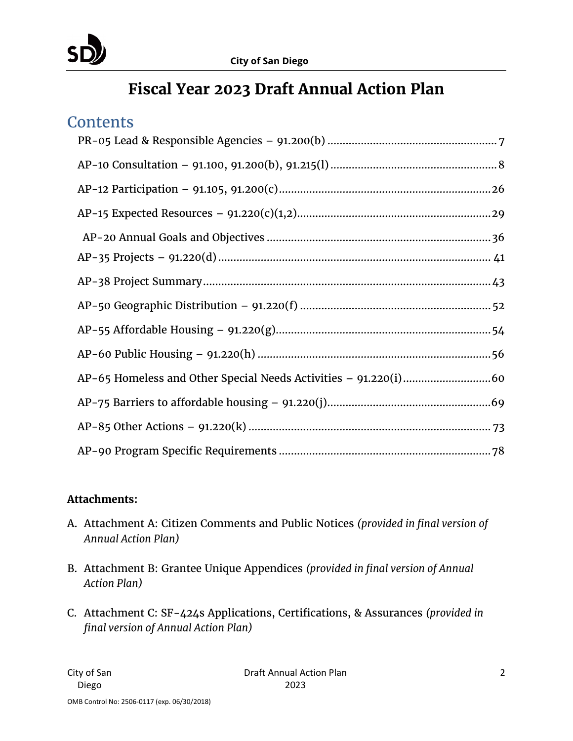

# **Fiscal Year 2023 Draft Annual Action Plan**

# **Contents**

### **Attachments:**

- A. Attachment A: Citizen Comments and Public Notices *(provided in final version of Annual Action Plan)*
- B. Attachment B: Grantee Unique Appendices *(provided in final version of Annual Action Plan)*
- C. Attachment C: SF-424s Applications, Certifications, & Assurances *(provided in final version of Annual Action Plan)*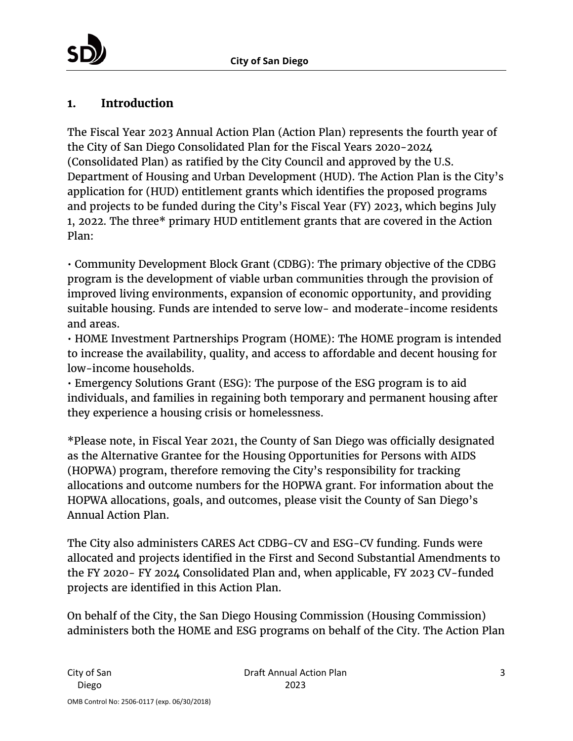## **1. Introduction**

The Fiscal Year 2023 Annual Action Plan (Action Plan) represents the fourth year of the City of San Diego Consolidated Plan for the Fiscal Years 2020-2024 (Consolidated Plan) as ratified by the City Council and approved by the U.S. Department of Housing and Urban Development (HUD). The Action Plan is the City's application for (HUD) entitlement grants which identifies the proposed programs and projects to be funded during the City's Fiscal Year (FY) 2023, which begins July 1, 2022. The three\* primary HUD entitlement grants that are covered in the Action Plan:

• Community Development Block Grant (CDBG): The primary objective of the CDBG program is the development of viable urban communities through the provision of improved living environments, expansion of economic opportunity, and providing suitable housing. Funds are intended to serve low- and moderate-income residents and areas.

• HOME Investment Partnerships Program (HOME): The HOME program is intended to increase the availability, quality, and access to affordable and decent housing for low-income households.

• Emergency Solutions Grant (ESG): The purpose of the ESG program is to aid individuals, and families in regaining both temporary and permanent housing after they experience a housing crisis or homelessness.

\*Please note, in Fiscal Year 2021, the County of San Diego was officially designated as the Alternative Grantee for the Housing Opportunities for Persons with AIDS (HOPWA) program, therefore removing the City's responsibility for tracking allocations and outcome numbers for the HOPWA grant. For information about the HOPWA allocations, goals, and outcomes, please visit the County of San Diego's Annual Action Plan.

The City also administers CARES Act CDBG-CV and ESG-CV funding. Funds were allocated and projects identified in the First and Second Substantial Amendments to the FY 2020- FY 2024 Consolidated Plan and, when applicable, FY 2023 CV-funded projects are identified in this Action Plan.

On behalf of the City, the San Diego Housing Commission (Housing Commission) administers both the HOME and ESG programs on behalf of the City. The Action Plan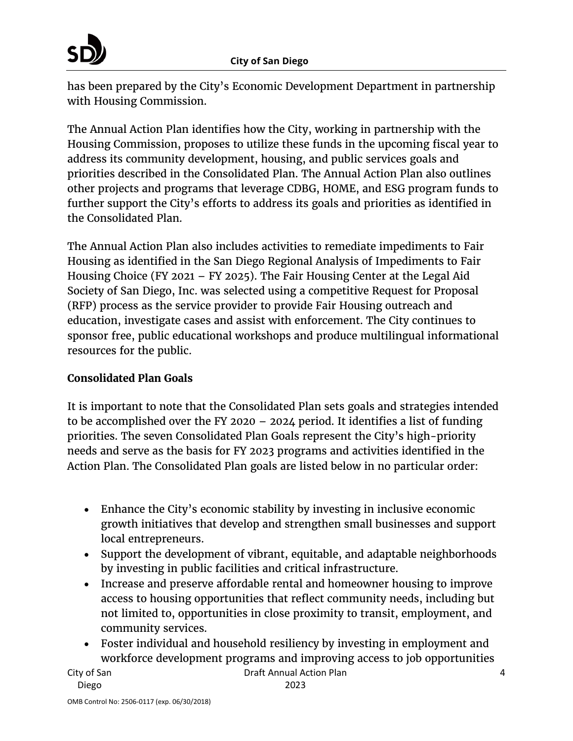

has been prepared by the City's Economic Development Department in partnership with Housing Commission.

The Annual Action Plan identifies how the City, working in partnership with the Housing Commission, proposes to utilize these funds in the upcoming fiscal year to address its community development, housing, and public services goals and priorities described in the Consolidated Plan. The Annual Action Plan also outlines other projects and programs that leverage CDBG, HOME, and ESG program funds to further support the City's efforts to address its goals and priorities as identified in the Consolidated Plan.

The Annual Action Plan also includes activities to remediate impediments to Fair Housing as identified in the San Diego Regional Analysis of Impediments to Fair Housing Choice (FY 2021 – FY 2025). The Fair Housing Center at the Legal Aid Society of San Diego, Inc. was selected using a competitive Request for Proposal (RFP) process as the service provider to provide Fair Housing outreach and education, investigate cases and assist with enforcement. The City continues to sponsor free, public educational workshops and produce multilingual informational resources for the public.

## **Consolidated Plan Goals**

It is important to note that the Consolidated Plan sets goals and strategies intended to be accomplished over the FY 2020 – 2024 period. It identifies a list of funding priorities. The seven Consolidated Plan Goals represent the City's high-priority needs and serve as the basis for FY 2023 programs and activities identified in the Action Plan. The Consolidated Plan goals are listed below in no particular order:

- Enhance the City's economic stability by investing in inclusive economic growth initiatives that develop and strengthen small businesses and support local entrepreneurs.
- Support the development of vibrant, equitable, and adaptable neighborhoods by investing in public facilities and critical infrastructure.
- Increase and preserve affordable rental and homeowner housing to improve access to housing opportunities that reflect community needs, including but not limited to, opportunities in close proximity to transit, employment, and community services.
- Foster individual and household resiliency by investing in employment and workforce development programs and improving access to job opportunities

City of San Diego

4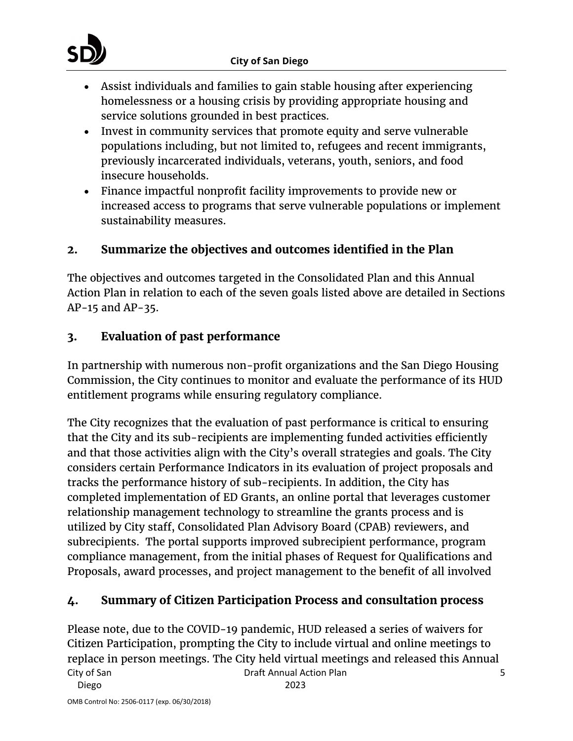

- Assist individuals and families to gain stable housing after experiencing homelessness or a housing crisis by providing appropriate housing and service solutions grounded in best practices.
- Invest in community services that promote equity and serve vulnerable populations including, but not limited to, refugees and recent immigrants, previously incarcerated individuals, veterans, youth, seniors, and food insecure households.
- Finance impactful nonprofit facility improvements to provide new or increased access to programs that serve vulnerable populations or implement sustainability measures.

# **2. Summarize the objectives and outcomes identified in the Plan**

The objectives and outcomes targeted in the Consolidated Plan and this Annual Action Plan in relation to each of the seven goals listed above are detailed in Sections AP-15 and AP-35.

## **3. Evaluation of past performance**

In partnership with numerous non-profit organizations and the San Diego Housing Commission, the City continues to monitor and evaluate the performance of its HUD entitlement programs while ensuring regulatory compliance.

The City recognizes that the evaluation of past performance is critical to ensuring that the City and its sub-recipients are implementing funded activities efficiently and that those activities align with the City's overall strategies and goals. The City considers certain Performance Indicators in its evaluation of project proposals and tracks the performance history of sub-recipients. In addition, the City has completed implementation of ED Grants, an online portal that leverages customer relationship management technology to streamline the grants process and is utilized by City staff, Consolidated Plan Advisory Board (CPAB) reviewers, and subrecipients. The portal supports improved subrecipient performance, program compliance management, from the initial phases of Request for Qualifications and Proposals, award processes, and project management to the benefit of all involved

## **4. Summary of Citizen Participation Process and consultation process**

City of San Diego Draft Annual Action Plan 2023 5 Please note, due to the COVID-19 pandemic, HUD released a series of waivers for Citizen Participation, prompting the City to include virtual and online meetings to replace in person meetings. The City held virtual meetings and released this Annual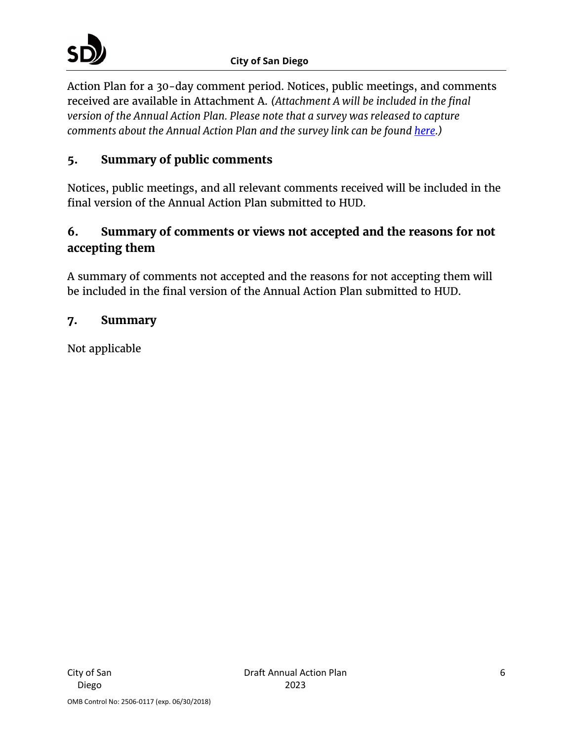Action Plan for a 30-day comment period. Notices, public meetings, and comments received are available in Attachment A. *(Attachment A will be included in the final version of the Annual Action Plan. Please note that a survey was released to capture comments about the Annual Action Plan and the survey link can be found [here.](https://survey123.arcgis.com/share/03bcd63b96314860bc0fb4802f8ec7ac))* 

# **5. Summary of public comments**

Notices, public meetings, and all relevant comments received will be included in the final version of the Annual Action Plan submitted to HUD.

# **6. Summary of comments or views not accepted and the reasons for not accepting them**

A summary of comments not accepted and the reasons for not accepting them will be included in the final version of the Annual Action Plan submitted to HUD.

## **7. Summary**

Not applicable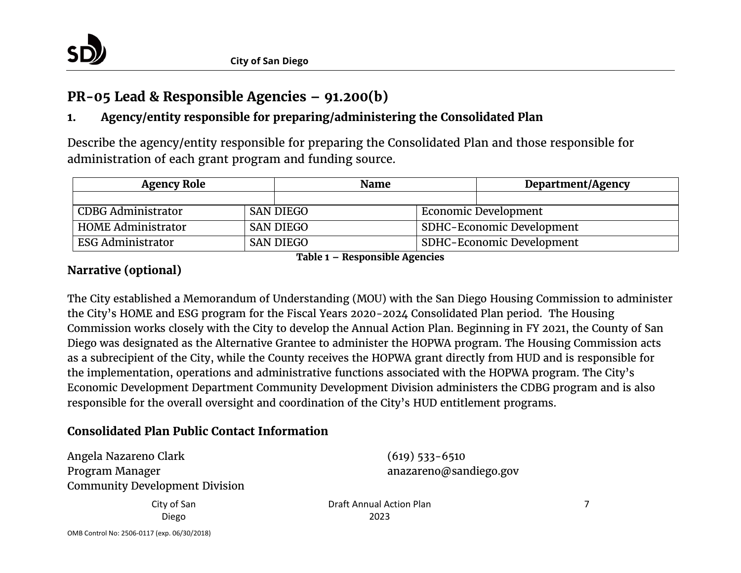

# **PR-05 Lead & Responsible Agencies – 91.200(b)**

# **1. Agency/entity responsible for preparing/administering the Consolidated Plan**

Describe the agency/entity responsible for preparing the Consolidated Plan and those responsible for administration of each grant program and funding source.

| <b>Agency Role</b>        |  | <b>Name</b>      |  | Department/Agency                |
|---------------------------|--|------------------|--|----------------------------------|
|                           |  |                  |  |                                  |
| <b>CDBG Administrator</b> |  | <b>SAN DIEGO</b> |  | Economic Development             |
| <b>HOME Administrator</b> |  | <b>SAN DIEGO</b> |  | <b>SDHC-Economic Development</b> |
| <b>ESG Administrator</b>  |  | <b>SAN DIEGO</b> |  | SDHC-Economic Development        |

**Table 1 – Responsible Agencies**

## <span id="page-6-0"></span>**Narrative (optional)**

The City established a Memorandum of Understanding (MOU) with the San Diego Housing Commission to administer the City's HOME and ESG program for the Fiscal Years 2020-2024 Consolidated Plan period. The Housing Commission works closely with the City to develop the Annual Action Plan. Beginning in FY 2021, the County of San Diego was designated as the Alternative Grantee to administer the HOPWA program. The Housing Commission acts as a subrecipient of the City, while the County receives the HOPWA grant directly from HUD and is responsible for the implementation, operations and administrative functions associated with the HOPWA program. The City's Economic Development Department Community Development Division administers the CDBG program and is also responsible for the overall oversight and coordination of the City's HUD entitlement programs.

## **Consolidated Plan Public Contact Information**

Angela Nazareno Clark Program Manager Community Development Division (619) 533-6510 anazareno@sandiego.gov

City of San Diego

Draft Annual Action Plan 2023

7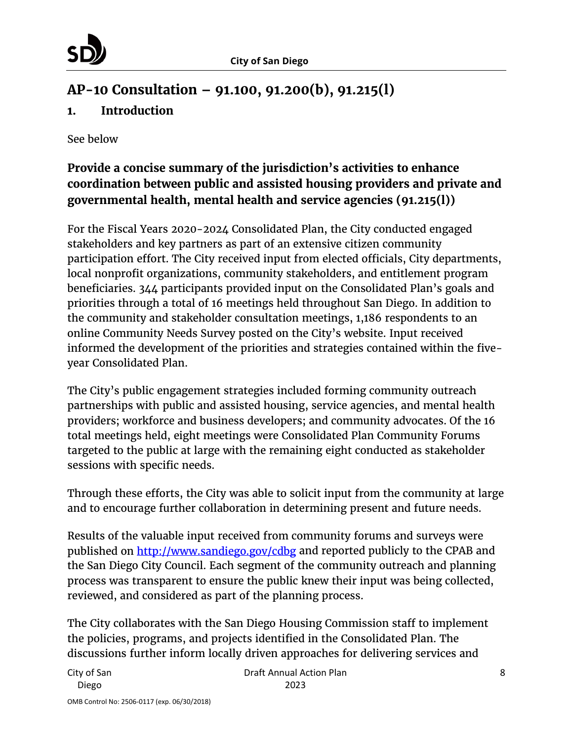# <span id="page-7-0"></span>**AP-10 Consultation – 91.100, 91.200(b), 91.215(l)**

## **1. Introduction**

See below

# **Provide a concise summary of the jurisdiction's activities to enhance coordination between public and assisted housing providers and private and governmental health, mental health and service agencies (91.215(l))**

For the Fiscal Years 2020-2024 Consolidated Plan, the City conducted engaged stakeholders and key partners as part of an extensive citizen community participation effort. The City received input from elected officials, City departments, local nonprofit organizations, community stakeholders, and entitlement program beneficiaries. 344 participants provided input on the Consolidated Plan's goals and priorities through a total of 16 meetings held throughout San Diego. In addition to the community and stakeholder consultation meetings, 1,186 respondents to an online Community Needs Survey posted on the City's website. Input received informed the development of the priorities and strategies contained within the fiveyear Consolidated Plan.

The City's public engagement strategies included forming community outreach partnerships with public and assisted housing, service agencies, and mental health providers; workforce and business developers; and community advocates. Of the 16 total meetings held, eight meetings were Consolidated Plan Community Forums targeted to the public at large with the remaining eight conducted as stakeholder sessions with specific needs.

Through these efforts, the City was able to solicit input from the community at large and to encourage further collaboration in determining present and future needs.

Results of the valuable input received from community forums and surveys were published on<http://www.sandiego.gov/cdbg> and reported publicly to the CPAB and the San Diego City Council. Each segment of the community outreach and planning process was transparent to ensure the public knew their input was being collected, reviewed, and considered as part of the planning process.

The City collaborates with the San Diego Housing Commission staff to implement the policies, programs, and projects identified in the Consolidated Plan. The discussions further inform locally driven approaches for delivering services and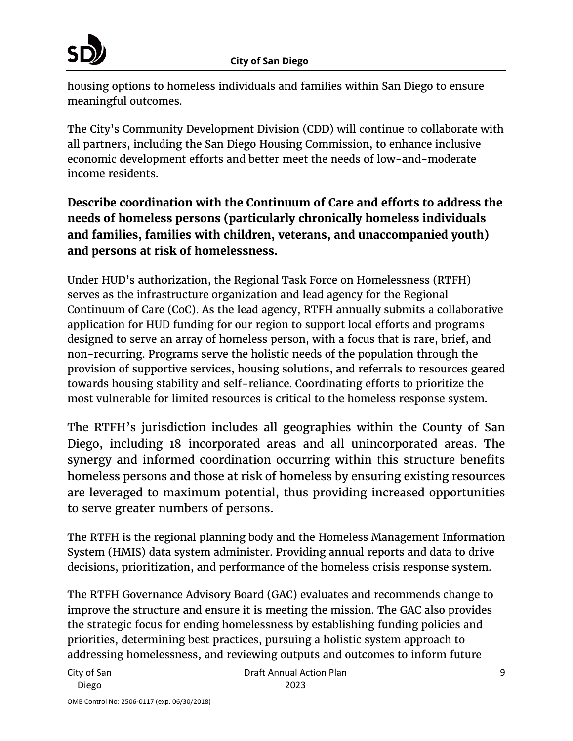

housing options to homeless individuals and families within San Diego to ensure meaningful outcomes.

The City's Community Development Division (CDD) will continue to collaborate with all partners, including the San Diego Housing Commission, to enhance inclusive economic development efforts and better meet the needs of low-and-moderate income residents.

**Describe coordination with the Continuum of Care and efforts to address the needs of homeless persons (particularly chronically homeless individuals and families, families with children, veterans, and unaccompanied youth) and persons at risk of homelessness.**

Under HUD's authorization, the Regional Task Force on Homelessness (RTFH) serves as the infrastructure organization and lead agency for the Regional Continuum of Care (CoC). As the lead agency, RTFH annually submits a collaborative application for HUD funding for our region to support local efforts and programs designed to serve an array of homeless person, with a focus that is rare, brief, and non-recurring. Programs serve the holistic needs of the population through the provision of supportive services, housing solutions, and referrals to resources geared towards housing stability and self-reliance. Coordinating efforts to prioritize the most vulnerable for limited resources is critical to the homeless response system.

The RTFH's jurisdiction includes all geographies within the County of San Diego, including 18 incorporated areas and all unincorporated areas. The synergy and informed coordination occurring within this structure benefits homeless persons and those at risk of homeless by ensuring existing resources are leveraged to maximum potential, thus providing increased opportunities to serve greater numbers of persons.

The RTFH is the regional planning body and the Homeless Management Information System (HMIS) data system administer. Providing annual reports and data to drive decisions, prioritization, and performance of the homeless crisis response system.

The RTFH Governance Advisory Board (GAC) evaluates and recommends change to improve the structure and ensure it is meeting the mission. The GAC also provides the strategic focus for ending homelessness by establishing funding policies and priorities, determining best practices, pursuing a holistic system approach to addressing homelessness, and reviewing outputs and outcomes to inform future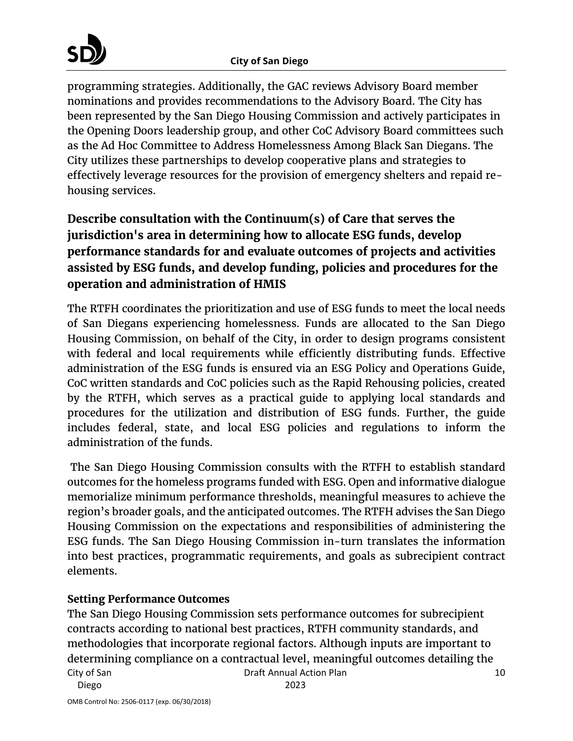programming strategies. Additionally, the GAC reviews Advisory Board member nominations and provides recommendations to the Advisory Board. The City has been represented by the San Diego Housing Commission and actively participates in the Opening Doors leadership group, and other CoC Advisory Board committees such as the Ad Hoc Committee to Address Homelessness Among Black San Diegans. The City utilizes these partnerships to develop cooperative plans and strategies to effectively leverage resources for the provision of emergency shelters and repaid rehousing services.

# **Describe consultation with the Continuum(s) of Care that serves the jurisdiction's area in determining how to allocate ESG funds, develop performance standards for and evaluate outcomes of projects and activities assisted by ESG funds, and develop funding, policies and procedures for the operation and administration of HMIS**

The RTFH coordinates the prioritization and use of ESG funds to meet the local needs of San Diegans experiencing homelessness. Funds are allocated to the San Diego Housing Commission, on behalf of the City, in order to design programs consistent with federal and local requirements while efficiently distributing funds. Effective administration of the ESG funds is ensured via an ESG Policy and Operations Guide, CoC written standards and CoC policies such as the Rapid Rehousing policies, created by the RTFH, which serves as a practical guide to applying local standards and procedures for the utilization and distribution of ESG funds. Further, the guide includes federal, state, and local ESG policies and regulations to inform the administration of the funds.

The San Diego Housing Commission consults with the RTFH to establish standard outcomes for the homeless programs funded with ESG. Open and informative dialogue memorialize minimum performance thresholds, meaningful measures to achieve the region's broader goals, and the anticipated outcomes. The RTFH advises the San Diego Housing Commission on the expectations and responsibilities of administering the ESG funds. The San Diego Housing Commission in-turn translates the information into best practices, programmatic requirements, and goals as subrecipient contract elements.

## **Setting Performance Outcomes**

City of San Draft Annual Action Plan The San Diego Housing Commission sets performance outcomes for subrecipient contracts according to national best practices, RTFH community standards, and methodologies that incorporate regional factors. Although inputs are important to determining compliance on a contractual level, meaningful outcomes detailing the

Diego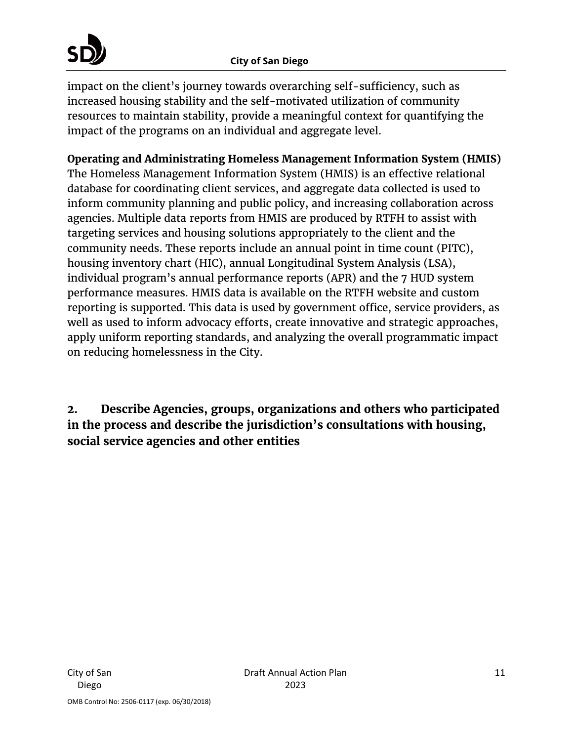impact on the client's journey towards overarching self-sufficiency, such as increased housing stability and the self-motivated utilization of community resources to maintain stability, provide a meaningful context for quantifying the impact of the programs on an individual and aggregate level.

# **Operating and Administrating Homeless Management Information System (HMIS)**

The Homeless Management Information System (HMIS) is an effective relational database for coordinating client services, and aggregate data collected is used to inform community planning and public policy, and increasing collaboration across agencies. Multiple data reports from HMIS are produced by RTFH to assist with targeting services and housing solutions appropriately to the client and the community needs. These reports include an annual point in time count (PITC), housing inventory chart (HIC), annual Longitudinal System Analysis (LSA), individual program's annual performance reports (APR) and the 7 HUD system performance measures. HMIS data is available on the RTFH website and custom reporting is supported. This data is used by government office, service providers, as well as used to inform advocacy efforts, create innovative and strategic approaches, apply uniform reporting standards, and analyzing the overall programmatic impact on reducing homelessness in the City.

**2. Describe Agencies, groups, organizations and others who participated in the process and describe the jurisdiction's consultations with housing, social service agencies and other entities**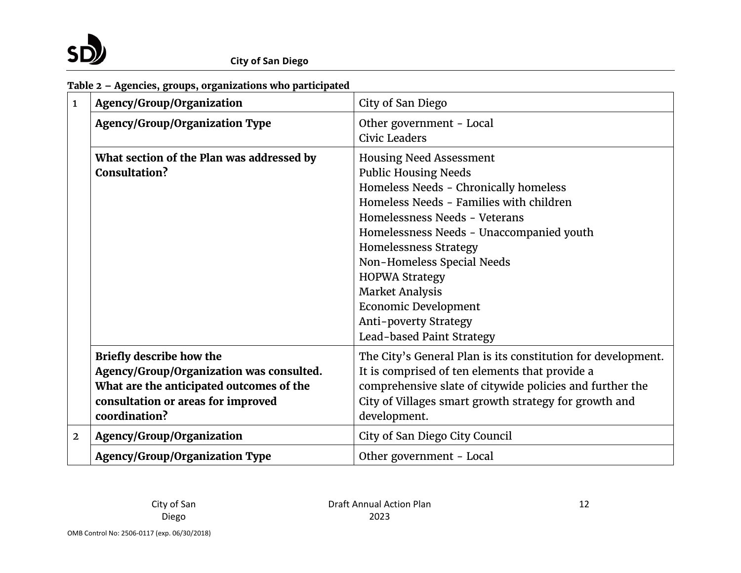

## **Table 2 – Agencies, groups, organizations who participated**

| $\mathbf{1}$   | Agency/Group/Organization                                                                                                                                                      | City of San Diego                                                                                                                                                                                                                                                                                                                                                                                                             |
|----------------|--------------------------------------------------------------------------------------------------------------------------------------------------------------------------------|-------------------------------------------------------------------------------------------------------------------------------------------------------------------------------------------------------------------------------------------------------------------------------------------------------------------------------------------------------------------------------------------------------------------------------|
|                | <b>Agency/Group/Organization Type</b>                                                                                                                                          | Other government - Local<br>Civic Leaders                                                                                                                                                                                                                                                                                                                                                                                     |
|                | What section of the Plan was addressed by<br>Consultation?                                                                                                                     | <b>Housing Need Assessment</b><br><b>Public Housing Needs</b><br>Homeless Needs - Chronically homeless<br>Homeless Needs - Families with children<br>Homelessness Needs - Veterans<br>Homelessness Needs - Unaccompanied youth<br>Homelessness Strategy<br>Non-Homeless Special Needs<br><b>HOPWA Strategy</b><br><b>Market Analysis</b><br><b>Economic Development</b><br>Anti-poverty Strategy<br>Lead-based Paint Strategy |
|                | <b>Briefly describe how the</b><br>Agency/Group/Organization was consulted.<br>What are the anticipated outcomes of the<br>consultation or areas for improved<br>coordination? | The City's General Plan is its constitution for development.<br>It is comprised of ten elements that provide a<br>comprehensive slate of citywide policies and further the<br>City of Villages smart growth strategy for growth and<br>development.                                                                                                                                                                           |
| $\overline{2}$ | Agency/Group/Organization                                                                                                                                                      | City of San Diego City Council                                                                                                                                                                                                                                                                                                                                                                                                |
|                | <b>Agency/Group/Organization Type</b>                                                                                                                                          | Other government - Local                                                                                                                                                                                                                                                                                                                                                                                                      |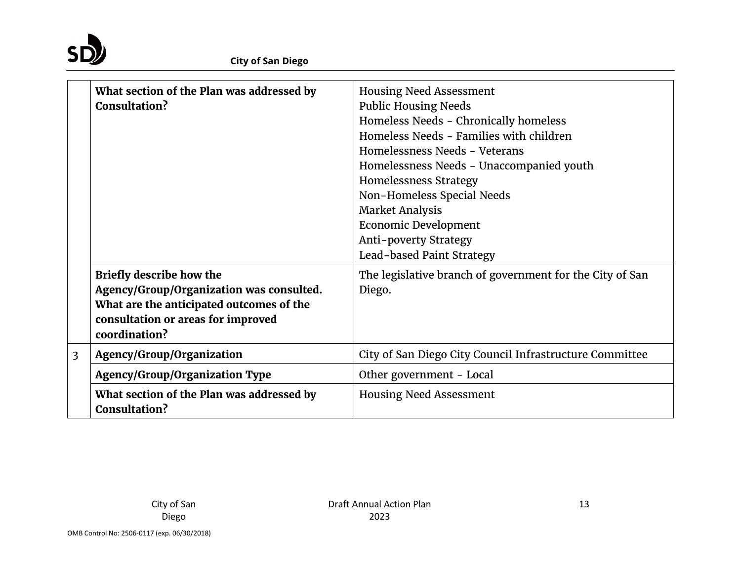

|                | What section of the Plan was addressed by<br>Consultation?                                                                                                                     | <b>Housing Need Assessment</b><br><b>Public Housing Needs</b><br>Homeless Needs - Chronically homeless<br>Homeless Needs - Families with children<br>Homelessness Needs - Veterans<br>Homelessness Needs - Unaccompanied youth<br>Homelessness Strategy<br>Non-Homeless Special Needs<br><b>Market Analysis</b><br><b>Economic Development</b><br>Anti-poverty Strategy<br>Lead-based Paint Strategy |
|----------------|--------------------------------------------------------------------------------------------------------------------------------------------------------------------------------|------------------------------------------------------------------------------------------------------------------------------------------------------------------------------------------------------------------------------------------------------------------------------------------------------------------------------------------------------------------------------------------------------|
|                | <b>Briefly describe how the</b><br>Agency/Group/Organization was consulted.<br>What are the anticipated outcomes of the<br>consultation or areas for improved<br>coordination? | The legislative branch of government for the City of San<br>Diego.                                                                                                                                                                                                                                                                                                                                   |
| $\overline{3}$ | Agency/Group/Organization                                                                                                                                                      | City of San Diego City Council Infrastructure Committee                                                                                                                                                                                                                                                                                                                                              |
|                | <b>Agency/Group/Organization Type</b>                                                                                                                                          | Other government - Local                                                                                                                                                                                                                                                                                                                                                                             |
|                | What section of the Plan was addressed by<br>Consultation?                                                                                                                     | <b>Housing Need Assessment</b>                                                                                                                                                                                                                                                                                                                                                                       |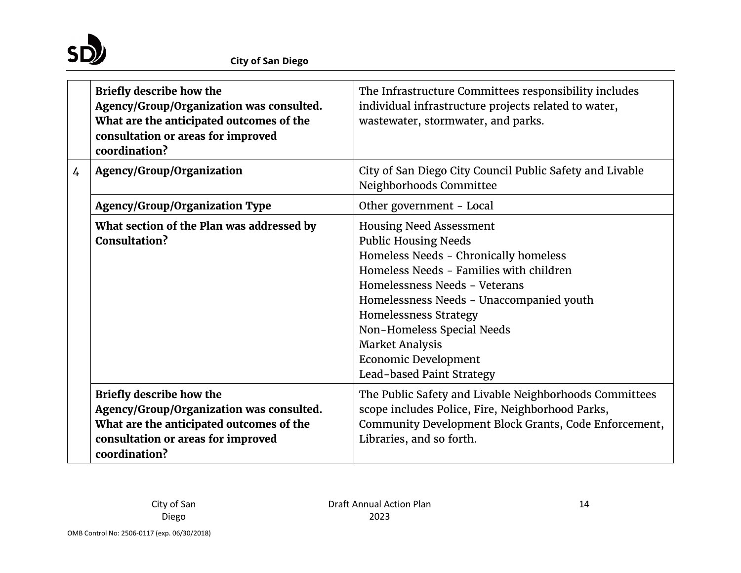

|                | <b>Briefly describe how the</b><br>Agency/Group/Organization was consulted.<br>What are the anticipated outcomes of the<br>consultation or areas for improved<br>coordination? | The Infrastructure Committees responsibility includes<br>individual infrastructure projects related to water,<br>wastewater, stormwater, and parks.                                                                                                                                                                                                                                |
|----------------|--------------------------------------------------------------------------------------------------------------------------------------------------------------------------------|------------------------------------------------------------------------------------------------------------------------------------------------------------------------------------------------------------------------------------------------------------------------------------------------------------------------------------------------------------------------------------|
| $\overline{4}$ | Agency/Group/Organization                                                                                                                                                      | City of San Diego City Council Public Safety and Livable<br>Neighborhoods Committee                                                                                                                                                                                                                                                                                                |
|                | <b>Agency/Group/Organization Type</b>                                                                                                                                          | Other government - Local                                                                                                                                                                                                                                                                                                                                                           |
|                | What section of the Plan was addressed by<br>Consultation?                                                                                                                     | <b>Housing Need Assessment</b><br><b>Public Housing Needs</b><br>Homeless Needs - Chronically homeless<br>Homeless Needs - Families with children<br>Homelessness Needs - Veterans<br>Homelessness Needs - Unaccompanied youth<br><b>Homelessness Strategy</b><br>Non-Homeless Special Needs<br><b>Market Analysis</b><br><b>Economic Development</b><br>Lead-based Paint Strategy |
|                | <b>Briefly describe how the</b>                                                                                                                                                | The Public Safety and Livable Neighborhoods Committees                                                                                                                                                                                                                                                                                                                             |
|                | Agency/Group/Organization was consulted.                                                                                                                                       | scope includes Police, Fire, Neighborhood Parks,                                                                                                                                                                                                                                                                                                                                   |
|                | What are the anticipated outcomes of the<br>consultation or areas for improved<br>coordination?                                                                                | Community Development Block Grants, Code Enforcement,<br>Libraries, and so forth.                                                                                                                                                                                                                                                                                                  |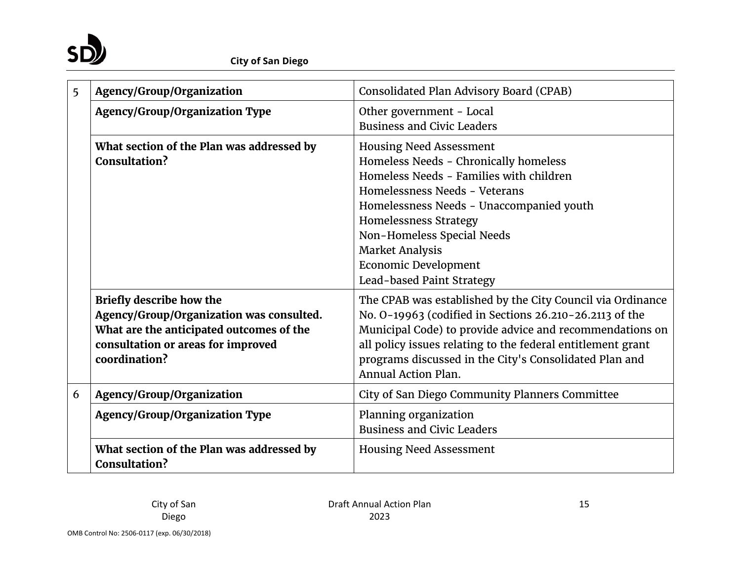

| 5 | Agency/Group/Organization                                                                                                                                                      | Consolidated Plan Advisory Board (CPAB)                                                                                                                                                                                                                                                                                                             |
|---|--------------------------------------------------------------------------------------------------------------------------------------------------------------------------------|-----------------------------------------------------------------------------------------------------------------------------------------------------------------------------------------------------------------------------------------------------------------------------------------------------------------------------------------------------|
|   | <b>Agency/Group/Organization Type</b>                                                                                                                                          | Other government - Local<br><b>Business and Civic Leaders</b>                                                                                                                                                                                                                                                                                       |
|   | What section of the Plan was addressed by<br>Consultation?                                                                                                                     | <b>Housing Need Assessment</b><br>Homeless Needs - Chronically homeless<br>Homeless Needs - Families with children<br>Homelessness Needs - Veterans<br>Homelessness Needs - Unaccompanied youth<br><b>Homelessness Strategy</b><br>Non-Homeless Special Needs<br><b>Market Analysis</b><br><b>Economic Development</b><br>Lead-based Paint Strategy |
|   | <b>Briefly describe how the</b><br>Agency/Group/Organization was consulted.<br>What are the anticipated outcomes of the<br>consultation or areas for improved<br>coordination? | The CPAB was established by the City Council via Ordinance<br>No. 0-19963 (codified in Sections 26.210-26.2113 of the<br>Municipal Code) to provide advice and recommendations on<br>all policy issues relating to the federal entitlement grant<br>programs discussed in the City's Consolidated Plan and<br><b>Annual Action Plan.</b>            |
| 6 | Agency/Group/Organization                                                                                                                                                      | City of San Diego Community Planners Committee                                                                                                                                                                                                                                                                                                      |
|   | <b>Agency/Group/Organization Type</b>                                                                                                                                          | Planning organization<br><b>Business and Civic Leaders</b>                                                                                                                                                                                                                                                                                          |
|   | What section of the Plan was addressed by<br>Consultation?                                                                                                                     | <b>Housing Need Assessment</b>                                                                                                                                                                                                                                                                                                                      |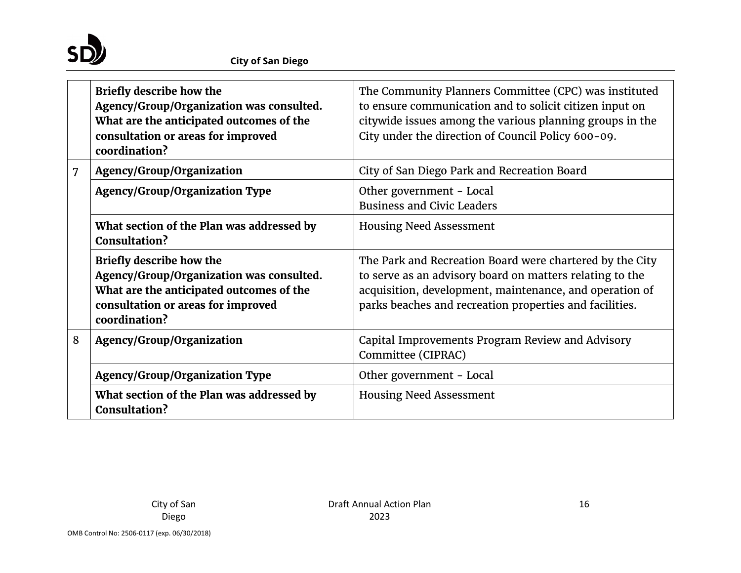

|   | <b>Briefly describe how the</b><br>Agency/Group/Organization was consulted.<br>What are the anticipated outcomes of the<br>consultation or areas for improved<br>coordination? | The Community Planners Committee (CPC) was instituted<br>to ensure communication and to solicit citizen input on<br>citywide issues among the various planning groups in the<br>City under the direction of Council Policy 600-09.         |
|---|--------------------------------------------------------------------------------------------------------------------------------------------------------------------------------|--------------------------------------------------------------------------------------------------------------------------------------------------------------------------------------------------------------------------------------------|
| 7 | Agency/Group/Organization                                                                                                                                                      | City of San Diego Park and Recreation Board                                                                                                                                                                                                |
|   | <b>Agency/Group/Organization Type</b>                                                                                                                                          | Other government - Local<br><b>Business and Civic Leaders</b>                                                                                                                                                                              |
|   | What section of the Plan was addressed by<br>Consultation?                                                                                                                     | <b>Housing Need Assessment</b>                                                                                                                                                                                                             |
|   | <b>Briefly describe how the</b><br>Agency/Group/Organization was consulted.<br>What are the anticipated outcomes of the<br>consultation or areas for improved<br>coordination? | The Park and Recreation Board were chartered by the City<br>to serve as an advisory board on matters relating to the<br>acquisition, development, maintenance, and operation of<br>parks beaches and recreation properties and facilities. |
| 8 | Agency/Group/Organization                                                                                                                                                      | Capital Improvements Program Review and Advisory<br>Committee (CIPRAC)                                                                                                                                                                     |
|   | <b>Agency/Group/Organization Type</b>                                                                                                                                          | Other government - Local                                                                                                                                                                                                                   |
|   | What section of the Plan was addressed by<br>Consultation?                                                                                                                     | <b>Housing Need Assessment</b>                                                                                                                                                                                                             |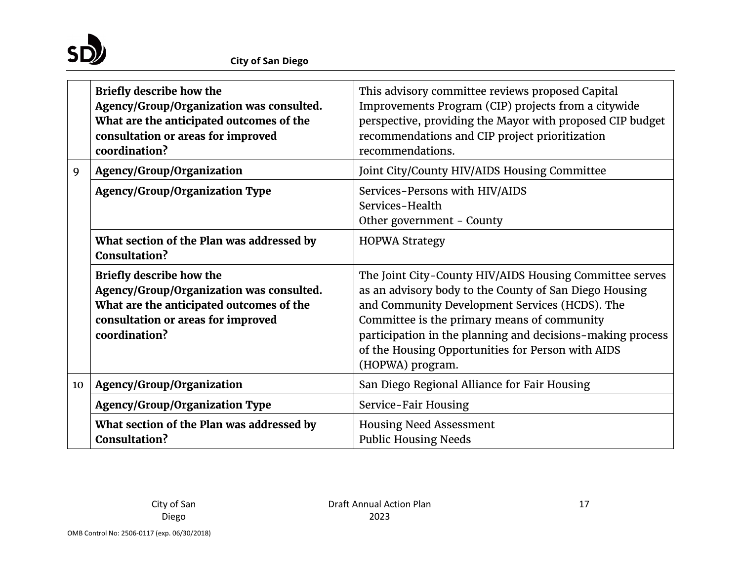

|    | <b>Briefly describe how the</b><br>Agency/Group/Organization was consulted.<br>What are the anticipated outcomes of the<br>consultation or areas for improved<br>coordination? | This advisory committee reviews proposed Capital<br>Improvements Program (CIP) projects from a citywide<br>perspective, providing the Mayor with proposed CIP budget<br>recommendations and CIP project prioritization<br>recommendations.                                                                                                                |
|----|--------------------------------------------------------------------------------------------------------------------------------------------------------------------------------|-----------------------------------------------------------------------------------------------------------------------------------------------------------------------------------------------------------------------------------------------------------------------------------------------------------------------------------------------------------|
| 9  | Agency/Group/Organization                                                                                                                                                      | Joint City/County HIV/AIDS Housing Committee                                                                                                                                                                                                                                                                                                              |
|    | <b>Agency/Group/Organization Type</b>                                                                                                                                          | Services-Persons with HIV/AIDS<br>Services-Health<br>Other government - County                                                                                                                                                                                                                                                                            |
|    | What section of the Plan was addressed by<br>Consultation?                                                                                                                     | <b>HOPWA Strategy</b>                                                                                                                                                                                                                                                                                                                                     |
|    | <b>Briefly describe how the</b><br>Agency/Group/Organization was consulted.<br>What are the anticipated outcomes of the<br>consultation or areas for improved<br>coordination? | The Joint City-County HIV/AIDS Housing Committee serves<br>as an advisory body to the County of San Diego Housing<br>and Community Development Services (HCDS). The<br>Committee is the primary means of community<br>participation in the planning and decisions-making process<br>of the Housing Opportunities for Person with AIDS<br>(HOPWA) program. |
| 10 | Agency/Group/Organization                                                                                                                                                      | San Diego Regional Alliance for Fair Housing                                                                                                                                                                                                                                                                                                              |
|    | <b>Agency/Group/Organization Type</b>                                                                                                                                          | Service-Fair Housing                                                                                                                                                                                                                                                                                                                                      |
|    | What section of the Plan was addressed by<br><b>Consultation?</b>                                                                                                              | <b>Housing Need Assessment</b><br><b>Public Housing Needs</b>                                                                                                                                                                                                                                                                                             |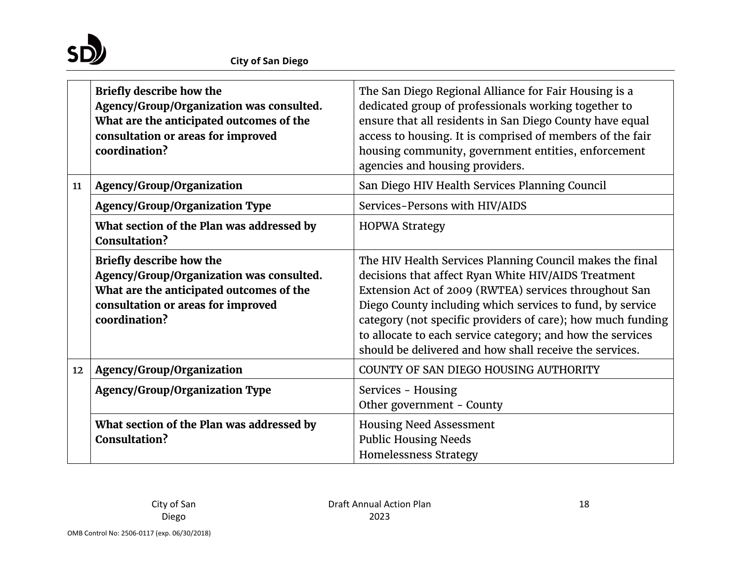

|    | <b>Briefly describe how the</b><br>Agency/Group/Organization was consulted.<br>What are the anticipated outcomes of the<br>consultation or areas for improved<br>coordination? | The San Diego Regional Alliance for Fair Housing is a<br>dedicated group of professionals working together to<br>ensure that all residents in San Diego County have equal<br>access to housing. It is comprised of members of the fair<br>housing community, government entities, enforcement<br>agencies and housing providers.                                                                                              |
|----|--------------------------------------------------------------------------------------------------------------------------------------------------------------------------------|-------------------------------------------------------------------------------------------------------------------------------------------------------------------------------------------------------------------------------------------------------------------------------------------------------------------------------------------------------------------------------------------------------------------------------|
| 11 | Agency/Group/Organization                                                                                                                                                      | San Diego HIV Health Services Planning Council                                                                                                                                                                                                                                                                                                                                                                                |
|    | <b>Agency/Group/Organization Type</b>                                                                                                                                          | Services-Persons with HIV/AIDS                                                                                                                                                                                                                                                                                                                                                                                                |
|    | What section of the Plan was addressed by<br><b>Consultation?</b>                                                                                                              | <b>HOPWA Strategy</b>                                                                                                                                                                                                                                                                                                                                                                                                         |
|    | <b>Briefly describe how the</b><br>Agency/Group/Organization was consulted.<br>What are the anticipated outcomes of the<br>consultation or areas for improved<br>coordination? | The HIV Health Services Planning Council makes the final<br>decisions that affect Ryan White HIV/AIDS Treatment<br>Extension Act of 2009 (RWTEA) services throughout San<br>Diego County including which services to fund, by service<br>category (not specific providers of care); how much funding<br>to allocate to each service category; and how the services<br>should be delivered and how shall receive the services. |
| 12 | Agency/Group/Organization                                                                                                                                                      | COUNTY OF SAN DIEGO HOUSING AUTHORITY                                                                                                                                                                                                                                                                                                                                                                                         |
|    | <b>Agency/Group/Organization Type</b>                                                                                                                                          | Services - Housing<br>Other government - County                                                                                                                                                                                                                                                                                                                                                                               |
|    | What section of the Plan was addressed by<br>Consultation?                                                                                                                     | <b>Housing Need Assessment</b><br><b>Public Housing Needs</b><br><b>Homelessness Strategy</b>                                                                                                                                                                                                                                                                                                                                 |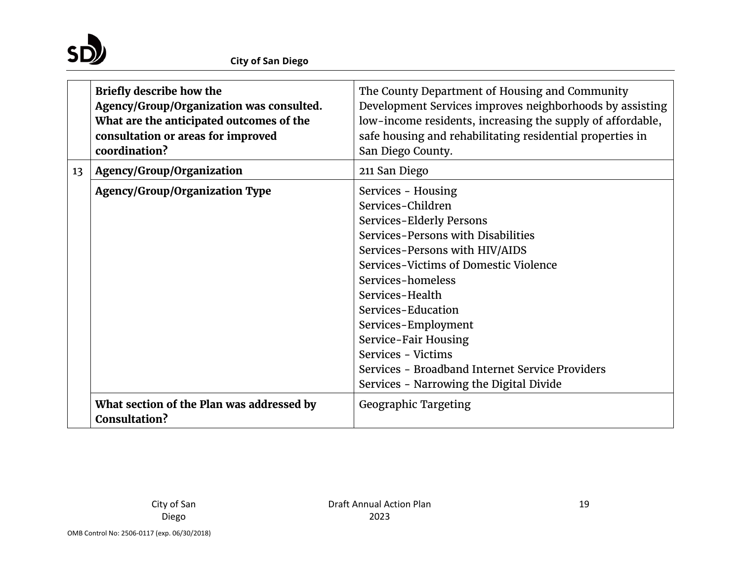

|                 | <b>Briefly describe how the</b><br>Agency/Group/Organization was consulted.<br>What are the anticipated outcomes of the<br>consultation or areas for improved<br>coordination? | The County Department of Housing and Community<br>Development Services improves neighborhoods by assisting<br>low-income residents, increasing the supply of affordable,<br>safe housing and rehabilitating residential properties in<br>San Diego County.                                                                                                                                                            |
|-----------------|--------------------------------------------------------------------------------------------------------------------------------------------------------------------------------|-----------------------------------------------------------------------------------------------------------------------------------------------------------------------------------------------------------------------------------------------------------------------------------------------------------------------------------------------------------------------------------------------------------------------|
| 13 <sup>7</sup> | Agency/Group/Organization                                                                                                                                                      | 211 San Diego                                                                                                                                                                                                                                                                                                                                                                                                         |
|                 | <b>Agency/Group/Organization Type</b>                                                                                                                                          | Services - Housing<br>Services-Children<br>Services-Elderly Persons<br>Services-Persons with Disabilities<br>Services-Persons with HIV/AIDS<br>Services-Victims of Domestic Violence<br>Services-homeless<br>Services-Health<br>Services-Education<br>Services-Employment<br>Service-Fair Housing<br>Services - Victims<br>Services - Broadband Internet Service Providers<br>Services - Narrowing the Digital Divide |
|                 | What section of the Plan was addressed by<br><b>Consultation?</b>                                                                                                              | <b>Geographic Targeting</b>                                                                                                                                                                                                                                                                                                                                                                                           |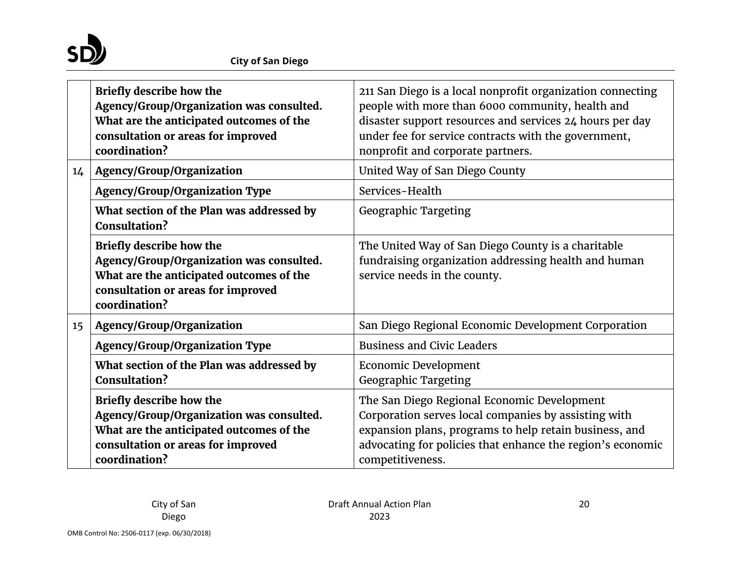

|                 | <b>Briefly describe how the</b><br>Agency/Group/Organization was consulted.<br>What are the anticipated outcomes of the<br>consultation or areas for improved<br>coordination? | 211 San Diego is a local nonprofit organization connecting<br>people with more than 6000 community, health and<br>disaster support resources and services 24 hours per day<br>under fee for service contracts with the government,<br>nonprofit and corporate partners. |
|-----------------|--------------------------------------------------------------------------------------------------------------------------------------------------------------------------------|-------------------------------------------------------------------------------------------------------------------------------------------------------------------------------------------------------------------------------------------------------------------------|
| 14              | Agency/Group/Organization                                                                                                                                                      | United Way of San Diego County                                                                                                                                                                                                                                          |
|                 | <b>Agency/Group/Organization Type</b>                                                                                                                                          | Services-Health                                                                                                                                                                                                                                                         |
|                 | What section of the Plan was addressed by<br><b>Consultation?</b>                                                                                                              | <b>Geographic Targeting</b>                                                                                                                                                                                                                                             |
|                 | <b>Briefly describe how the</b><br>Agency/Group/Organization was consulted.<br>What are the anticipated outcomes of the<br>consultation or areas for improved<br>coordination? | The United Way of San Diego County is a charitable<br>fundraising organization addressing health and human<br>service needs in the county.                                                                                                                              |
| 15 <sub>1</sub> | Agency/Group/Organization                                                                                                                                                      | San Diego Regional Economic Development Corporation                                                                                                                                                                                                                     |
|                 | <b>Agency/Group/Organization Type</b>                                                                                                                                          | <b>Business and Civic Leaders</b>                                                                                                                                                                                                                                       |
|                 | What section of the Plan was addressed by<br><b>Consultation?</b>                                                                                                              | Economic Development<br><b>Geographic Targeting</b>                                                                                                                                                                                                                     |
|                 | <b>Briefly describe how the</b><br>Agency/Group/Organization was consulted.<br>What are the anticipated outcomes of the<br>consultation or areas for improved<br>coordination? | The San Diego Regional Economic Development<br>Corporation serves local companies by assisting with<br>expansion plans, programs to help retain business, and<br>advocating for policies that enhance the region's economic<br>competitiveness.                         |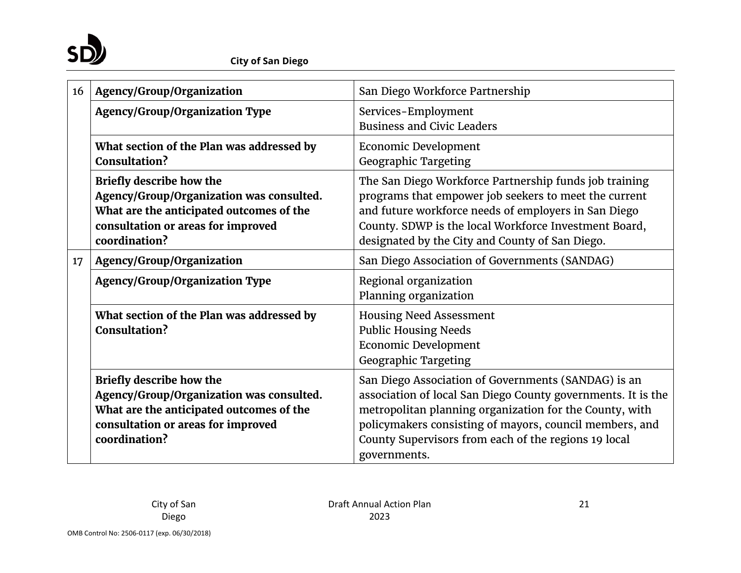

| 16 | Agency/Group/Organization                                                                                                                                                      | San Diego Workforce Partnership                                                                                                                                                                                                                                                                                   |
|----|--------------------------------------------------------------------------------------------------------------------------------------------------------------------------------|-------------------------------------------------------------------------------------------------------------------------------------------------------------------------------------------------------------------------------------------------------------------------------------------------------------------|
|    | <b>Agency/Group/Organization Type</b>                                                                                                                                          | Services-Employment<br><b>Business and Civic Leaders</b>                                                                                                                                                                                                                                                          |
|    | What section of the Plan was addressed by<br><b>Consultation?</b>                                                                                                              | <b>Economic Development</b><br><b>Geographic Targeting</b>                                                                                                                                                                                                                                                        |
|    | <b>Briefly describe how the</b><br>Agency/Group/Organization was consulted.<br>What are the anticipated outcomes of the<br>consultation or areas for improved<br>coordination? | The San Diego Workforce Partnership funds job training<br>programs that empower job seekers to meet the current<br>and future workforce needs of employers in San Diego<br>County. SDWP is the local Workforce Investment Board,<br>designated by the City and County of San Diego.                               |
| 17 | Agency/Group/Organization                                                                                                                                                      | San Diego Association of Governments (SANDAG)                                                                                                                                                                                                                                                                     |
|    | <b>Agency/Group/Organization Type</b>                                                                                                                                          | Regional organization<br>Planning organization                                                                                                                                                                                                                                                                    |
|    | What section of the Plan was addressed by<br><b>Consultation?</b>                                                                                                              | <b>Housing Need Assessment</b><br><b>Public Housing Needs</b><br><b>Economic Development</b><br><b>Geographic Targeting</b>                                                                                                                                                                                       |
|    | <b>Briefly describe how the</b><br>Agency/Group/Organization was consulted.<br>What are the anticipated outcomes of the<br>consultation or areas for improved<br>coordination? | San Diego Association of Governments (SANDAG) is an<br>association of local San Diego County governments. It is the<br>metropolitan planning organization for the County, with<br>policymakers consisting of mayors, council members, and<br>County Supervisors from each of the regions 19 local<br>governments. |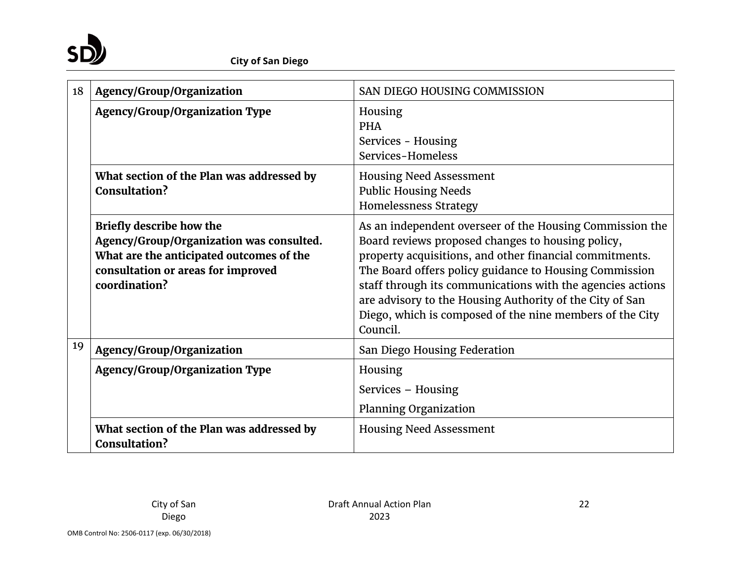

| 18 | Agency/Group/Organization                                                                                                                                                      | SAN DIEGO HOUSING COMMISSION                                                                                                                                                                                                                                                                                                                                                                                                         |  |  |
|----|--------------------------------------------------------------------------------------------------------------------------------------------------------------------------------|--------------------------------------------------------------------------------------------------------------------------------------------------------------------------------------------------------------------------------------------------------------------------------------------------------------------------------------------------------------------------------------------------------------------------------------|--|--|
|    | <b>Agency/Group/Organization Type</b>                                                                                                                                          | Housing<br><b>PHA</b><br>Services - Housing<br>Services-Homeless                                                                                                                                                                                                                                                                                                                                                                     |  |  |
|    | What section of the Plan was addressed by<br>Consultation?                                                                                                                     | <b>Housing Need Assessment</b><br><b>Public Housing Needs</b><br><b>Homelessness Strategy</b>                                                                                                                                                                                                                                                                                                                                        |  |  |
|    | <b>Briefly describe how the</b><br>Agency/Group/Organization was consulted.<br>What are the anticipated outcomes of the<br>consultation or areas for improved<br>coordination? | As an independent overseer of the Housing Commission the<br>Board reviews proposed changes to housing policy,<br>property acquisitions, and other financial commitments.<br>The Board offers policy guidance to Housing Commission<br>staff through its communications with the agencies actions<br>are advisory to the Housing Authority of the City of San<br>Diego, which is composed of the nine members of the City<br>Council. |  |  |
| 19 | Agency/Group/Organization                                                                                                                                                      | San Diego Housing Federation                                                                                                                                                                                                                                                                                                                                                                                                         |  |  |
|    | <b>Agency/Group/Organization Type</b>                                                                                                                                          | Housing<br>Services - Housing<br><b>Planning Organization</b>                                                                                                                                                                                                                                                                                                                                                                        |  |  |
|    | What section of the Plan was addressed by<br>Consultation?                                                                                                                     | <b>Housing Need Assessment</b>                                                                                                                                                                                                                                                                                                                                                                                                       |  |  |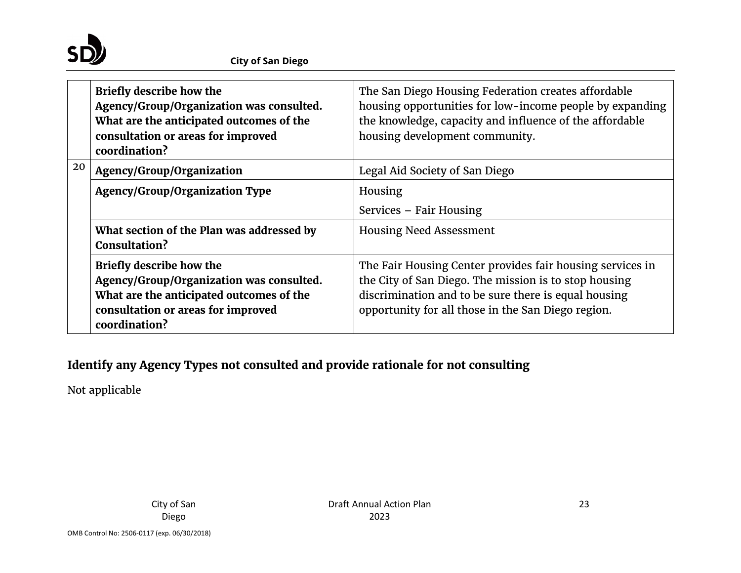

|    | <b>Briefly describe how the</b><br>Agency/Group/Organization was consulted.<br>What are the anticipated outcomes of the<br>consultation or areas for improved<br>coordination? | The San Diego Housing Federation creates affordable<br>housing opportunities for low-income people by expanding<br>the knowledge, capacity and influence of the affordable<br>housing development community.                     |  |  |
|----|--------------------------------------------------------------------------------------------------------------------------------------------------------------------------------|----------------------------------------------------------------------------------------------------------------------------------------------------------------------------------------------------------------------------------|--|--|
| 20 | Agency/Group/Organization                                                                                                                                                      | Legal Aid Society of San Diego                                                                                                                                                                                                   |  |  |
|    | <b>Agency/Group/Organization Type</b>                                                                                                                                          | Housing                                                                                                                                                                                                                          |  |  |
|    |                                                                                                                                                                                | Services – Fair Housing                                                                                                                                                                                                          |  |  |
|    | What section of the Plan was addressed by<br>Consultation?                                                                                                                     | <b>Housing Need Assessment</b>                                                                                                                                                                                                   |  |  |
|    | <b>Briefly describe how the</b><br>Agency/Group/Organization was consulted.<br>What are the anticipated outcomes of the<br>consultation or areas for improved<br>coordination? | The Fair Housing Center provides fair housing services in<br>the City of San Diego. The mission is to stop housing<br>discrimination and to be sure there is equal housing<br>opportunity for all those in the San Diego region. |  |  |

# **Identify any Agency Types not consulted and provide rationale for not consulting**

Not applicable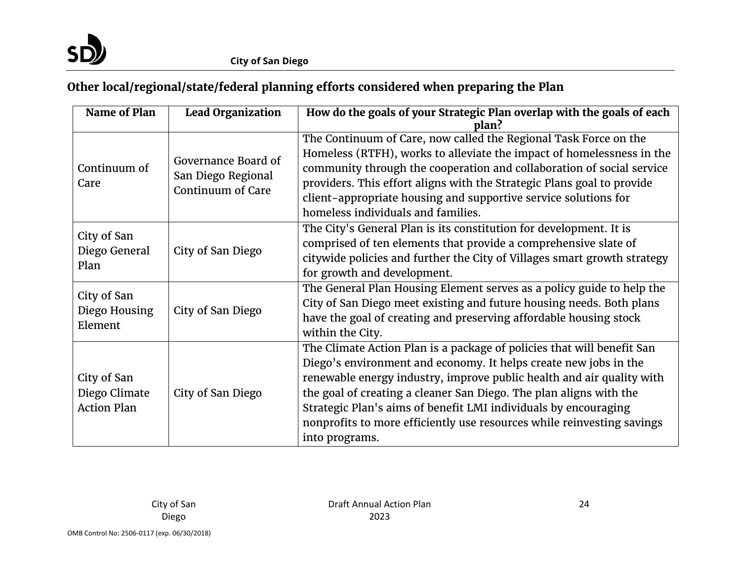

# **Other local/regional/state/federal planning efforts considered when preparing the Plan**

| Name of Plan                                       | <b>Lead Organization</b>                                       | How do the goals of your Strategic Plan overlap with the goals of each<br>plan?                                                                                                                                                                                                                                                                                                                                                                          |  |  |
|----------------------------------------------------|----------------------------------------------------------------|----------------------------------------------------------------------------------------------------------------------------------------------------------------------------------------------------------------------------------------------------------------------------------------------------------------------------------------------------------------------------------------------------------------------------------------------------------|--|--|
| Continuum of<br>Care                               | Governance Board of<br>San Diego Regional<br>Continuum of Care | The Continuum of Care, now called the Regional Task Force on the<br>Homeless (RTFH), works to alleviate the impact of homelessness in the<br>community through the cooperation and collaboration of social service<br>providers. This effort aligns with the Strategic Plans goal to provide<br>client-appropriate housing and supportive service solutions for<br>homeless individuals and families.                                                    |  |  |
| City of San<br>Diego General<br>Plan               | City of San Diego                                              | The City's General Plan is its constitution for development. It is<br>comprised of ten elements that provide a comprehensive slate of<br>citywide policies and further the City of Villages smart growth strategy<br>for growth and development.                                                                                                                                                                                                         |  |  |
| City of San<br>Diego Housing<br>Element            | City of San Diego                                              | The General Plan Housing Element serves as a policy guide to help the<br>City of San Diego meet existing and future housing needs. Both plans<br>have the goal of creating and preserving affordable housing stock<br>within the City.                                                                                                                                                                                                                   |  |  |
| City of San<br>Diego Climate<br><b>Action Plan</b> | City of San Diego                                              | The Climate Action Plan is a package of policies that will benefit San<br>Diego's environment and economy. It helps create new jobs in the<br>renewable energy industry, improve public health and air quality with<br>the goal of creating a cleaner San Diego. The plan aligns with the<br>Strategic Plan's aims of benefit LMI individuals by encouraging<br>nonprofits to more efficiently use resources while reinvesting savings<br>into programs. |  |  |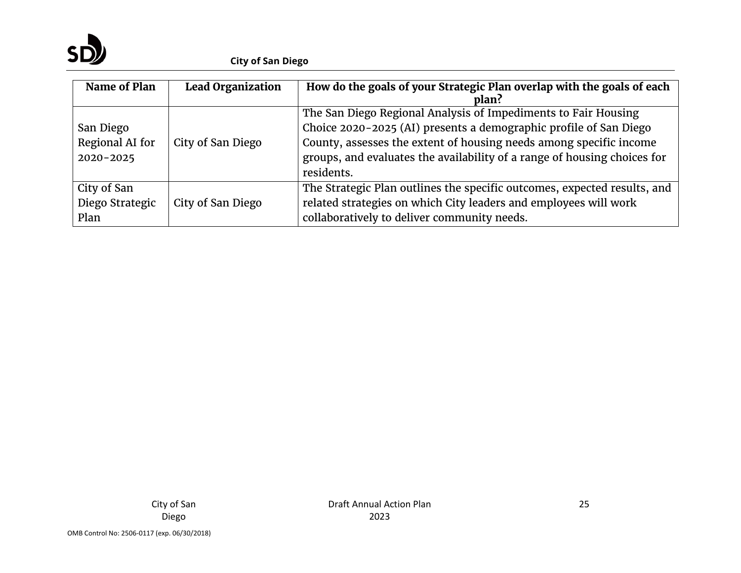

| Name of Plan                                  | <b>Lead Organization</b> | How do the goals of your Strategic Plan overlap with the goals of each<br>plan?                                                                                                                                                                                                                     |
|-----------------------------------------------|--------------------------|-----------------------------------------------------------------------------------------------------------------------------------------------------------------------------------------------------------------------------------------------------------------------------------------------------|
| San Diego<br>Regional AI for<br>$2020 - 2025$ | City of San Diego        | The San Diego Regional Analysis of Impediments to Fair Housing<br>Choice 2020-2025 (AI) presents a demographic profile of San Diego<br>County, assesses the extent of housing needs among specific income<br>groups, and evaluates the availability of a range of housing choices for<br>residents. |
| City of San<br>Diego Strategic<br>Plan        | City of San Diego        | The Strategic Plan outlines the specific outcomes, expected results, and<br>related strategies on which City leaders and employees will work<br>collaboratively to deliver community needs.                                                                                                         |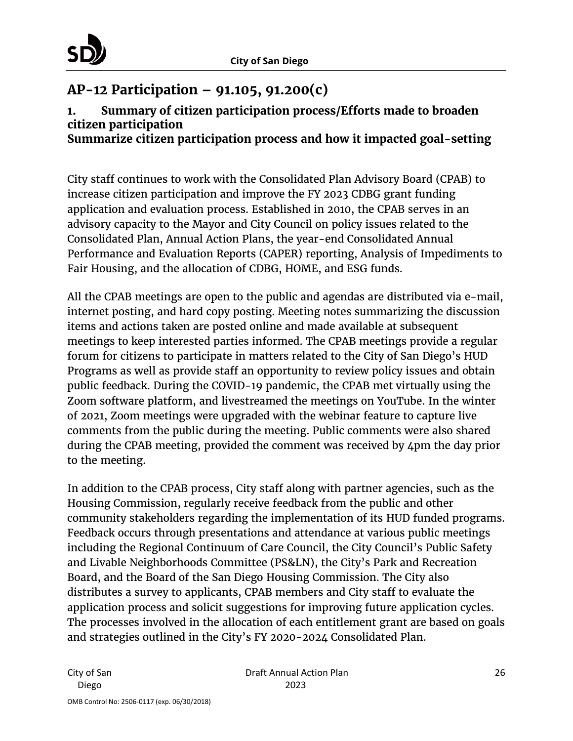

# <span id="page-25-0"></span>**AP-12 Participation – 91.105, 91.200(c)**

# **1. Summary of citizen participation process/Efforts made to broaden citizen participation**

**Summarize citizen participation process and how it impacted goal-setting**

City staff continues to work with the Consolidated Plan Advisory Board (CPAB) to increase citizen participation and improve the FY 2023 CDBG grant funding application and evaluation process. Established in 2010, the CPAB serves in an advisory capacity to the Mayor and City Council on policy issues related to the Consolidated Plan, Annual Action Plans, the year-end Consolidated Annual Performance and Evaluation Reports (CAPER) reporting, Analysis of Impediments to Fair Housing, and the allocation of CDBG, HOME, and ESG funds.

All the CPAB meetings are open to the public and agendas are distributed via e-mail, internet posting, and hard copy posting. Meeting notes summarizing the discussion items and actions taken are posted online and made available at subsequent meetings to keep interested parties informed. The CPAB meetings provide a regular forum for citizens to participate in matters related to the City of San Diego's HUD Programs as well as provide staff an opportunity to review policy issues and obtain public feedback. During the COVID-19 pandemic, the CPAB met virtually using the Zoom software platform, and livestreamed the meetings on YouTube. In the winter of 2021, Zoom meetings were upgraded with the webinar feature to capture live comments from the public during the meeting. Public comments were also shared during the CPAB meeting, provided the comment was received by 4pm the day prior to the meeting.

In addition to the CPAB process, City staff along with partner agencies, such as the Housing Commission, regularly receive feedback from the public and other community stakeholders regarding the implementation of its HUD funded programs. Feedback occurs through presentations and attendance at various public meetings including the Regional Continuum of Care Council, the City Council's Public Safety and Livable Neighborhoods Committee (PS&LN), the City's Park and Recreation Board, and the Board of the San Diego Housing Commission. The City also distributes a survey to applicants, CPAB members and City staff to evaluate the application process and solicit suggestions for improving future application cycles. The processes involved in the allocation of each entitlement grant are based on goals and strategies outlined in the City's FY 2020-2024 Consolidated Plan.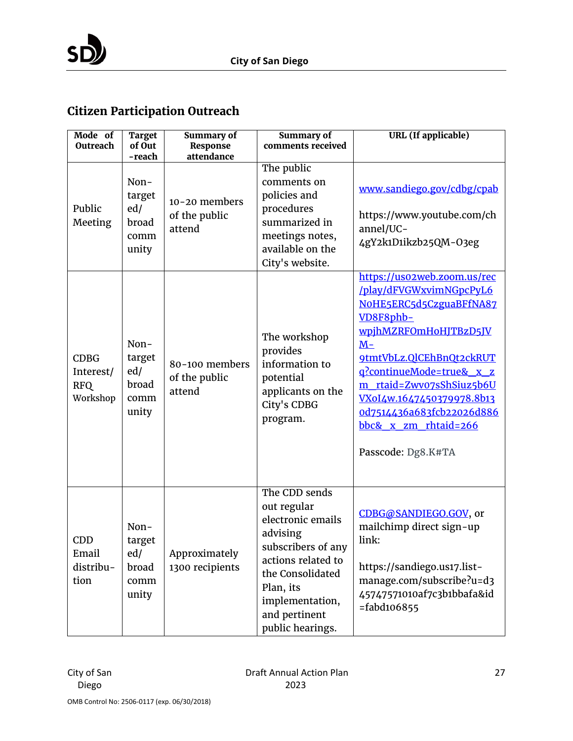# **Citizen Participation Outreach**

| Mode of<br>Outreach                                | <b>Target</b><br>of Out<br>-reach               | <b>Summary of</b><br>Response<br>attendance | <b>Summary of</b><br>comments received                                                                                                                                                             | <b>URL</b> (If applicable)                                                                                                                                                                                                                                                                                                  |
|----------------------------------------------------|-------------------------------------------------|---------------------------------------------|----------------------------------------------------------------------------------------------------------------------------------------------------------------------------------------------------|-----------------------------------------------------------------------------------------------------------------------------------------------------------------------------------------------------------------------------------------------------------------------------------------------------------------------------|
| Public<br>Meeting                                  | Non-<br>target<br>ed/<br>broad<br>comm<br>unity | 10-20 members<br>of the public<br>attend    | The public<br>comments on<br>policies and<br>procedures<br>summarized in<br>meetings notes,<br>available on the<br>City's website.                                                                 | www.sandiego.gov/cdbg/cpab<br>https://www.youtube.com/ch<br>annel/UC-<br>4gY2k1D1ikzb25QM-03eg                                                                                                                                                                                                                              |
| <b>CDBG</b><br>Interest/<br><b>RFQ</b><br>Workshop | Non-<br>target<br>ed/<br>broad<br>comm<br>unity | 80-100 members<br>of the public<br>attend   | The workshop<br>provides<br>information to<br>potential<br>applicants on the<br>City's CDBG<br>program.                                                                                            | https://uso2web.zoom.us/rec<br>/play/dFVGWxvimNGpcPyL6<br>NOHE5ERC5d5CzguaBFfNA87<br>VD8F8phb-<br>wpjhMZRFOmHoHJTBzD5JV<br>$M-$<br>9tmtVbLz.QlCEhBnQt2ckRUT<br>g?continueMode=true& x z<br>m rtaid=Zwv07sShSiuz5b6U<br>VXoI4w.1647450379978.8b13<br>0d7514436a683fcb22026d886<br>bbc& x zm rhtaid=266<br>Passcode: Dg8.K#TA |
| CDD<br>Email<br>distribu-<br>tion                  | Non-<br>target<br>ed/<br>broad<br>comm<br>unity | Approximately<br>1300 recipients            | The CDD sends<br>out regular<br>electronic emails<br>advising<br>subscribers of any<br>actions related to<br>the Consolidated<br>Plan, its<br>implementation,<br>and pertinent<br>public hearings. | CDBG@SANDIEGO.GOV, or<br>mailchimp direct sign-up<br>link:<br>https://sandiego.us17.list-<br>manage.com/subscribe?u=d3<br>45747571010af7c3b1bbafa&id<br>$=$ fabd106855                                                                                                                                                      |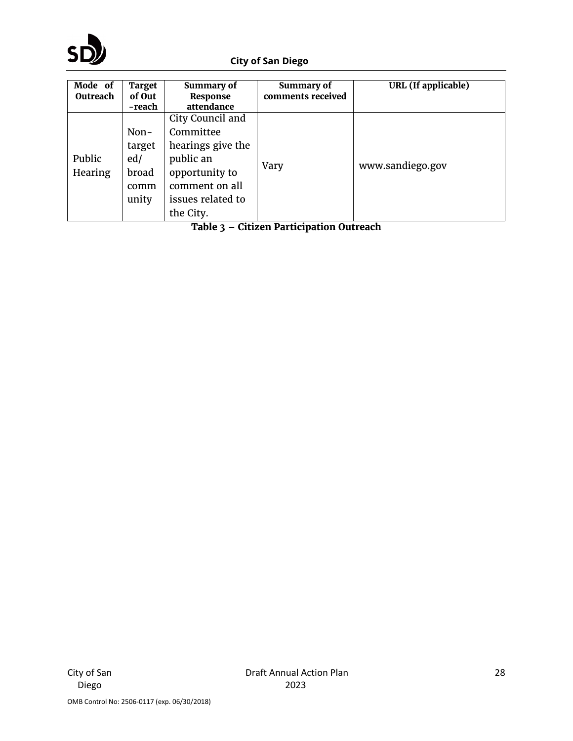

| Mode of<br>Outreach | <b>Target</b><br>of Out<br>-reach               | Summary of<br>Response<br>attendance                                                                                                  | <b>Summary of</b><br>comments received | URL (If applicable) |
|---------------------|-------------------------------------------------|---------------------------------------------------------------------------------------------------------------------------------------|----------------------------------------|---------------------|
| Public<br>Hearing   | Non-<br>target<br>ed/<br>broad<br>comm<br>unity | City Council and<br>Committee<br>hearings give the<br>public an<br>opportunity to<br>comment on all<br>issues related to<br>the City. | Vary<br>$\sim$ $\sim$                  | www.sandiego.gov    |

**Table 3 – Citizen Participation Outreach**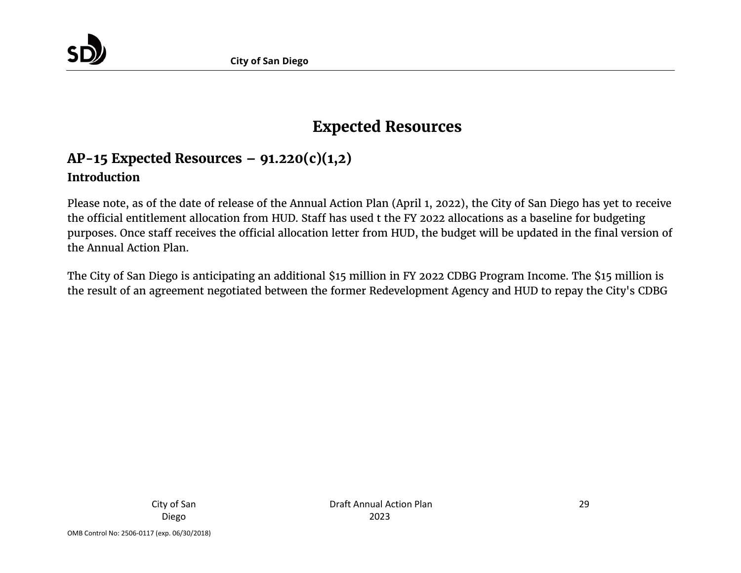

# **Expected Resources**

# **AP-15 Expected Resources – 91.220(c)(1,2) Introduction**

Please note, as of the date of release of the Annual Action Plan (April 1, 2022), the City of San Diego has yet to receive the official entitlement allocation from HUD. Staff has used t the FY 2022 allocations as a baseline for budgeting purposes. Once staff receives the official allocation letter from HUD, the budget will be updated in the final version of the Annual Action Plan.

<span id="page-28-0"></span>The City of San Diego is anticipating an additional \$15 million in FY 2022 CDBG Program Income. The \$15 million is the result of an agreement negotiated between the former Redevelopment Agency and HUD to repay the City's CDBG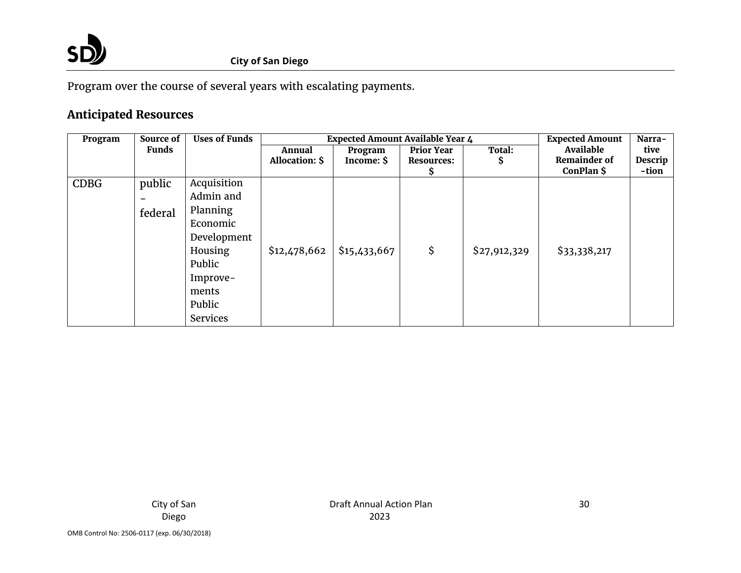

Program over the course of several years with escalating payments.

# **Anticipated Resources**

| Program     | Source of    | <b>Uses of Funds</b> |                       | Expected Amount Available Year 4 | <b>Expected Amount</b> | Narra-       |                     |         |
|-------------|--------------|----------------------|-----------------------|----------------------------------|------------------------|--------------|---------------------|---------|
|             | <b>Funds</b> |                      | Annual                | Program                          | <b>Prior Year</b>      | Total:       | Available           | tive    |
|             |              |                      | <b>Allocation: \$</b> | Income: \$                       | <b>Resources:</b>      | S            | <b>Remainder of</b> | Descrip |
|             |              |                      |                       |                                  |                        |              | ConPlan \$          | -tion   |
| <b>CDBG</b> | public       | Acquisition          |                       |                                  |                        |              |                     |         |
|             |              | Admin and            |                       |                                  |                        |              |                     |         |
|             | federal      | Planning             |                       |                                  |                        |              |                     |         |
|             |              | Economic             |                       |                                  |                        |              |                     |         |
|             |              | Development          |                       |                                  |                        |              |                     |         |
|             |              | Housing              | \$12,478,662          | \$15,433,667                     | \$                     | \$27,912,329 | \$33,338,217        |         |
|             |              | Public               |                       |                                  |                        |              |                     |         |
|             |              | Improve-             |                       |                                  |                        |              |                     |         |
|             |              | ments                |                       |                                  |                        |              |                     |         |
|             |              | Public               |                       |                                  |                        |              |                     |         |
|             |              | <b>Services</b>      |                       |                                  |                        |              |                     |         |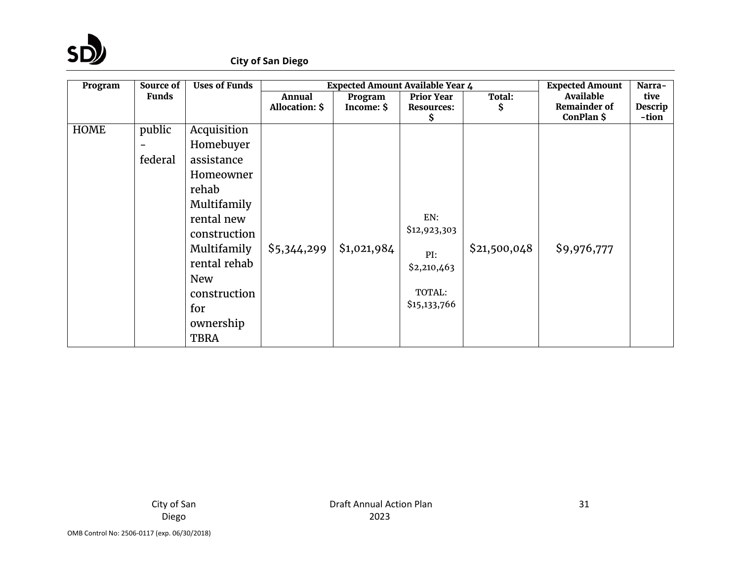

| Program     | Source of    | <b>Uses of Funds</b> | Expected Amount Available Year 4 |             |                   |              | <b>Expected Amount</b> | Narra-  |
|-------------|--------------|----------------------|----------------------------------|-------------|-------------------|--------------|------------------------|---------|
|             | <b>Funds</b> |                      | <b>Annual</b>                    | Program     | <b>Prior Year</b> | Total:       | Available              | tive    |
|             |              |                      | Allocation: \$                   | Income: \$  | <b>Resources:</b> | \$           | <b>Remainder of</b>    | Descrip |
|             |              |                      |                                  |             | Ş.                |              | ConPlan \$             | -tion   |
| <b>HOME</b> | public       | Acquisition          |                                  |             |                   |              |                        |         |
|             |              | Homebuyer            |                                  |             |                   |              |                        |         |
|             | federal      | assistance           |                                  |             |                   |              |                        |         |
|             |              | Homeowner            |                                  |             |                   |              |                        |         |
|             |              | rehab                |                                  |             |                   |              |                        |         |
|             |              | Multifamily          |                                  |             |                   |              |                        |         |
|             |              | rental new           |                                  |             | EN:               |              |                        |         |
|             |              | construction         |                                  |             | \$12,923,303      |              |                        |         |
|             |              | Multifamily          | \$5,344,299                      | \$1,021,984 | PI:               | \$21,500,048 | \$9,976,777            |         |
|             |              | rental rehab         |                                  |             | \$2,210,463       |              |                        |         |
|             |              | <b>New</b>           |                                  |             |                   |              |                        |         |
|             |              | construction         |                                  |             | TOTAL:            |              |                        |         |
|             |              | for                  |                                  |             | \$15,133,766      |              |                        |         |
|             |              | ownership            |                                  |             |                   |              |                        |         |
|             |              | <b>TBRA</b>          |                                  |             |                   |              |                        |         |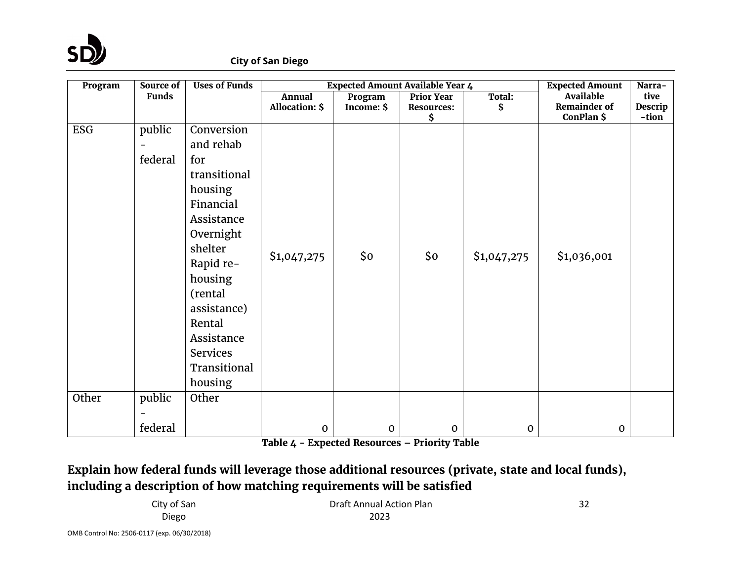

| Program    | Source of                | <b>Uses of Funds</b> | <b>Expected Amount Available Year 4</b> |                       |                                 |              | <b>Expected Amount</b>                  | Narra-                 |
|------------|--------------------------|----------------------|-----------------------------------------|-----------------------|---------------------------------|--------------|-----------------------------------------|------------------------|
|            | <b>Funds</b>             |                      | <b>Annual</b><br><b>Allocation: \$</b>  | Program<br>Income: \$ | Prior Year<br><b>Resources:</b> | Total:<br>\$ | <b>Available</b><br><b>Remainder of</b> | tive<br><b>Descrip</b> |
|            |                          |                      |                                         |                       | \$                              |              | ConPlan \$                              | -tion                  |
| <b>ESG</b> | public                   | Conversion           |                                         |                       |                                 |              |                                         |                        |
|            | $\overline{\phantom{0}}$ | and rehab            |                                         |                       |                                 |              |                                         |                        |
|            | federal                  | for                  |                                         |                       |                                 |              |                                         |                        |
|            |                          | transitional         |                                         |                       |                                 |              |                                         |                        |
|            |                          | housing              |                                         |                       |                                 |              |                                         |                        |
|            |                          | Financial            |                                         |                       |                                 |              |                                         |                        |
|            |                          | Assistance           |                                         |                       |                                 |              |                                         |                        |
|            |                          | Overnight            |                                         |                       |                                 |              |                                         |                        |
|            |                          | shelter              | \$1,047,275                             | \$0                   | \$0\$                           | \$1,047,275  | \$1,036,001                             |                        |
|            |                          | Rapid re-            |                                         |                       |                                 |              |                                         |                        |
|            |                          | housing              |                                         |                       |                                 |              |                                         |                        |
|            |                          | (rental              |                                         |                       |                                 |              |                                         |                        |
|            |                          | assistance)          |                                         |                       |                                 |              |                                         |                        |
|            |                          | Rental               |                                         |                       |                                 |              |                                         |                        |
|            |                          | Assistance           |                                         |                       |                                 |              |                                         |                        |
|            |                          | <b>Services</b>      |                                         |                       |                                 |              |                                         |                        |
|            |                          | Transitional         |                                         |                       |                                 |              |                                         |                        |
|            |                          | housing              |                                         |                       |                                 |              |                                         |                        |
| Other      | public                   | Other                |                                         |                       |                                 |              |                                         |                        |
|            |                          |                      |                                         |                       |                                 |              |                                         |                        |
|            | federal                  |                      | $\mathbf 0$                             | $\mathbf 0$           | $\mathbf 0$                     | $\mathbf{0}$ | $\mathbf{0}$                            |                        |

**Table 4 - Expected Resources – Priority Table**

# **Explain how federal funds will leverage those additional resources (private, state and local funds), including a description of how matching requirements will be satisfied**

City of San Diego

Draft Annual Action Plan 2023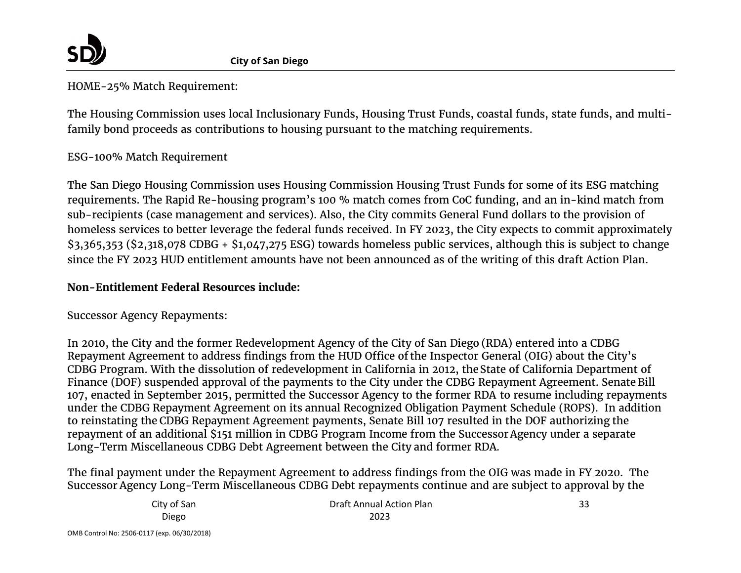

HOME-25% Match Requirement:

The Housing Commission uses local Inclusionary Funds, Housing Trust Funds, coastal funds, state funds, and multifamily bond proceeds as contributions to housing pursuant to the matching requirements.

## ESG-100% Match Requirement

The San Diego Housing Commission uses Housing Commission Housing Trust Funds for some of its ESG matching requirements. The Rapid Re-housing program's 100 % match comes from CoC funding, and an in-kind match from sub-recipients (case management and services). Also, the City commits General Fund dollars to the provision of homeless services to better leverage the federal funds received. In FY 2023, the City expects to commit approximately \$3,365,353 (\$2,318,078 CDBG + \$1,047,275 ESG) towards homeless public services, although this is subject to change since the FY 2023 HUD entitlement amounts have not been announced as of the writing of this draft Action Plan.

### **Non-Entitlement Federal Resources include:**

Successor Agency Repayments:

In 2010, the City and the former Redevelopment Agency of the City of San Diego (RDA) entered into a CDBG Repayment Agreement to address findings from the HUD Office of the Inspector General (OIG) about the City's CDBG Program. With the dissolution of redevelopment in California in 2012, theState of California Department of Finance (DOF) suspended approval of the payments to the City under the CDBG Repayment Agreement. Senate Bill 107, enacted in September 2015, permitted the Successor Agency to the former RDA to resume including repayments under the CDBG Repayment Agreement on its annual Recognized Obligation Payment Schedule (ROPS). In addition to reinstating the CDBG Repayment Agreement payments, Senate Bill 107 resulted in the DOF authorizing the repayment of an additional \$151 million in CDBG Program Income from the SuccessorAgency under a separate Long-Term Miscellaneous CDBG Debt Agreement between the City and former RDA.

The final payment under the Repayment Agreement to address findings from the OIG was made in FY 2020. The Successor Agency Long-Term Miscellaneous CDBG Debt repayments continue and are subject to approval by the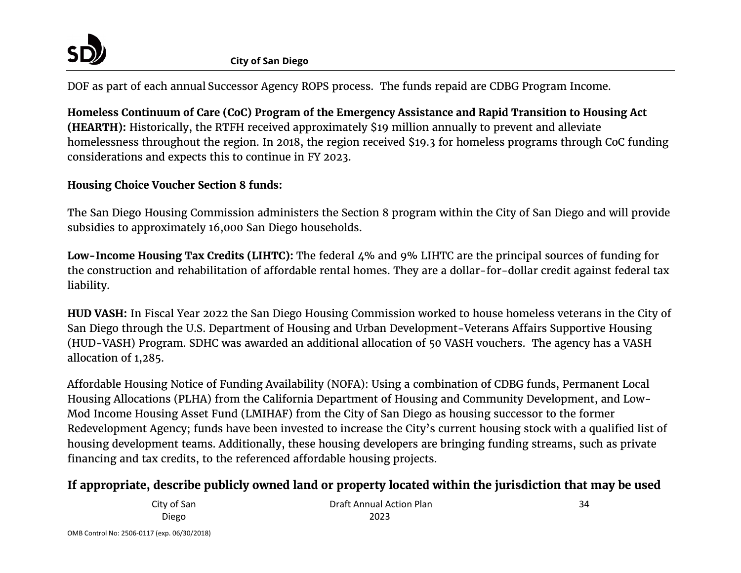

DOF as part of each annual Successor Agency ROPS process. The funds repaid are CDBG Program Income.

**Homeless Continuum of Care (CoC) Program of the Emergency Assistance and Rapid Transition to Housing Act (HEARTH):** Historically, the RTFH received approximately \$19 million annually to prevent and alleviate homelessness throughout the region. In 2018, the region received \$19.3 for homeless programs through CoC funding considerations and expects this to continue in FY 2023.

### **Housing Choice Voucher Section 8 funds:**

The San Diego Housing Commission administers the Section 8 program within the City of San Diego and will provide subsidies to approximately 16,000 San Diego households.

**Low-Income Housing Tax Credits (LIHTC):** The federal 4% and 9% LIHTC are the principal sources of funding for the construction and rehabilitation of affordable rental homes. They are a dollar-for-dollar credit against federal tax liability.

**HUD VASH:** In Fiscal Year 2022 the San Diego Housing Commission worked to house homeless veterans in the City of San Diego through the U.S. Department of Housing and Urban Development-Veterans Affairs Supportive Housing (HUD-VASH) Program. SDHC was awarded an additional allocation of 50 VASH vouchers. The agency has a VASH allocation of 1,285.

Affordable Housing Notice of Funding Availability (NOFA): Using a combination of CDBG funds, Permanent Local Housing Allocations (PLHA) from the California Department of Housing and Community Development, and Low-Mod Income Housing Asset Fund (LMIHAF) from the City of San Diego as housing successor to the former Redevelopment Agency; funds have been invested to increase the City's current housing stock with a qualified list of housing development teams. Additionally, these housing developers are bringing funding streams, such as private financing and tax credits, to the referenced affordable housing projects.

# **If appropriate, describe publicly owned land or property located within the jurisdiction that may be used**

City of San Diego Draft Annual Action Plan 2023

34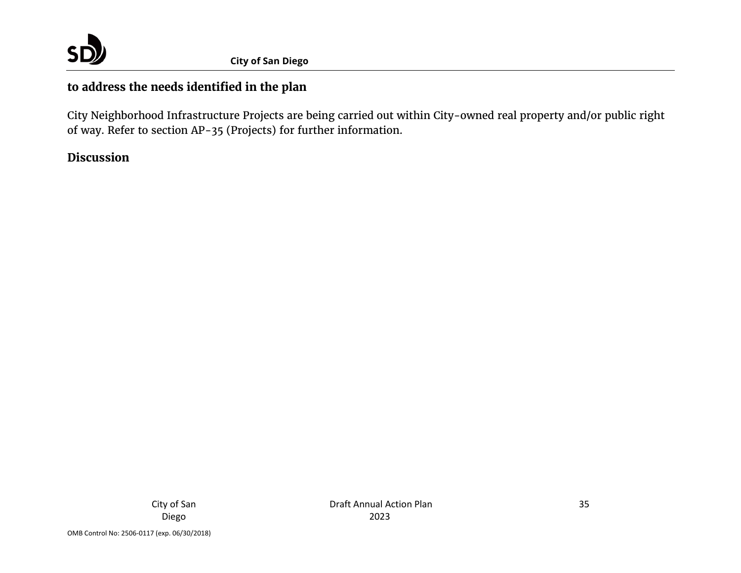

# **to address the needs identified in the plan**

City Neighborhood Infrastructure Projects are being carried out within City-owned real property and/or public right of way. Refer to section AP-35 (Projects) for further information.

## **Discussion**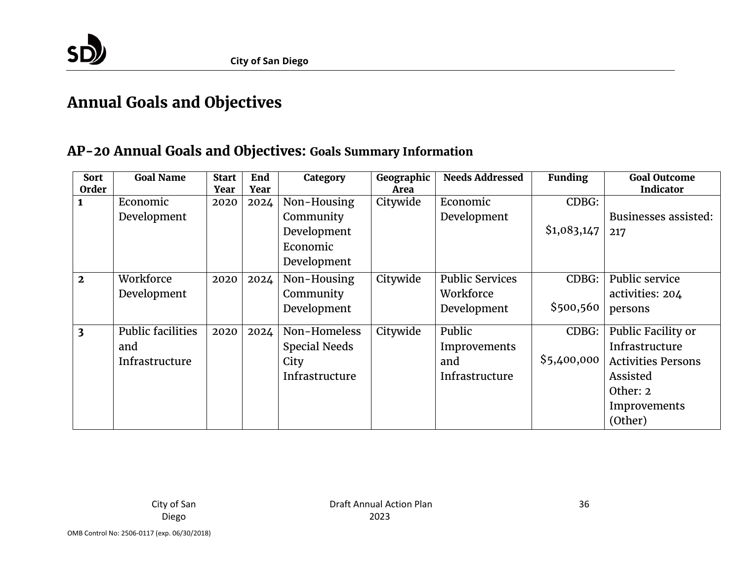

# **Annual Goals and Objectives**

# **AP-20 Annual Goals and Objectives: Goals Summary Information**

<span id="page-35-0"></span>

| <b>Sort</b><br>Order    | <b>Goal Name</b>         | <b>Start</b><br>Year | End<br>Year | Category             | Geographic<br>Area | <b>Needs Addressed</b> | <b>Funding</b> | <b>Goal Outcome</b><br><b>Indicator</b> |
|-------------------------|--------------------------|----------------------|-------------|----------------------|--------------------|------------------------|----------------|-----------------------------------------|
| $\mathbf{1}$            | Economic                 | 2020                 | 2024        | Non-Housing          | Citywide           | Economic               | CDBG:          |                                         |
|                         | Development              |                      |             | Community            |                    | Development            |                | Businesses assisted:                    |
|                         |                          |                      |             | Development          |                    |                        | \$1,083,147    | 217                                     |
|                         |                          |                      |             | Economic             |                    |                        |                |                                         |
|                         |                          |                      |             |                      |                    |                        |                |                                         |
|                         |                          |                      |             | Development          |                    |                        |                |                                         |
| $\overline{2}$          | Workforce                | 2020                 | 2024        | Non-Housing          | Citywide           | <b>Public Services</b> | CDBG:          | Public service                          |
|                         | Development              |                      |             | Community            |                    | Workforce              |                | activities: 204                         |
|                         |                          |                      |             | Development          |                    | Development            | \$500,560      | persons                                 |
| $\overline{\mathbf{3}}$ | <b>Public facilities</b> | 2020                 | 2024        | Non-Homeless         | Citywide           | Public                 | CDBG:          | Public Facility or                      |
|                         | and                      |                      |             | <b>Special Needs</b> |                    | Improvements           |                | Infrastructure                          |
|                         | Infrastructure           |                      |             | City                 |                    | and                    | \$5,400,000    | <b>Activities Persons</b>               |
|                         |                          |                      |             | Infrastructure       |                    | Infrastructure         |                | Assisted                                |
|                         |                          |                      |             |                      |                    |                        |                | Other: 2                                |
|                         |                          |                      |             |                      |                    |                        |                | Improvements                            |
|                         |                          |                      |             |                      |                    |                        |                | (Other)                                 |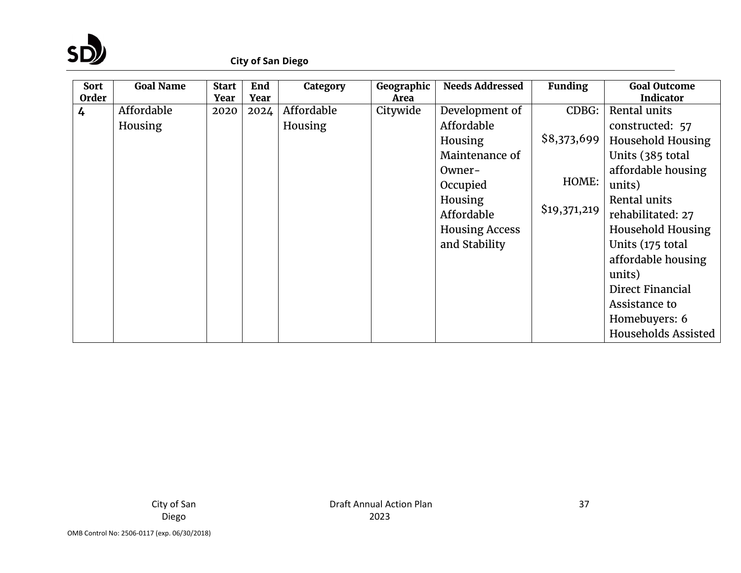

#### **City of San Diego**

| <b>Sort</b><br>Order | <b>Goal Name</b> | <b>Start</b><br>Year | End<br>Year | Category   | Geographic<br>Area | <b>Needs Addressed</b> | <b>Funding</b> | <b>Goal Outcome</b><br><b>Indicator</b> |
|----------------------|------------------|----------------------|-------------|------------|--------------------|------------------------|----------------|-----------------------------------------|
| 4                    | Affordable       | 2020                 | 2024        | Affordable | Citywide           | Development of         | CDBG:          | Rental units                            |
|                      | Housing          |                      |             | Housing    |                    | Affordable             |                | constructed: 57                         |
|                      |                  |                      |             |            |                    | Housing                | \$8,373,699    | <b>Household Housing</b>                |
|                      |                  |                      |             |            |                    | Maintenance of         |                | Units (385 total                        |
|                      |                  |                      |             |            |                    | Owner-                 |                | affordable housing                      |
|                      |                  |                      |             |            |                    | Occupied               | HOME:          | units)                                  |
|                      |                  |                      |             |            |                    | Housing                |                | Rental units                            |
|                      |                  |                      |             |            |                    | Affordable             | \$19,371,219   | rehabilitated: 27                       |
|                      |                  |                      |             |            |                    | <b>Housing Access</b>  |                | Household Housing                       |
|                      |                  |                      |             |            |                    | and Stability          |                | Units (175 total                        |
|                      |                  |                      |             |            |                    |                        |                | affordable housing                      |
|                      |                  |                      |             |            |                    |                        |                | units)                                  |
|                      |                  |                      |             |            |                    |                        |                | Direct Financial                        |
|                      |                  |                      |             |            |                    |                        |                | Assistance to                           |
|                      |                  |                      |             |            |                    |                        |                | Homebuyers: 6                           |
|                      |                  |                      |             |            |                    |                        |                | Households Assisted                     |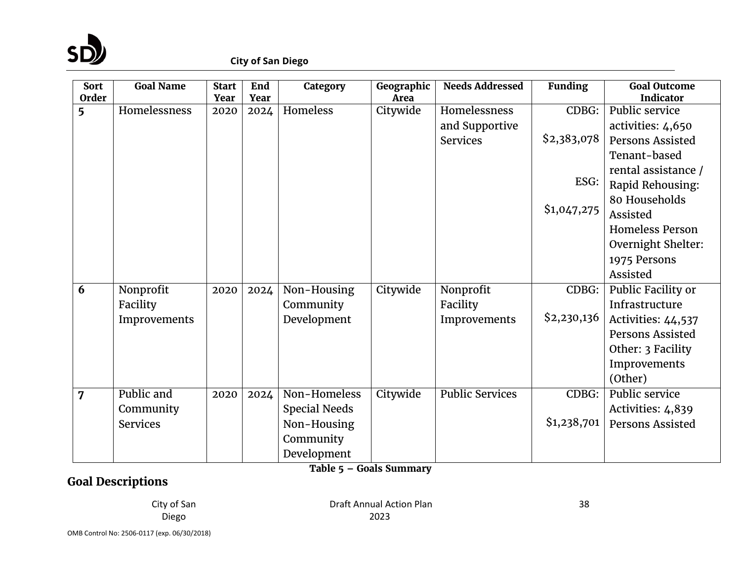

| <b>Sort</b><br><b>Order</b> | <b>Goal Name</b>    | <b>Start</b><br>Year | End<br>Year | Category             | Geographic<br>Area      | <b>Needs Addressed</b> | <b>Funding</b> | <b>Goal Outcome</b><br><b>Indicator</b> |
|-----------------------------|---------------------|----------------------|-------------|----------------------|-------------------------|------------------------|----------------|-----------------------------------------|
| 5                           | <b>Homelessness</b> | 2020                 | 2024        | Homeless             | Citywide                | Homelessness           | CDBG:          | Public service                          |
|                             |                     |                      |             |                      |                         |                        |                |                                         |
|                             |                     |                      |             |                      |                         | and Supportive         | \$2,383,078    | activities: 4,650                       |
|                             |                     |                      |             |                      |                         | <b>Services</b>        |                | <b>Persons Assisted</b>                 |
|                             |                     |                      |             |                      |                         |                        |                | Tenant-based                            |
|                             |                     |                      |             |                      |                         |                        | ESG:           | rental assistance /                     |
|                             |                     |                      |             |                      |                         |                        |                | Rapid Rehousing:                        |
|                             |                     |                      |             |                      |                         |                        |                | 80 Households                           |
|                             |                     |                      |             |                      |                         |                        | \$1,047,275    | Assisted                                |
|                             |                     |                      |             |                      |                         |                        |                | <b>Homeless Person</b>                  |
|                             |                     |                      |             |                      |                         |                        |                | Overnight Shelter:                      |
|                             |                     |                      |             |                      |                         |                        |                | 1975 Persons                            |
|                             |                     |                      |             |                      |                         |                        |                | Assisted                                |
| 6                           | Nonprofit           | 2020                 | 2024        | Non-Housing          | Citywide                | Nonprofit              | CDBG:          | Public Facility or                      |
|                             | Facility            |                      |             | Community            |                         | Facility               |                | Infrastructure                          |
|                             | Improvements        |                      |             | Development          |                         | Improvements           | \$2,230,136    | Activities: 44,537                      |
|                             |                     |                      |             |                      |                         |                        |                | Persons Assisted                        |
|                             |                     |                      |             |                      |                         |                        |                | Other: 3 Facility                       |
|                             |                     |                      |             |                      |                         |                        |                | Improvements                            |
|                             |                     |                      |             |                      |                         |                        |                | (Other)                                 |
| 7                           | Public and          | 2020                 | 2024        | Non-Homeless         | Citywide                | <b>Public Services</b> | CDBG:          | Public service                          |
|                             | Community           |                      |             | <b>Special Needs</b> |                         |                        |                | Activities: 4,839                       |
|                             | <b>Services</b>     |                      |             | Non-Housing          |                         |                        | \$1,238,701    | <b>Persons Assisted</b>                 |
|                             |                     |                      |             | Community            |                         |                        |                |                                         |
|                             |                     |                      |             | Development          |                         |                        |                |                                         |
|                             |                     |                      |             |                      | Table 5 - Goals Summary |                        |                |                                         |

# **Goal Descriptions**

City of San Diego

Draft Annual Action Plan 2023

OMB Control No: 2506-0117 (exp. 06/30/2018)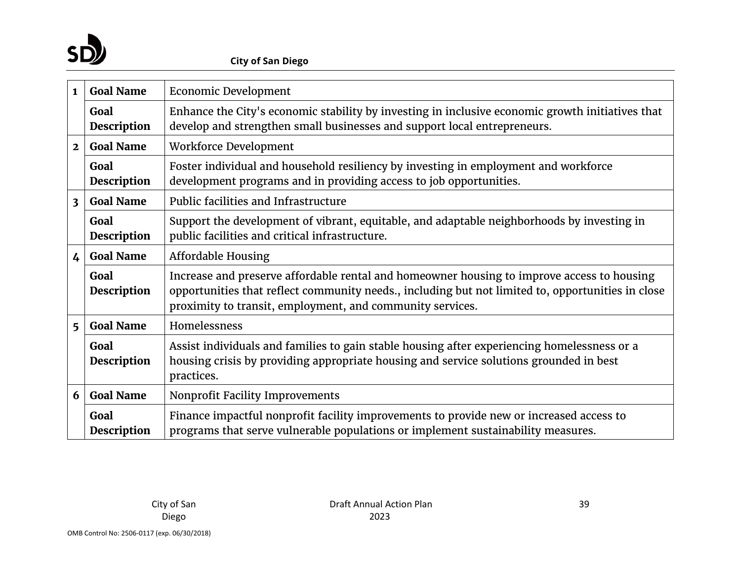

| $\mathbf{1}$            | <b>Goal Name</b>           | <b>Economic Development</b>                                                                                                                                                                                                                                  |
|-------------------------|----------------------------|--------------------------------------------------------------------------------------------------------------------------------------------------------------------------------------------------------------------------------------------------------------|
|                         | Goal<br>Description        | Enhance the City's economic stability by investing in inclusive economic growth initiatives that<br>develop and strengthen small businesses and support local entrepreneurs.                                                                                 |
| $\mathbf{2}$            | <b>Goal Name</b>           | Workforce Development                                                                                                                                                                                                                                        |
|                         | Goal<br><b>Description</b> | Foster individual and household resiliency by investing in employment and workforce<br>development programs and in providing access to job opportunities.                                                                                                    |
| $\overline{\mathbf{3}}$ | <b>Goal Name</b>           | Public facilities and Infrastructure                                                                                                                                                                                                                         |
|                         | Goal<br><b>Description</b> | Support the development of vibrant, equitable, and adaptable neighborhoods by investing in<br>public facilities and critical infrastructure.                                                                                                                 |
| $\overline{4}$          | <b>Goal Name</b>           | <b>Affordable Housing</b>                                                                                                                                                                                                                                    |
|                         | Goal<br>Description        | Increase and preserve affordable rental and homeowner housing to improve access to housing<br>opportunities that reflect community needs., including but not limited to, opportunities in close<br>proximity to transit, employment, and community services. |
| 5                       | <b>Goal Name</b>           | Homelessness                                                                                                                                                                                                                                                 |
|                         | Goal<br><b>Description</b> | Assist individuals and families to gain stable housing after experiencing homelessness or a<br>housing crisis by providing appropriate housing and service solutions grounded in best<br>practices.                                                          |
| 6                       | <b>Goal Name</b>           | Nonprofit Facility Improvements                                                                                                                                                                                                                              |
|                         | Goal<br><b>Description</b> | Finance impactful nonprofit facility improvements to provide new or increased access to<br>programs that serve vulnerable populations or implement sustainability measures.                                                                                  |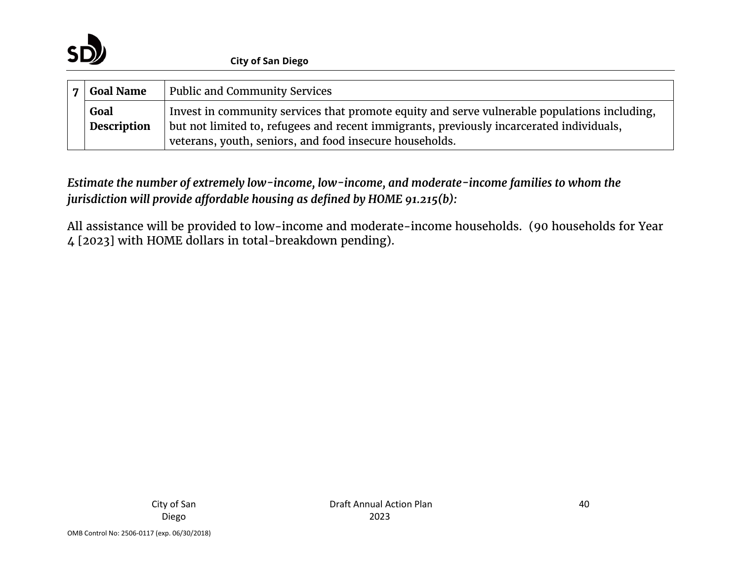

| <b>Public and Community Services</b><br><b>Goal Name</b> |                            |                                                                                                                                                                                                                                                     |
|----------------------------------------------------------|----------------------------|-----------------------------------------------------------------------------------------------------------------------------------------------------------------------------------------------------------------------------------------------------|
|                                                          | Goal<br><b>Description</b> | Invest in community services that promote equity and serve vulnerable populations including,<br>but not limited to, refugees and recent immigrants, previously incarcerated individuals,<br>veterans, youth, seniors, and food insecure households. |

*Estimate the number of extremely low-income, low-income, and moderate-income families to whom the jurisdiction will provide affordable housing as defined by HOME 91.215(b):*

All assistance will be provided to low-income and moderate-income households. (90 households for Year 4 [2023] with HOME dollars in total-breakdown pending).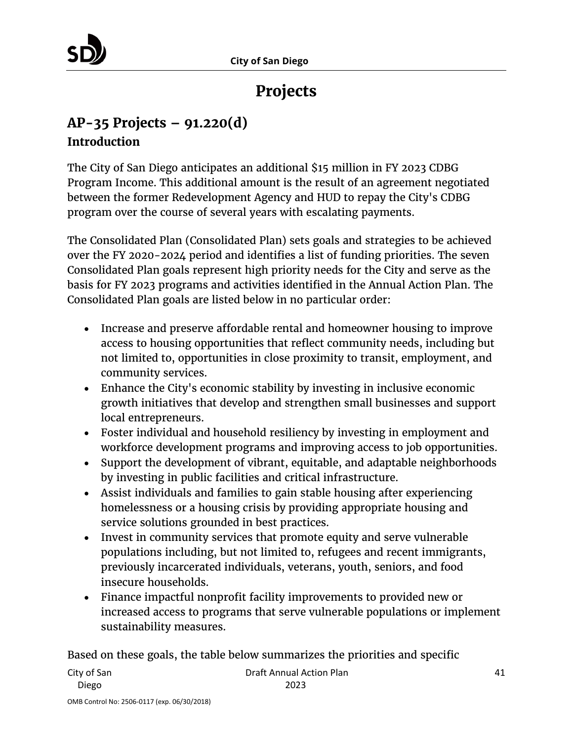

# **Projects**

# **AP-35 Projects – 91.220(d)**

### **Introduction**

The City of San Diego anticipates an additional \$15 million in FY 2023 CDBG Program Income. This additional amount is the result of an agreement negotiated between the former Redevelopment Agency and HUD to repay the City's CDBG program over the course of several years with escalating payments.

The Consolidated Plan (Consolidated Plan) sets goals and strategies to be achieved over the FY 2020-2024 period and identifies a list of funding priorities. The seven Consolidated Plan goals represent high priority needs for the City and serve as the basis for FY 2023 programs and activities identified in the Annual Action Plan. The Consolidated Plan goals are listed below in no particular order:

- Increase and preserve affordable rental and homeowner housing to improve access to housing opportunities that reflect community needs, including but not limited to, opportunities in close proximity to transit, employment, and community services.
- Enhance the City's economic stability by investing in inclusive economic growth initiatives that develop and strengthen small businesses and support local entrepreneurs.
- Foster individual and household resiliency by investing in employment and workforce development programs and improving access to job opportunities.
- Support the development of vibrant, equitable, and adaptable neighborhoods by investing in public facilities and critical infrastructure.
- Assist individuals and families to gain stable housing after experiencing homelessness or a housing crisis by providing appropriate housing and service solutions grounded in best practices.
- Invest in community services that promote equity and serve vulnerable populations including, but not limited to, refugees and recent immigrants, previously incarcerated individuals, veterans, youth, seniors, and food insecure households.
- Finance impactful nonprofit facility improvements to provided new or increased access to programs that serve vulnerable populations or implement sustainability measures.

2023

Based on these goals, the table below summarizes the priorities and specific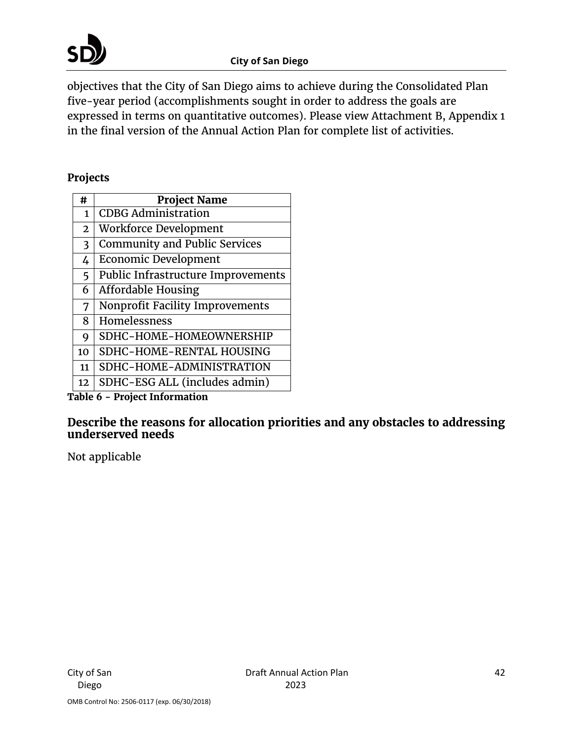

objectives that the City of San Diego aims to achieve during the Consolidated Plan five-year period (accomplishments sought in order to address the goals are expressed in terms on quantitative outcomes). Please view Attachment B, Appendix 1 in the final version of the Annual Action Plan for complete list of activities.

#### **Projects**

| #              | <b>Project Name</b>                  |
|----------------|--------------------------------------|
| $\mathbf{1}$   | <b>CDBG Administration</b>           |
| $\overline{2}$ | Workforce Development                |
| 3              | <b>Community and Public Services</b> |
| 4              | <b>Economic Development</b>          |
| 5              | Public Infrastructure Improvements   |
| 6              | <b>Affordable Housing</b>            |
| 7              | Nonprofit Facility Improvements      |
| 8              | Homelessness                         |
| 9              | SDHC-HOME-HOMEOWNERSHIP              |
| 10             | SDHC-HOME-RENTAL HOUSING             |
| 11             | SDHC-HOME-ADMINISTRATION             |
| 12             | SDHC-ESG ALL (includes admin)        |

**Table 6 - Project Information**

#### **Describe the reasons for allocation priorities and any obstacles to addressing underserved needs**

Not applicable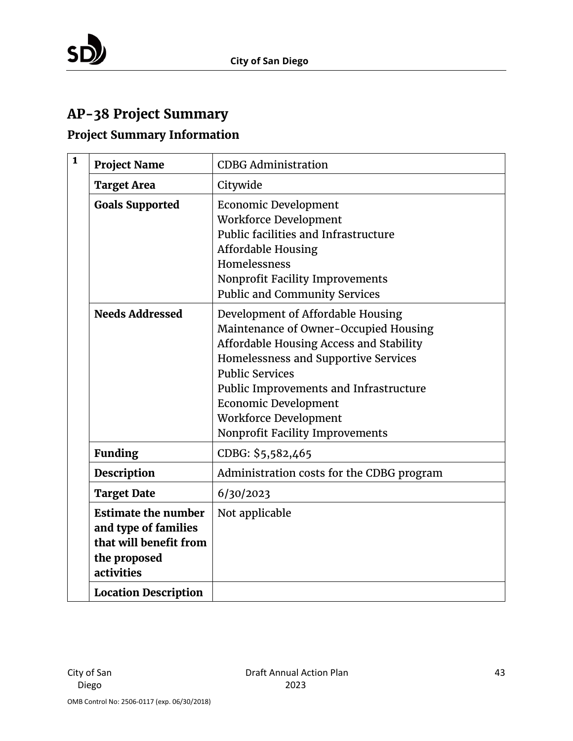# **AP-38 Project Summary**

# **Project Summary Information**

| $\mathbf{1}$ | <b>Project Name</b>                                                                                                                       | <b>CDBG Administration</b>                                                                                                                                                                                                                                                                                                          |
|--------------|-------------------------------------------------------------------------------------------------------------------------------------------|-------------------------------------------------------------------------------------------------------------------------------------------------------------------------------------------------------------------------------------------------------------------------------------------------------------------------------------|
|              | <b>Target Area</b>                                                                                                                        | Citywide                                                                                                                                                                                                                                                                                                                            |
|              | <b>Goals Supported</b>                                                                                                                    | <b>Economic Development</b><br>Workforce Development<br>Public facilities and Infrastructure<br><b>Affordable Housing</b><br>Homelessness<br>Nonprofit Facility Improvements<br><b>Public and Community Services</b>                                                                                                                |
|              | <b>Needs Addressed</b>                                                                                                                    | Development of Affordable Housing<br>Maintenance of Owner-Occupied Housing<br>Affordable Housing Access and Stability<br>Homelessness and Supportive Services<br><b>Public Services</b><br>Public Improvements and Infrastructure<br><b>Economic Development</b><br><b>Workforce Development</b><br>Nonprofit Facility Improvements |
|              | <b>Funding</b>                                                                                                                            | CDBG: \$5,582,465                                                                                                                                                                                                                                                                                                                   |
|              | <b>Description</b>                                                                                                                        | Administration costs for the CDBG program                                                                                                                                                                                                                                                                                           |
|              | <b>Target Date</b>                                                                                                                        | 6/30/2023                                                                                                                                                                                                                                                                                                                           |
|              | <b>Estimate the number</b><br>and type of families<br>that will benefit from<br>the proposed<br>activities<br><b>Location Description</b> | Not applicable                                                                                                                                                                                                                                                                                                                      |
|              |                                                                                                                                           |                                                                                                                                                                                                                                                                                                                                     |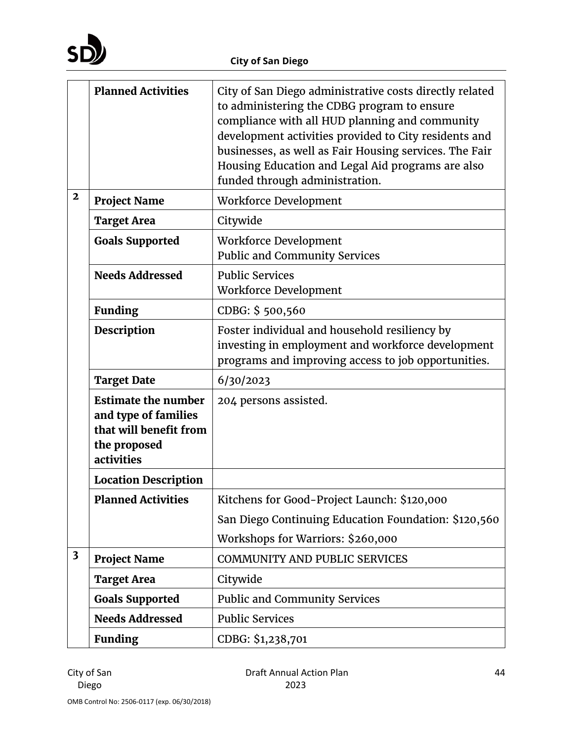

|                         | <b>Planned Activities</b>                                                                                  | City of San Diego administrative costs directly related<br>to administering the CDBG program to ensure<br>compliance with all HUD planning and community<br>development activities provided to City residents and<br>businesses, as well as Fair Housing services. The Fair<br>Housing Education and Legal Aid programs are also<br>funded through administration. |
|-------------------------|------------------------------------------------------------------------------------------------------------|--------------------------------------------------------------------------------------------------------------------------------------------------------------------------------------------------------------------------------------------------------------------------------------------------------------------------------------------------------------------|
| $\mathbf{2}$            | <b>Project Name</b>                                                                                        | Workforce Development                                                                                                                                                                                                                                                                                                                                              |
|                         | <b>Target Area</b>                                                                                         | Citywide                                                                                                                                                                                                                                                                                                                                                           |
|                         | <b>Goals Supported</b>                                                                                     | Workforce Development<br><b>Public and Community Services</b>                                                                                                                                                                                                                                                                                                      |
|                         | <b>Needs Addressed</b>                                                                                     | <b>Public Services</b><br>Workforce Development                                                                                                                                                                                                                                                                                                                    |
|                         | <b>Funding</b>                                                                                             | CDBG: \$500,560                                                                                                                                                                                                                                                                                                                                                    |
|                         | <b>Description</b>                                                                                         | Foster individual and household resiliency by<br>investing in employment and workforce development<br>programs and improving access to job opportunities.                                                                                                                                                                                                          |
|                         | <b>Target Date</b>                                                                                         | 6/30/2023                                                                                                                                                                                                                                                                                                                                                          |
|                         | <b>Estimate the number</b><br>and type of families<br>that will benefit from<br>the proposed<br>activities | 204 persons assisted.                                                                                                                                                                                                                                                                                                                                              |
|                         | <b>Location Description</b>                                                                                |                                                                                                                                                                                                                                                                                                                                                                    |
|                         | <b>Planned Activities</b>                                                                                  | Kitchens for Good-Project Launch: \$120,000                                                                                                                                                                                                                                                                                                                        |
|                         |                                                                                                            | San Diego Continuing Education Foundation: \$120,560                                                                                                                                                                                                                                                                                                               |
|                         |                                                                                                            | Workshops for Warriors: \$260,000                                                                                                                                                                                                                                                                                                                                  |
| $\overline{\mathbf{3}}$ | <b>Project Name</b>                                                                                        | <b>COMMUNITY AND PUBLIC SERVICES</b>                                                                                                                                                                                                                                                                                                                               |
|                         | <b>Target Area</b>                                                                                         | Citywide                                                                                                                                                                                                                                                                                                                                                           |
|                         | <b>Goals Supported</b>                                                                                     | <b>Public and Community Services</b>                                                                                                                                                                                                                                                                                                                               |
|                         | <b>Needs Addressed</b>                                                                                     | <b>Public Services</b>                                                                                                                                                                                                                                                                                                                                             |
|                         | <b>Funding</b>                                                                                             | CDBG: \$1,238,701                                                                                                                                                                                                                                                                                                                                                  |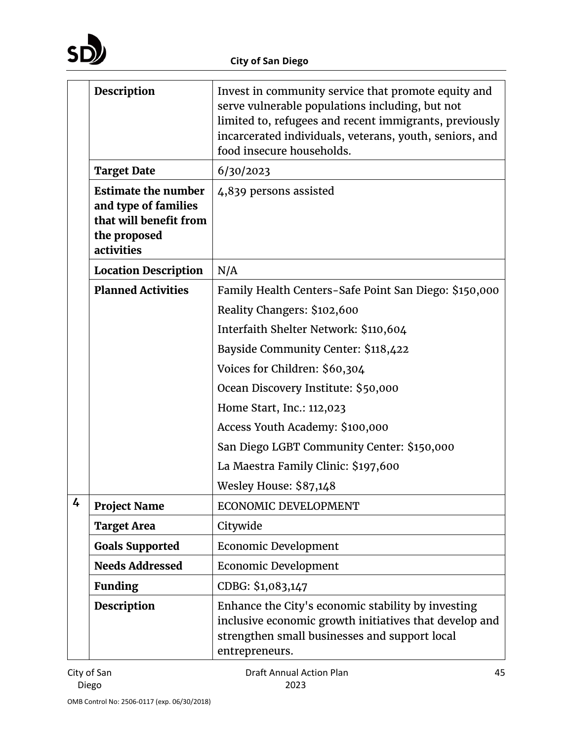|   | Description                                                                                                | Invest in community service that promote equity and<br>serve vulnerable populations including, but not<br>limited to, refugees and recent immigrants, previously<br>incarcerated individuals, veterans, youth, seniors, and<br>food insecure households. |
|---|------------------------------------------------------------------------------------------------------------|----------------------------------------------------------------------------------------------------------------------------------------------------------------------------------------------------------------------------------------------------------|
|   | <b>Target Date</b>                                                                                         | 6/30/2023                                                                                                                                                                                                                                                |
|   | <b>Estimate the number</b><br>and type of families<br>that will benefit from<br>the proposed<br>activities | 4,839 persons assisted                                                                                                                                                                                                                                   |
|   | <b>Location Description</b>                                                                                | N/A                                                                                                                                                                                                                                                      |
|   | <b>Planned Activities</b>                                                                                  | Family Health Centers-Safe Point San Diego: \$150,000                                                                                                                                                                                                    |
|   |                                                                                                            | Reality Changers: \$102,600                                                                                                                                                                                                                              |
|   |                                                                                                            | Interfaith Shelter Network: \$110,604                                                                                                                                                                                                                    |
|   |                                                                                                            | Bayside Community Center: \$118,422                                                                                                                                                                                                                      |
|   |                                                                                                            | Voices for Children: \$60,304                                                                                                                                                                                                                            |
|   |                                                                                                            | Ocean Discovery Institute: \$50,000                                                                                                                                                                                                                      |
|   |                                                                                                            | Home Start, Inc.: 112,023                                                                                                                                                                                                                                |
|   |                                                                                                            | Access Youth Academy: \$100,000                                                                                                                                                                                                                          |
|   |                                                                                                            | San Diego LGBT Community Center: \$150,000                                                                                                                                                                                                               |
|   |                                                                                                            | La Maestra Family Clinic: \$197,600                                                                                                                                                                                                                      |
|   |                                                                                                            | Wesley House: \$87,148                                                                                                                                                                                                                                   |
| 4 | <b>Project Name</b>                                                                                        | ECONOMIC DEVELOPMENT                                                                                                                                                                                                                                     |
|   | <b>Target Area</b>                                                                                         | Citywide                                                                                                                                                                                                                                                 |
|   | <b>Goals Supported</b>                                                                                     | <b>Economic Development</b>                                                                                                                                                                                                                              |
|   | <b>Needs Addressed</b>                                                                                     | <b>Economic Development</b>                                                                                                                                                                                                                              |
|   | <b>Funding</b>                                                                                             | CDBG: \$1,083,147                                                                                                                                                                                                                                        |
|   | Description                                                                                                | Enhance the City's economic stability by investing<br>inclusive economic growth initiatives that develop and<br>strengthen small businesses and support local<br>entrepreneurs.                                                                          |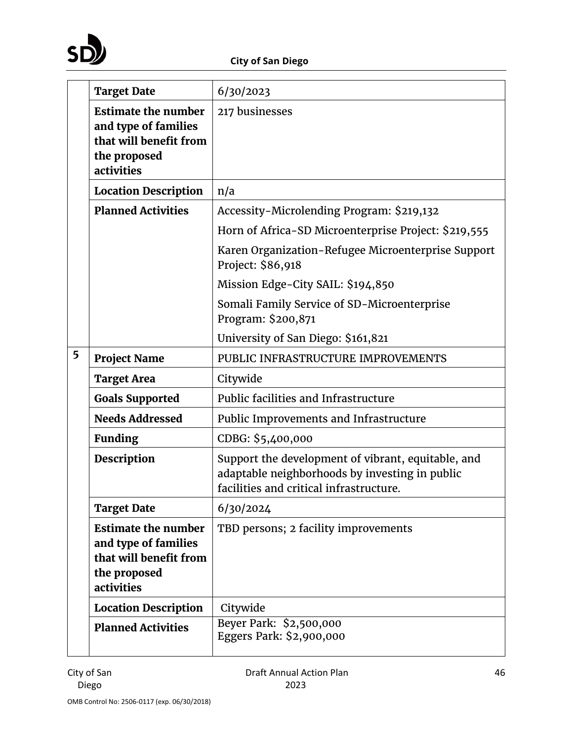

|   | <b>Target Date</b>                                                                                         | 6/30/2023                                                                                                                                       |
|---|------------------------------------------------------------------------------------------------------------|-------------------------------------------------------------------------------------------------------------------------------------------------|
|   | <b>Estimate the number</b><br>and type of families<br>that will benefit from<br>the proposed<br>activities | 217 businesses                                                                                                                                  |
|   | <b>Location Description</b>                                                                                | n/a                                                                                                                                             |
|   | <b>Planned Activities</b>                                                                                  | Accessity-Microlending Program: \$219,132                                                                                                       |
|   |                                                                                                            | Horn of Africa-SD Microenterprise Project: \$219,555                                                                                            |
|   |                                                                                                            | Karen Organization-Refugee Microenterprise Support<br>Project: \$86,918                                                                         |
|   |                                                                                                            | Mission Edge-City SAIL: \$194,850                                                                                                               |
|   |                                                                                                            | Somali Family Service of SD-Microenterprise<br>Program: \$200,871                                                                               |
|   |                                                                                                            | University of San Diego: \$161,821                                                                                                              |
| 5 | <b>Project Name</b>                                                                                        | PUBLIC INFRASTRUCTURE IMPROVEMENTS                                                                                                              |
|   | <b>Target Area</b>                                                                                         | Citywide                                                                                                                                        |
|   | <b>Goals Supported</b>                                                                                     | Public facilities and Infrastructure                                                                                                            |
|   | <b>Needs Addressed</b>                                                                                     | Public Improvements and Infrastructure                                                                                                          |
|   | <b>Funding</b>                                                                                             | CDBG: \$5,400,000                                                                                                                               |
|   | <b>Description</b>                                                                                         | Support the development of vibrant, equitable, and<br>adaptable neighborhoods by investing in public<br>facilities and critical infrastructure. |
|   | <b>Target Date</b>                                                                                         | 6/30/2024                                                                                                                                       |
|   | <b>Estimate the number</b><br>and type of families<br>that will benefit from<br>the proposed<br>activities | TBD persons; 2 facility improvements                                                                                                            |
|   | <b>Location Description</b>                                                                                | Citywide                                                                                                                                        |
|   | <b>Planned Activities</b>                                                                                  | Beyer Park: \$2,500,000<br>Eggers Park: \$2,900,000                                                                                             |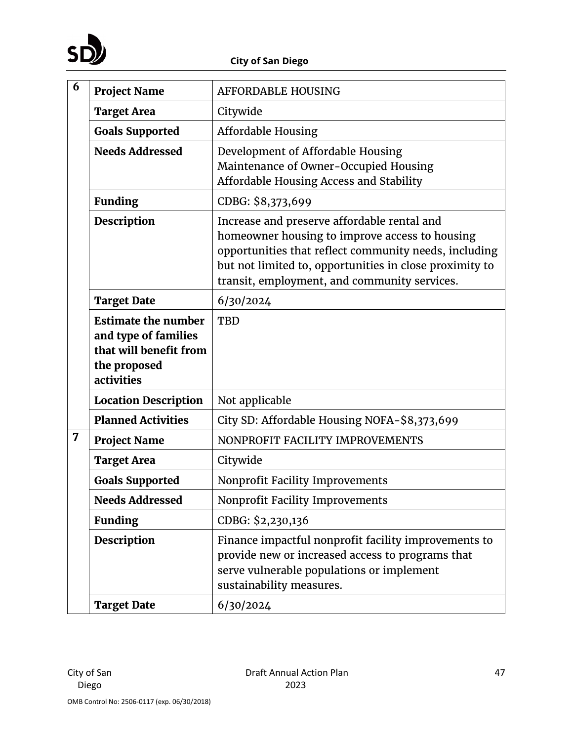

| 6 | <b>Project Name</b>                                                                                        | <b>AFFORDABLE HOUSING</b>                                                                                                                                                                                                                                         |
|---|------------------------------------------------------------------------------------------------------------|-------------------------------------------------------------------------------------------------------------------------------------------------------------------------------------------------------------------------------------------------------------------|
|   | <b>Target Area</b>                                                                                         | Citywide                                                                                                                                                                                                                                                          |
|   | <b>Goals Supported</b>                                                                                     | <b>Affordable Housing</b>                                                                                                                                                                                                                                         |
|   | <b>Needs Addressed</b>                                                                                     | Development of Affordable Housing<br>Maintenance of Owner-Occupied Housing<br>Affordable Housing Access and Stability                                                                                                                                             |
|   | <b>Funding</b>                                                                                             | CDBG: \$8,373,699                                                                                                                                                                                                                                                 |
|   | Description                                                                                                | Increase and preserve affordable rental and<br>homeowner housing to improve access to housing<br>opportunities that reflect community needs, including<br>but not limited to, opportunities in close proximity to<br>transit, employment, and community services. |
|   | <b>Target Date</b>                                                                                         | 6/30/2024                                                                                                                                                                                                                                                         |
|   | <b>Estimate the number</b><br>and type of families<br>that will benefit from<br>the proposed<br>activities | <b>TBD</b>                                                                                                                                                                                                                                                        |
|   | <b>Location Description</b>                                                                                | Not applicable                                                                                                                                                                                                                                                    |
|   | <b>Planned Activities</b>                                                                                  | City SD: Affordable Housing NOFA-\$8,373,699                                                                                                                                                                                                                      |
| 7 | <b>Project Name</b>                                                                                        | NONPROFIT FACILITY IMPROVEMENTS                                                                                                                                                                                                                                   |
|   | <b>Target Area</b>                                                                                         | Citywide                                                                                                                                                                                                                                                          |
|   | <b>Goals Supported</b>                                                                                     | Nonprofit Facility Improvements                                                                                                                                                                                                                                   |
|   | <b>Needs Addressed</b>                                                                                     | Nonprofit Facility Improvements                                                                                                                                                                                                                                   |
|   | <b>Funding</b>                                                                                             | CDBG: \$2,230,136                                                                                                                                                                                                                                                 |
|   | <b>Description</b>                                                                                         | Finance impactful nonprofit facility improvements to<br>provide new or increased access to programs that<br>serve vulnerable populations or implement<br>sustainability measures.                                                                                 |
|   | <b>Target Date</b>                                                                                         | 6/30/2024                                                                                                                                                                                                                                                         |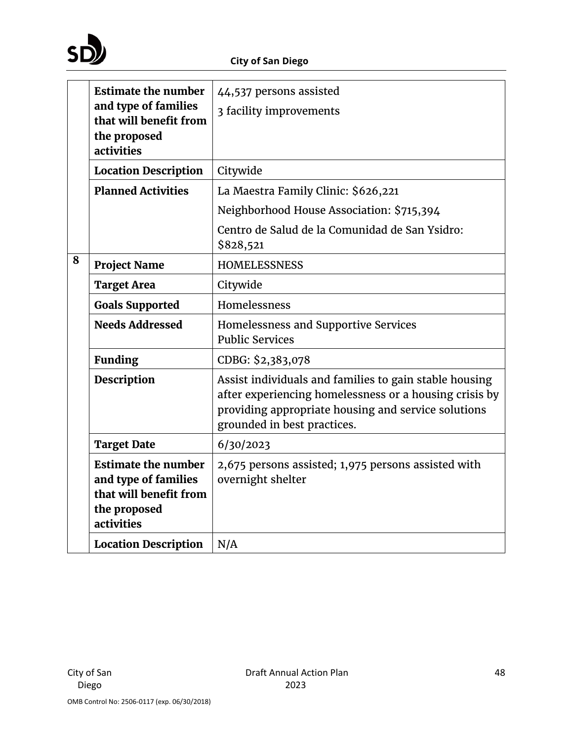

|   | <b>Estimate the number</b><br>and type of families                                                         | 44,537 persons assisted<br>3 facility improvements                                                                                                                                                     |
|---|------------------------------------------------------------------------------------------------------------|--------------------------------------------------------------------------------------------------------------------------------------------------------------------------------------------------------|
|   | that will benefit from<br>the proposed<br>activities                                                       |                                                                                                                                                                                                        |
|   | <b>Location Description</b>                                                                                | Citywide                                                                                                                                                                                               |
|   | <b>Planned Activities</b>                                                                                  | La Maestra Family Clinic: \$626,221                                                                                                                                                                    |
|   |                                                                                                            | Neighborhood House Association: \$715,394                                                                                                                                                              |
|   |                                                                                                            | Centro de Salud de la Comunidad de San Ysidro:<br>\$828,521                                                                                                                                            |
| 8 | <b>Project Name</b>                                                                                        | <b>HOMELESSNESS</b>                                                                                                                                                                                    |
|   | <b>Target Area</b>                                                                                         | Citywide                                                                                                                                                                                               |
|   | <b>Goals Supported</b>                                                                                     | Homelessness                                                                                                                                                                                           |
|   | <b>Needs Addressed</b>                                                                                     | Homelessness and Supportive Services<br><b>Public Services</b>                                                                                                                                         |
|   | <b>Funding</b>                                                                                             | CDBG: \$2,383,078                                                                                                                                                                                      |
|   | <b>Description</b>                                                                                         | Assist individuals and families to gain stable housing<br>after experiencing homelessness or a housing crisis by<br>providing appropriate housing and service solutions<br>grounded in best practices. |
|   | <b>Target Date</b>                                                                                         | 6/30/2023                                                                                                                                                                                              |
|   | <b>Estimate the number</b><br>and type of families<br>that will benefit from<br>the proposed<br>activities | 2,675 persons assisted; 1,975 persons assisted with<br>overnight shelter                                                                                                                               |
|   | <b>Location Description</b>                                                                                | N/A                                                                                                                                                                                                    |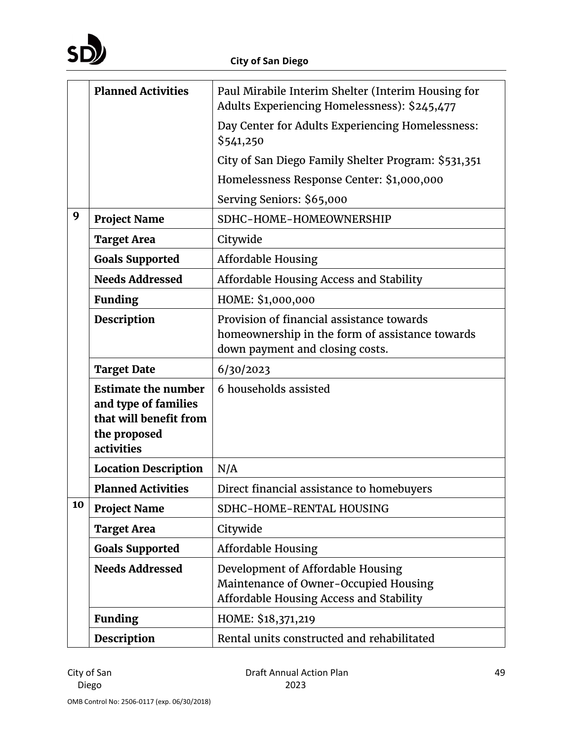

|    | <b>Planned Activities</b>                                                                                  | Paul Mirabile Interim Shelter (Interim Housing for<br>Adults Experiencing Homelessness): \$245,477                              |
|----|------------------------------------------------------------------------------------------------------------|---------------------------------------------------------------------------------------------------------------------------------|
|    |                                                                                                            | Day Center for Adults Experiencing Homelessness:<br>\$541,250                                                                   |
|    |                                                                                                            | City of San Diego Family Shelter Program: \$531,351                                                                             |
|    |                                                                                                            | Homelessness Response Center: \$1,000,000                                                                                       |
|    |                                                                                                            | Serving Seniors: \$65,000                                                                                                       |
| 9  | <b>Project Name</b>                                                                                        | SDHC-HOME-HOMEOWNERSHIP                                                                                                         |
|    | <b>Target Area</b>                                                                                         | Citywide                                                                                                                        |
|    | <b>Goals Supported</b>                                                                                     | <b>Affordable Housing</b>                                                                                                       |
|    | <b>Needs Addressed</b>                                                                                     | Affordable Housing Access and Stability                                                                                         |
|    | <b>Funding</b>                                                                                             | HOME: \$1,000,000                                                                                                               |
|    | <b>Description</b>                                                                                         | Provision of financial assistance towards<br>homeownership in the form of assistance towards<br>down payment and closing costs. |
|    | <b>Target Date</b>                                                                                         | 6/30/2023                                                                                                                       |
|    | <b>Estimate the number</b><br>and type of families<br>that will benefit from<br>the proposed<br>activities | 6 households assisted                                                                                                           |
|    | <b>Location Description</b>                                                                                | N/A                                                                                                                             |
|    | <b>Planned Activities</b>                                                                                  | Direct financial assistance to homebuyers                                                                                       |
| 10 | <b>Project Name</b>                                                                                        | SDHC-HOME-RENTAL HOUSING                                                                                                        |
|    | <b>Target Area</b>                                                                                         | Citywide                                                                                                                        |
|    | <b>Goals Supported</b>                                                                                     | <b>Affordable Housing</b>                                                                                                       |
|    | <b>Needs Addressed</b>                                                                                     | Development of Affordable Housing<br>Maintenance of Owner-Occupied Housing<br>Affordable Housing Access and Stability           |
|    | <b>Funding</b>                                                                                             | HOME: \$18,371,219                                                                                                              |
|    | <b>Description</b>                                                                                         | Rental units constructed and rehabilitated                                                                                      |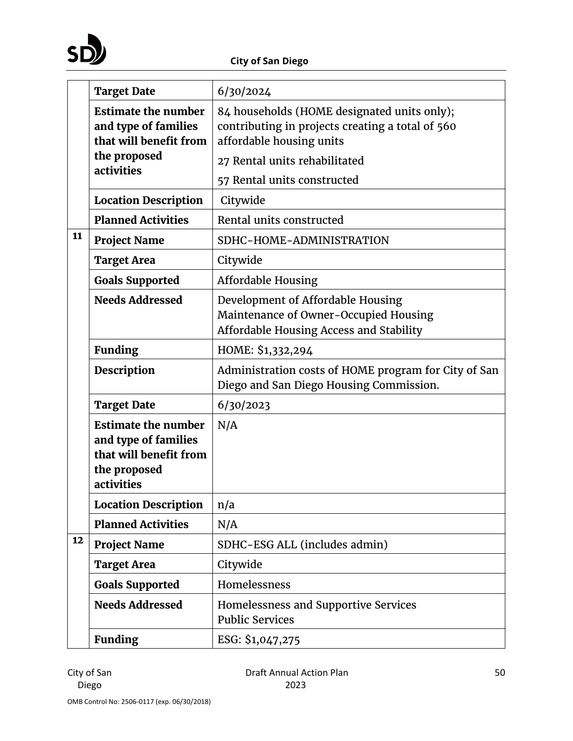

|    | <b>Target Date</b>                                                                                         | 6/30/2024                                                                                                                   |  |  |  |  |
|----|------------------------------------------------------------------------------------------------------------|-----------------------------------------------------------------------------------------------------------------------------|--|--|--|--|
|    | <b>Estimate the number</b><br>and type of families<br>that will benefit from                               | 84 households (HOME designated units only);<br>contributing in projects creating a total of 560<br>affordable housing units |  |  |  |  |
|    | the proposed                                                                                               | 27 Rental units rehabilitated                                                                                               |  |  |  |  |
|    | activities                                                                                                 | 57 Rental units constructed                                                                                                 |  |  |  |  |
|    | <b>Location Description</b>                                                                                | Citywide                                                                                                                    |  |  |  |  |
|    | <b>Planned Activities</b>                                                                                  | Rental units constructed                                                                                                    |  |  |  |  |
| 11 | <b>Project Name</b>                                                                                        | SDHC-HOME-ADMINISTRATION                                                                                                    |  |  |  |  |
|    | <b>Target Area</b>                                                                                         | Citywide                                                                                                                    |  |  |  |  |
|    | <b>Goals Supported</b>                                                                                     | <b>Affordable Housing</b>                                                                                                   |  |  |  |  |
|    | <b>Needs Addressed</b>                                                                                     | Development of Affordable Housing<br>Maintenance of Owner-Occupied Housing<br>Affordable Housing Access and Stability       |  |  |  |  |
|    | <b>Funding</b>                                                                                             | HOME: \$1,332,294                                                                                                           |  |  |  |  |
|    | Description                                                                                                | Administration costs of HOME program for City of San<br>Diego and San Diego Housing Commission.                             |  |  |  |  |
|    | <b>Target Date</b>                                                                                         | 6/30/2023                                                                                                                   |  |  |  |  |
|    | <b>Estimate the number</b><br>and type of families<br>that will benefit from<br>the proposed<br>activities | N/A                                                                                                                         |  |  |  |  |
|    | <b>Location Description</b>                                                                                | n/a                                                                                                                         |  |  |  |  |
|    | <b>Planned Activities</b>                                                                                  | N/A                                                                                                                         |  |  |  |  |
| 12 | <b>Project Name</b>                                                                                        | SDHC-ESG ALL (includes admin)                                                                                               |  |  |  |  |
|    | <b>Target Area</b>                                                                                         | Citywide                                                                                                                    |  |  |  |  |
|    | <b>Goals Supported</b>                                                                                     | Homelessness                                                                                                                |  |  |  |  |
|    | <b>Needs Addressed</b>                                                                                     | Homelessness and Supportive Services<br><b>Public Services</b>                                                              |  |  |  |  |
|    | <b>Funding</b>                                                                                             | ESG: \$1,047,275                                                                                                            |  |  |  |  |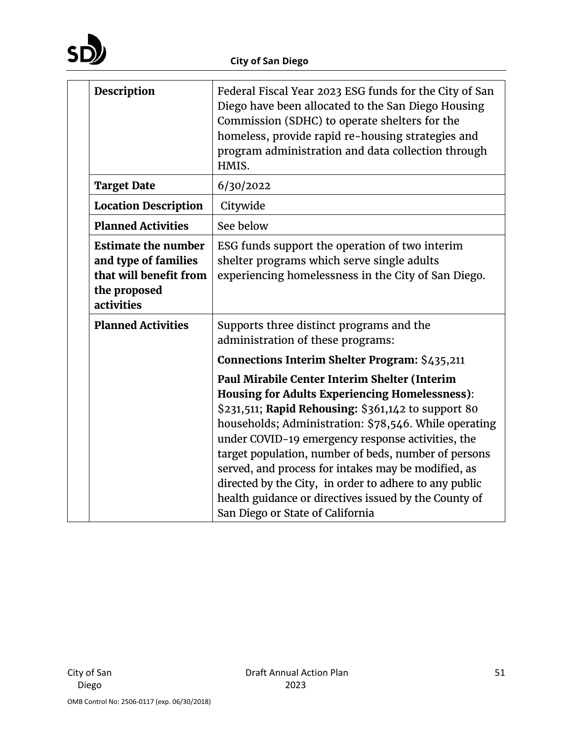

| Description                                                                                                | Federal Fiscal Year 2023 ESG funds for the City of San<br>Diego have been allocated to the San Diego Housing<br>Commission (SDHC) to operate shelters for the<br>homeless, provide rapid re-housing strategies and<br>program administration and data collection through<br>HMIS.                                                                                                                                                                                                                                                                 |  |  |  |  |
|------------------------------------------------------------------------------------------------------------|---------------------------------------------------------------------------------------------------------------------------------------------------------------------------------------------------------------------------------------------------------------------------------------------------------------------------------------------------------------------------------------------------------------------------------------------------------------------------------------------------------------------------------------------------|--|--|--|--|
| <b>Target Date</b>                                                                                         | 6/30/2022                                                                                                                                                                                                                                                                                                                                                                                                                                                                                                                                         |  |  |  |  |
| <b>Location Description</b>                                                                                | Citywide                                                                                                                                                                                                                                                                                                                                                                                                                                                                                                                                          |  |  |  |  |
| <b>Planned Activities</b>                                                                                  | See below                                                                                                                                                                                                                                                                                                                                                                                                                                                                                                                                         |  |  |  |  |
| <b>Estimate the number</b><br>and type of families<br>that will benefit from<br>the proposed<br>activities | ESG funds support the operation of two interim<br>shelter programs which serve single adults<br>experiencing homelessness in the City of San Diego.                                                                                                                                                                                                                                                                                                                                                                                               |  |  |  |  |
| <b>Planned Activities</b>                                                                                  | Supports three distinct programs and the<br>administration of these programs:<br>Connections Interim Shelter Program: \$435,211                                                                                                                                                                                                                                                                                                                                                                                                                   |  |  |  |  |
|                                                                                                            | Paul Mirabile Center Interim Shelter (Interim<br><b>Housing for Adults Experiencing Homelessness):</b><br>\$231,511; Rapid Rehousing: \$361,142 to support 80<br>households; Administration: \$78,546. While operating<br>under COVID-19 emergency response activities, the<br>target population, number of beds, number of persons<br>served, and process for intakes may be modified, as<br>directed by the City, in order to adhere to any public<br>health guidance or directives issued by the County of<br>San Diego or State of California |  |  |  |  |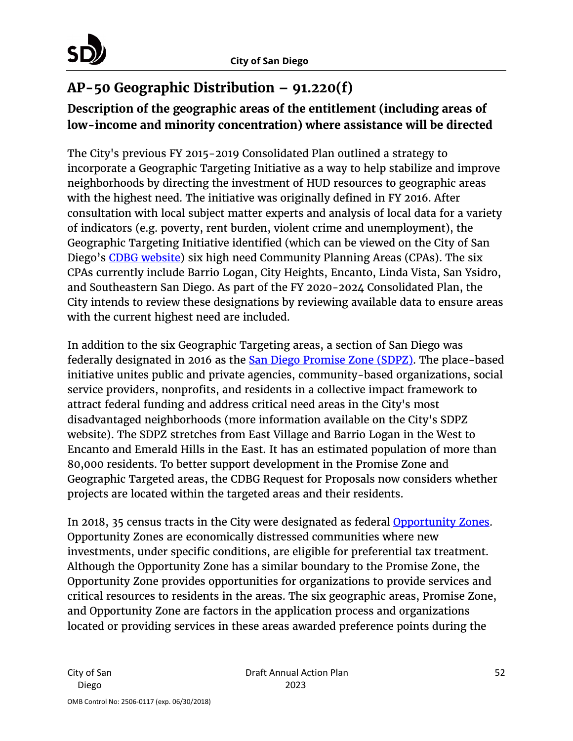

# **AP-50 Geographic Distribution – 91.220(f)**

# **Description of the geographic areas of the entitlement (including areas of low-income and minority concentration) where assistance will be directed**

The City's previous FY 2015-2019 Consolidated Plan outlined a strategy to incorporate a Geographic Targeting Initiative as a way to help stabilize and improve neighborhoods by directing the investment of HUD resources to geographic areas with the highest need. The initiative was originally defined in FY 2016. After consultation with local subject matter experts and analysis of local data for a variety of indicators (e.g. poverty, rent burden, violent crime and unemployment), the Geographic Targeting Initiative identified (which can be viewed on the City of San Diego's [CDBG website\)](https://www.sandiego.gov/sites/default/files/legacy/cdbg/pdf/2015/geotargetingsummaryfindings1.pdf) six high need Community Planning Areas (CPAs). The six CPAs currently include Barrio Logan, City Heights, Encanto, Linda Vista, San Ysidro, and Southeastern San Diego. As part of the FY 2020-2024 Consolidated Plan, the City intends to review these designations by reviewing available data to ensure areas with the current highest need are included.

In addition to the six Geographic Targeting areas, a section of San Diego was federally designated in 2016 as the **San Diego Promise Zone (SDPZ)**. The place-based initiative unites public and private agencies, community-based organizations, social service providers, nonprofits, and residents in a collective impact framework to attract federal funding and address critical need areas in the City's most disadvantaged neighborhoods (more information available on the City's SDPZ website). The SDPZ stretches from East Village and Barrio Logan in the West to Encanto and Emerald Hills in the East. It has an estimated population of more than 80,000 residents. To better support development in the Promise Zone and Geographic Targeted areas, the CDBG Request for Proposals now considers whether projects are located within the targeted areas and their residents.

In 2018, 35 census tracts in the City were designated as federal **Opportunity Zones**. Opportunity Zones are economically distressed communities where new investments, under specific conditions, are eligible for preferential tax treatment. Although the Opportunity Zone has a similar boundary to the Promise Zone, the Opportunity Zone provides opportunities for organizations to provide services and critical resources to residents in the areas. The six geographic areas, Promise Zone, and Opportunity Zone are factors in the application process and organizations located or providing services in these areas awarded preference points during the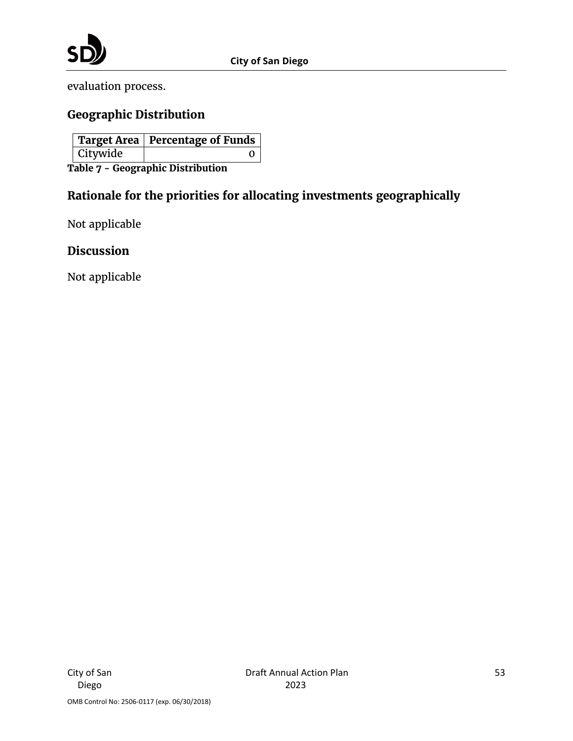

evaluation process.

## **Geographic Distribution**

|                                   |          | <b>Target Area   Percentage of Funds  </b> |  |  |  |
|-----------------------------------|----------|--------------------------------------------|--|--|--|
|                                   | Citywide |                                            |  |  |  |
| Table 7 - Geographic Distribution |          |                                            |  |  |  |

**Rationale for the priorities for allocating investments geographically** 

Not applicable

#### **Discussion**

Not applicable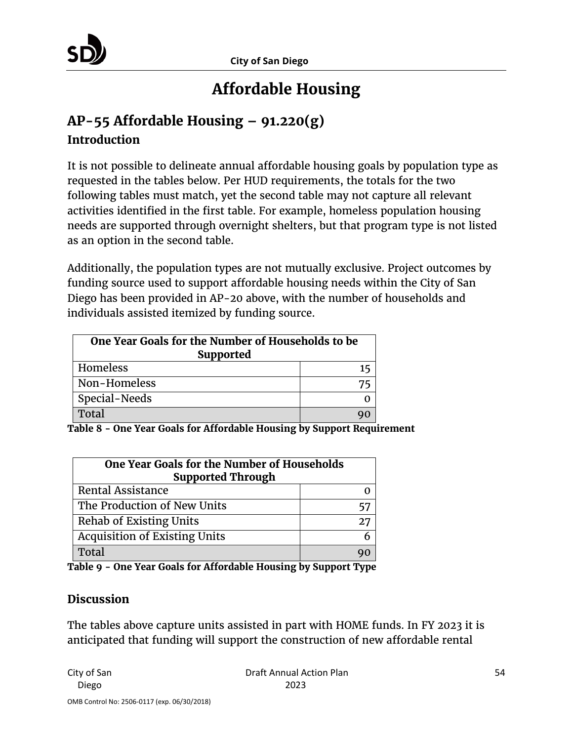# **Affordable Housing**

# **AP-55 Affordable Housing – 91.220(g) Introduction**

It is not possible to delineate annual affordable housing goals by population type as requested in the tables below. Per HUD requirements, the totals for the two following tables must match, yet the second table may not capture all relevant activities identified in the first table. For example, homeless population housing needs are supported through overnight shelters, but that program type is not listed as an option in the second table.

Additionally, the population types are not mutually exclusive. Project outcomes by funding source used to support affordable housing needs within the City of San Diego has been provided in AP-20 above, with the number of households and individuals assisted itemized by funding source.

| One Year Goals for the Number of Households to be<br><b>Supported</b> |    |  |  |
|-----------------------------------------------------------------------|----|--|--|
| Homeless                                                              | 15 |  |  |
| Non-Homeless                                                          |    |  |  |
| Special-Needs                                                         |    |  |  |
| Total                                                                 |    |  |  |

**Table 8 - One Year Goals for Affordable Housing by Support Requirement**

| One Year Goals for the Number of Households<br><b>Supported Through</b> |    |  |  |  |
|-------------------------------------------------------------------------|----|--|--|--|
| <b>Rental Assistance</b>                                                |    |  |  |  |
| The Production of New Units                                             |    |  |  |  |
| <b>Rehab of Existing Units</b>                                          | 27 |  |  |  |
| <b>Acquisition of Existing Units</b>                                    |    |  |  |  |
| Total                                                                   |    |  |  |  |

|  |  |  | Table 9 - One Year Goals for Affordable Housing by Support Type |  |  |
|--|--|--|-----------------------------------------------------------------|--|--|
|  |  |  |                                                                 |  |  |

### **Discussion**

The tables above capture units assisted in part with HOME funds. In FY 2023 it is anticipated that funding will support the construction of new affordable rental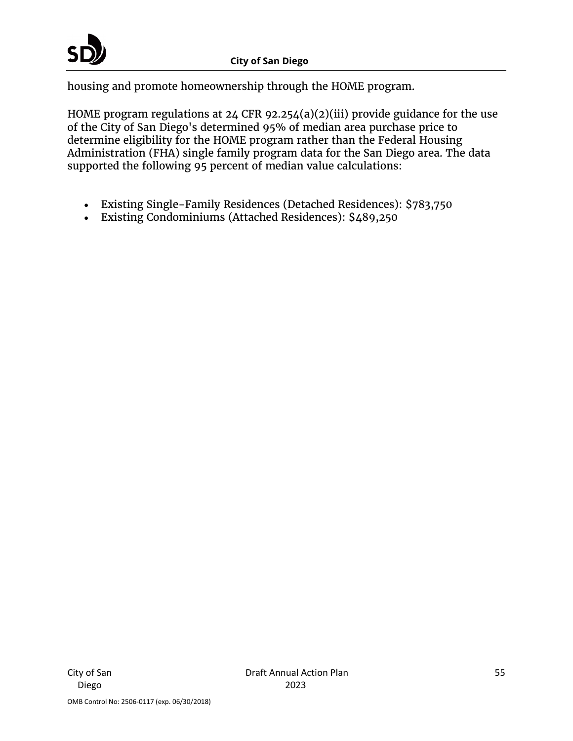housing and promote homeownership through the HOME program.

HOME program regulations at 24 CFR 92.254(a)(2)(iii) provide guidance for the use of the City of San Diego's determined 95% of median area purchase price to determine eligibility for the HOME program rather than the Federal Housing Administration (FHA) single family program data for the San Diego area. The data supported the following 95 percent of median value calculations:

- Existing Single-Family Residences (Detached Residences): \$783,750
- Existing Condominiums (Attached Residences): \$489,250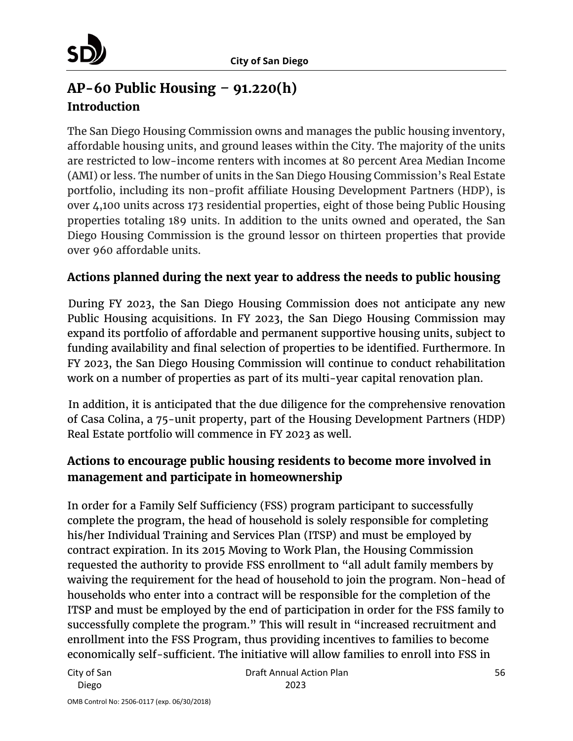# **AP-60 Public Housing** *–* **91.220(h) Introduction**

The San Diego Housing Commission owns and manages the public housing inventory, affordable housing units, and ground leases within the City. The majority of the units are restricted to low-income renters with incomes at 80 percent Area Median Income (AMI) or less. The number of units in the San Diego Housing Commission's Real Estate portfolio, including its non-profit affiliate Housing Development Partners (HDP), is over 4,100 units across 173 residential properties, eight of those being Public Housing properties totaling 189 units. In addition to the units owned and operated, the San Diego Housing Commission is the ground lessor on thirteen properties that provide over 960 affordable units.

### **Actions planned during the next year to address the needs to public housing**

During FY 2023, the San Diego Housing Commission does not anticipate any new Public Housing acquisitions. In FY 2023, the San Diego Housing Commission may expand its portfolio of affordable and permanent supportive housing units, subject to funding availability and final selection of properties to be identified. Furthermore. In FY 2023, the San Diego Housing Commission will continue to conduct rehabilitation work on a number of properties as part of its multi-year capital renovation plan.

In addition, it is anticipated that the due diligence for the comprehensive renovation of Casa Colina, a 75-unit property, part of the Housing Development Partners (HDP) Real Estate portfolio will commence in FY 2023 as well.

### **Actions to encourage public housing residents to become more involved in management and participate in homeownership**

In order for a Family Self Sufficiency (FSS) program participant to successfully complete the program, the head of household is solely responsible for completing his/her Individual Training and Services Plan (ITSP) and must be employed by contract expiration. In its 2015 Moving to Work Plan, the Housing Commission requested the authority to provide FSS enrollment to "all adult family members by waiving the requirement for the head of household to join the program. Non-head of households who enter into a contract will be responsible for the completion of the ITSP and must be employed by the end of participation in order for the FSS family to successfully complete the program." This will result in "increased recruitment and enrollment into the FSS Program, thus providing incentives to families to become economically self-sufficient. The initiative will allow families to enroll into FSS in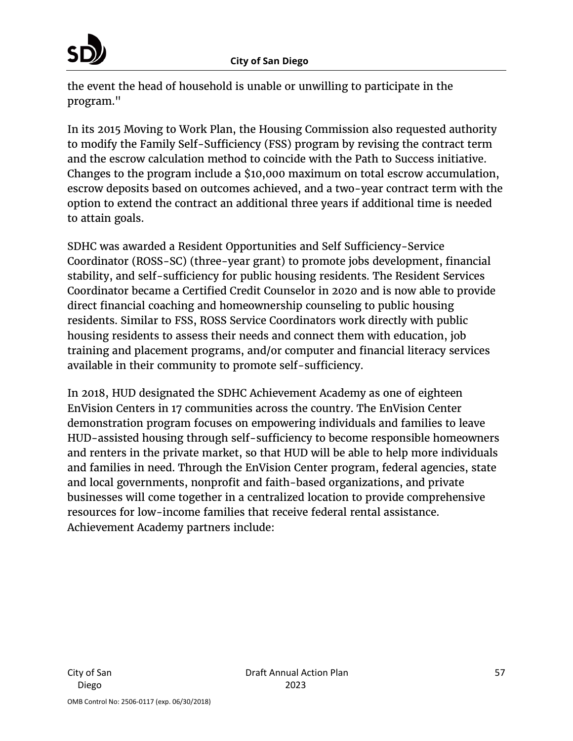the event the head of household is unable or unwilling to participate in the program."

In its 2015 Moving to Work Plan, the Housing Commission also requested authority to modify the Family Self-Sufficiency (FSS) program by revising the contract term and the escrow calculation method to coincide with the Path to Success initiative. Changes to the program include a \$10,000 maximum on total escrow accumulation, escrow deposits based on outcomes achieved, and a two-year contract term with the option to extend the contract an additional three years if additional time is needed to attain goals.

SDHC was awarded a Resident Opportunities and Self Sufficiency-Service Coordinator (ROSS-SC) (three-year grant) to promote jobs development, financial stability, and self-sufficiency for public housing residents. The Resident Services Coordinator became a Certified Credit Counselor in 2020 and is now able to provide direct financial coaching and homeownership counseling to public housing residents. Similar to FSS, ROSS Service Coordinators work directly with public housing residents to assess their needs and connect them with education, job training and placement programs, and/or computer and financial literacy services available in their community to promote self-sufficiency.

In 2018, HUD designated the SDHC Achievement Academy as one of eighteen EnVision Centers in 17 communities across the country. The EnVision Center demonstration program focuses on empowering individuals and families to leave HUD-assisted housing through self-sufficiency to become responsible homeowners and renters in the private market, so that HUD will be able to help more individuals and families in need. Through the EnVision Center program, federal agencies, state and local governments, nonprofit and faith-based organizations, and private businesses will come together in a centralized location to provide comprehensive resources for low-income families that receive federal rental assistance. Achievement Academy partners include: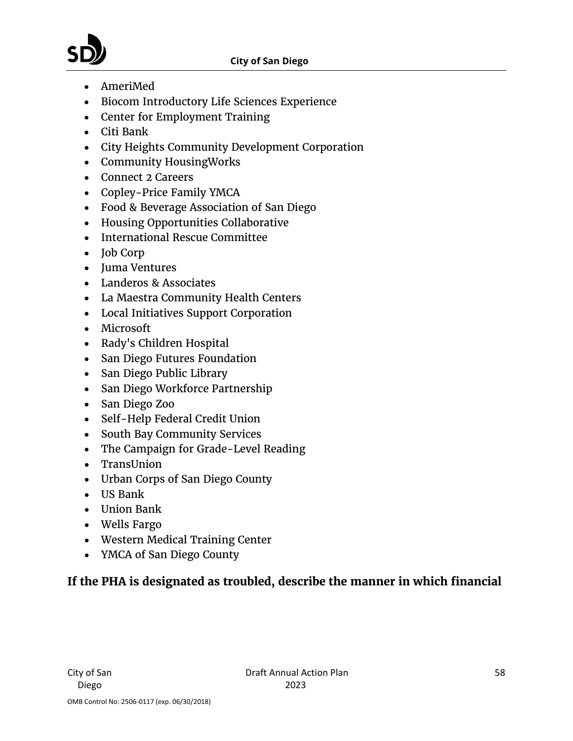#### **City of San Diego**

- AmeriMed
- Biocom Introductory Life Sciences Experience
- Center for Employment Training
- Citi Bank
- City Heights Community Development Corporation
- Community HousingWorks
- Connect 2 Careers
- Copley-Price Family YMCA
- Food & Beverage Association of San Diego
- Housing Opportunities Collaborative
- International Rescue Committee
- Job Corp
- Juma Ventures
- Landeros & Associates
- La Maestra Community Health Centers
- Local Initiatives Support Corporation
- Microsoft
- Rady's Children Hospital
- San Diego Futures Foundation
- San Diego Public Library
- San Diego Workforce Partnership
- San Diego Zoo
- Self-Help Federal Credit Union
- South Bay Community Services
- The Campaign for Grade-Level Reading
- TransUnion
- Urban Corps of San Diego County
- US Bank
- Union Bank
- Wells Fargo
- Western Medical Training Center
- YMCA of San Diego County

# **If the PHA is designated as troubled, describe the manner in which financial**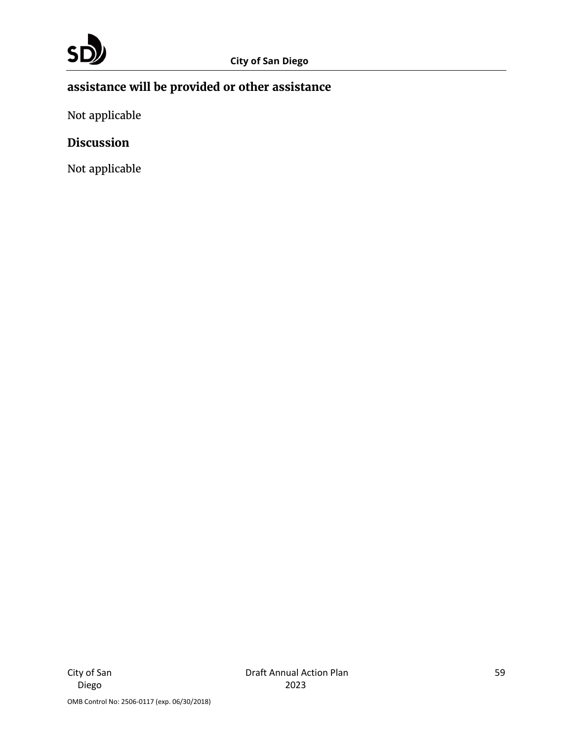# **assistance will be provided or other assistance**

Not applicable

### **Discussion**

Not applicable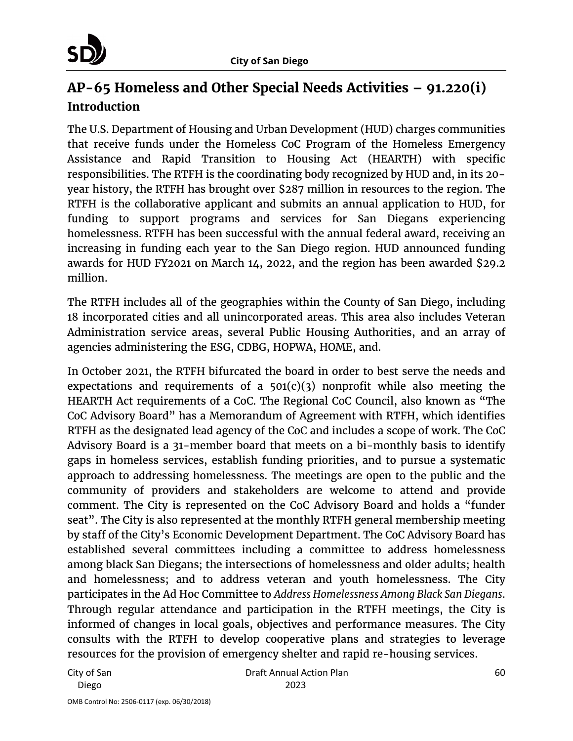

# **AP-65 Homeless and Other Special Needs Activities – 91.220(i) Introduction**

The U.S. Department of Housing and Urban Development (HUD) charges communities that receive funds under the Homeless CoC Program of the Homeless Emergency Assistance and Rapid Transition to Housing Act (HEARTH) with specific responsibilities. The RTFH is the coordinating body recognized by HUD and, in its 20 year history, the RTFH has brought over \$287 million in resources to the region. The RTFH is the collaborative applicant and submits an annual application to HUD, for funding to support programs and services for San Diegans experiencing homelessness. RTFH has been successful with the annual federal award, receiving an increasing in funding each year to the San Diego region. HUD announced funding awards for HUD FY2021 on March 14, 2022, and the region has been awarded \$29.2 million.

The RTFH includes all of the geographies within the County of San Diego, including 18 incorporated cities and all unincorporated areas. This area also includes Veteran Administration service areas, several Public Housing Authorities, and an array of agencies administering the ESG, CDBG, HOPWA, HOME, and.

In October 2021, the RTFH bifurcated the board in order to best serve the needs and expectations and requirements of a  $501(c)(3)$  nonprofit while also meeting the HEARTH Act requirements of a CoC. The Regional CoC Council, also known as "The CoC Advisory Board" has a Memorandum of Agreement with RTFH, which identifies RTFH as the designated lead agency of the CoC and includes a scope of work. The CoC Advisory Board is a 31-member board that meets on a bi-monthly basis to identify gaps in homeless services, establish funding priorities, and to pursue a systematic approach to addressing homelessness. The meetings are open to the public and the community of providers and stakeholders are welcome to attend and provide comment. The City is represented on the CoC Advisory Board and holds a "funder seat". The City is also represented at the monthly RTFH general membership meeting by staff of the City's Economic Development Department. The CoC Advisory Board has established several committees including a committee to address homelessness among black San Diegans; the intersections of homelessness and older adults; health and homelessness; and to address veteran and youth homelessness. The City participates in the Ad Hoc Committee to *Address Homelessness Among Black San Diegans*. Through regular attendance and participation in the RTFH meetings, the City is informed of changes in local goals, objectives and performance measures. The City consults with the RTFH to develop cooperative plans and strategies to leverage resources for the provision of emergency shelter and rapid re-housing services.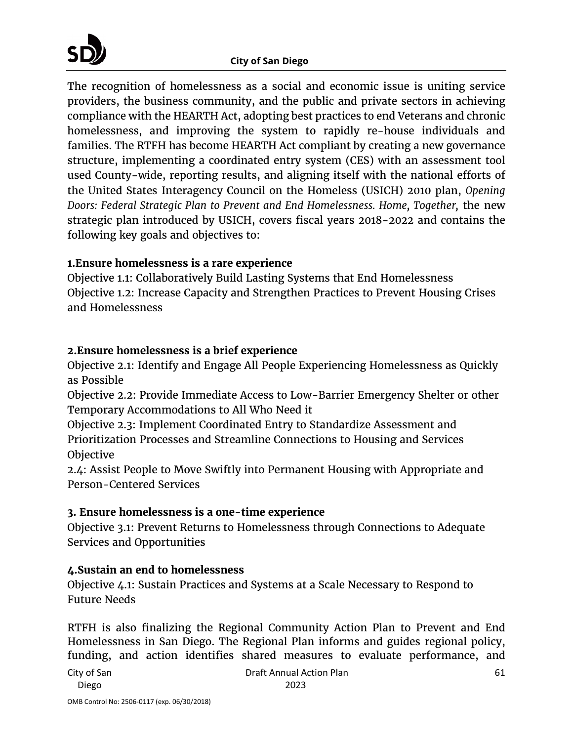The recognition of homelessness as a social and economic issue is uniting service providers, the business community, and the public and private sectors in achieving compliance with the HEARTH Act, adopting best practices to end Veterans and chronic homelessness, and improving the system to rapidly re-house individuals and families. The RTFH has become HEARTH Act compliant by creating a new governance structure, implementing a coordinated entry system (CES) with an assessment tool used County-wide, reporting results, and aligning itself with the national efforts of the United States Interagency Council on the Homeless (USICH) 2010 plan, *Opening Doors: Federal Strategic Plan to Prevent and End Homelessness. Home, Together,* the new strategic plan introduced by USICH, covers fiscal years 2018-2022 and contains the following key goals and objectives to:

#### **1.Ensure homelessness is a rare experience**

Objective 1.1: Collaboratively Build Lasting Systems that End Homelessness Objective 1.2: Increase Capacity and Strengthen Practices to Prevent Housing Crises and Homelessness

#### **2.Ensure homelessness is a brief experience**

Objective 2.1: Identify and Engage All People Experiencing Homelessness as Quickly as Possible

Objective 2.2: Provide Immediate Access to Low-Barrier Emergency Shelter or other Temporary Accommodations to All Who Need it

Objective 2.3: Implement Coordinated Entry to Standardize Assessment and Prioritization Processes and Streamline Connections to Housing and Services Objective

2.4: Assist People to Move Swiftly into Permanent Housing with Appropriate and Person-Centered Services

#### **3. Ensure homelessness is a one-time experience**

Objective 3.1: Prevent Returns to Homelessness through Connections to Adequate Services and Opportunities

### **4.Sustain an end to homelessness**

Objective 4.1: Sustain Practices and Systems at a Scale Necessary to Respond to Future Needs

RTFH is also finalizing the Regional Community Action Plan to Prevent and End Homelessness in San Diego. The Regional Plan informs and guides regional policy, funding, and action identifies shared measures to evaluate performance, and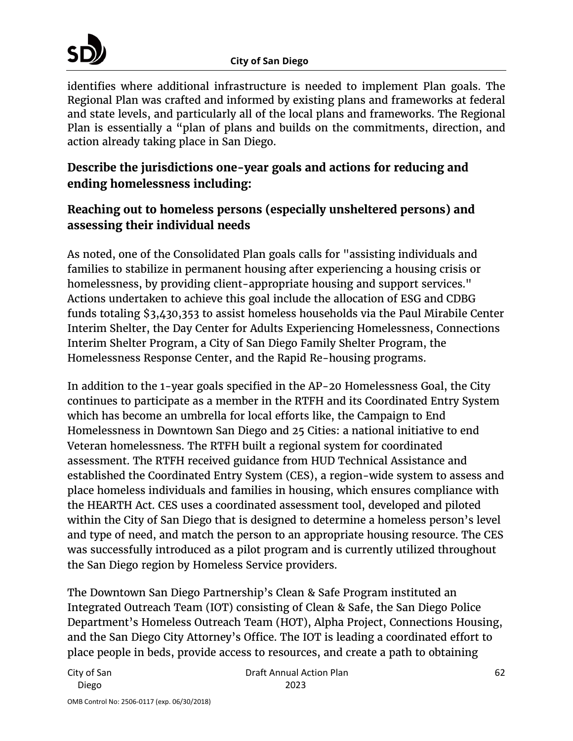identifies where additional infrastructure is needed to implement Plan goals. The Regional Plan was crafted and informed by existing plans and frameworks at federal and state levels, and particularly all of the local plans and frameworks. The Regional Plan is essentially a "plan of plans and builds on the commitments, direction, and action already taking place in San Diego.

# **Describe the jurisdictions one-year goals and actions for reducing and ending homelessness including:**

# **Reaching out to homeless persons (especially unsheltered persons) and assessing their individual needs**

As noted, one of the Consolidated Plan goals calls for "assisting individuals and families to stabilize in permanent housing after experiencing a housing crisis or homelessness, by providing client-appropriate housing and support services." Actions undertaken to achieve this goal include the allocation of ESG and CDBG funds totaling \$3,430,353 to assist homeless households via the Paul Mirabile Center Interim Shelter, the Day Center for Adults Experiencing Homelessness, Connections Interim Shelter Program, a City of San Diego Family Shelter Program, the Homelessness Response Center, and the Rapid Re-housing programs.

In addition to the 1-year goals specified in the AP-20 Homelessness Goal, the City continues to participate as a member in the RTFH and its Coordinated Entry System which has become an umbrella for local efforts like, the Campaign to End Homelessness in Downtown San Diego and 25 Cities: a national initiative to end Veteran homelessness. The RTFH built a regional system for coordinated assessment. The RTFH received guidance from HUD Technical Assistance and established the Coordinated Entry System (CES), a region-wide system to assess and place homeless individuals and families in housing, which ensures compliance with the HEARTH Act. CES uses a coordinated assessment tool, developed and piloted within the City of San Diego that is designed to determine a homeless person's level and type of need, and match the person to an appropriate housing resource. The CES was successfully introduced as a pilot program and is currently utilized throughout the San Diego region by Homeless Service providers.

The Downtown San Diego Partnership's Clean & Safe Program instituted an Integrated Outreach Team (IOT) consisting of Clean & Safe, the San Diego Police Department's Homeless Outreach Team (HOT), Alpha Project, Connections Housing, and the San Diego City Attorney's Office. The IOT is leading a coordinated effort to place people in beds, provide access to resources, and create a path to obtaining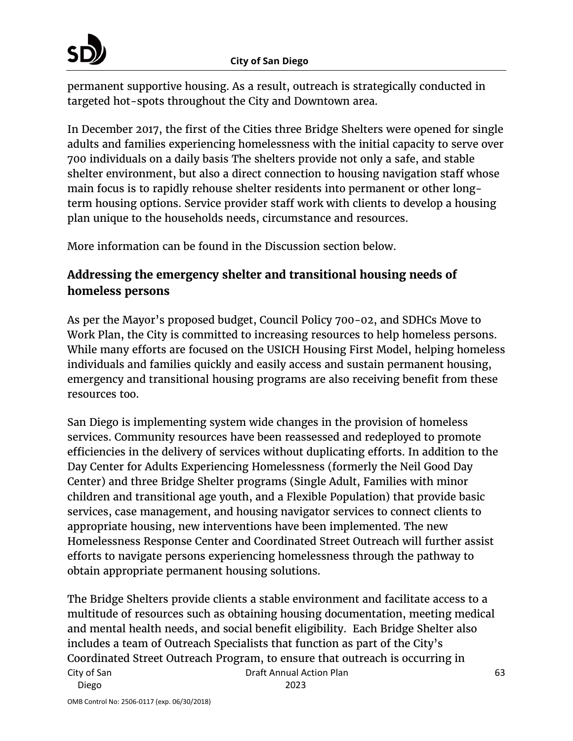

permanent supportive housing. As a result, outreach is strategically conducted in targeted hot-spots throughout the City and Downtown area.

In December 2017, the first of the Cities three Bridge Shelters were opened for single adults and families experiencing homelessness with the initial capacity to serve over 700 individuals on a daily basis The shelters provide not only a safe, and stable shelter environment, but also a direct connection to housing navigation staff whose main focus is to rapidly rehouse shelter residents into permanent or other longterm housing options. Service provider staff work with clients to develop a housing plan unique to the households needs, circumstance and resources.

More information can be found in the Discussion section below.

# **Addressing the emergency shelter and transitional housing needs of homeless persons**

As per the Mayor's proposed budget, Council Policy 700-02, and SDHCs Move to Work Plan, the City is committed to increasing resources to help homeless persons. While many efforts are focused on the USICH Housing First Model, helping homeless individuals and families quickly and easily access and sustain permanent housing, emergency and transitional housing programs are also receiving benefit from these resources too.

San Diego is implementing system wide changes in the provision of homeless services. Community resources have been reassessed and redeployed to promote efficiencies in the delivery of services without duplicating efforts. In addition to the Day Center for Adults Experiencing Homelessness (formerly the Neil Good Day Center) and three Bridge Shelter programs (Single Adult, Families with minor children and transitional age youth, and a Flexible Population) that provide basic services, case management, and housing navigator services to connect clients to appropriate housing, new interventions have been implemented. The new Homelessness Response Center and Coordinated Street Outreach will further assist efforts to navigate persons experiencing homelessness through the pathway to obtain appropriate permanent housing solutions.

City of San Diego Draft Annual Action Plan 2023 The Bridge Shelters provide clients a stable environment and facilitate access to a multitude of resources such as obtaining housing documentation, meeting medical and mental health needs, and social benefit eligibility. Each Bridge Shelter also includes a team of Outreach Specialists that function as part of the City's Coordinated Street Outreach Program, to ensure that outreach is occurring in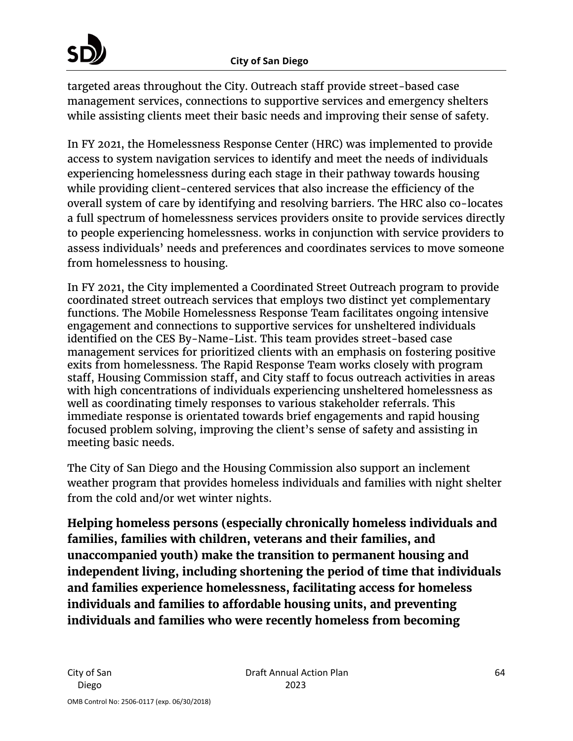#### **City of San Diego**

targeted areas throughout the City. Outreach staff provide street-based case management services, connections to supportive services and emergency shelters while assisting clients meet their basic needs and improving their sense of safety.

In FY 2021, the Homelessness Response Center (HRC) was implemented to provide access to system navigation services to identify and meet the needs of individuals experiencing homelessness during each stage in their pathway towards housing while providing client-centered services that also increase the efficiency of the overall system of care by identifying and resolving barriers. The HRC also co-locates a full spectrum of homelessness services providers onsite to provide services directly to people experiencing homelessness. works in conjunction with service providers to assess individuals' needs and preferences and coordinates services to move someone from homelessness to housing.

In FY 2021, the City implemented a Coordinated Street Outreach program to provide coordinated street outreach services that employs two distinct yet complementary functions. The Mobile Homelessness Response Team facilitates ongoing intensive engagement and connections to supportive services for unsheltered individuals identified on the CES By-Name-List. This team provides street-based case management services for prioritized clients with an emphasis on fostering positive exits from homelessness. The Rapid Response Team works closely with program staff, Housing Commission staff, and City staff to focus outreach activities in areas with high concentrations of individuals experiencing unsheltered homelessness as well as coordinating timely responses to various stakeholder referrals. This immediate response is orientated towards brief engagements and rapid housing focused problem solving, improving the client's sense of safety and assisting in meeting basic needs.

The City of San Diego and the Housing Commission also support an inclement weather program that provides homeless individuals and families with night shelter from the cold and/or wet winter nights.

**Helping homeless persons (especially chronically homeless individuals and families, families with children, veterans and their families, and unaccompanied youth) make the transition to permanent housing and independent living, including shortening the period of time that individuals and families experience homelessness, facilitating access for homeless individuals and families to affordable housing units, and preventing individuals and families who were recently homeless from becoming**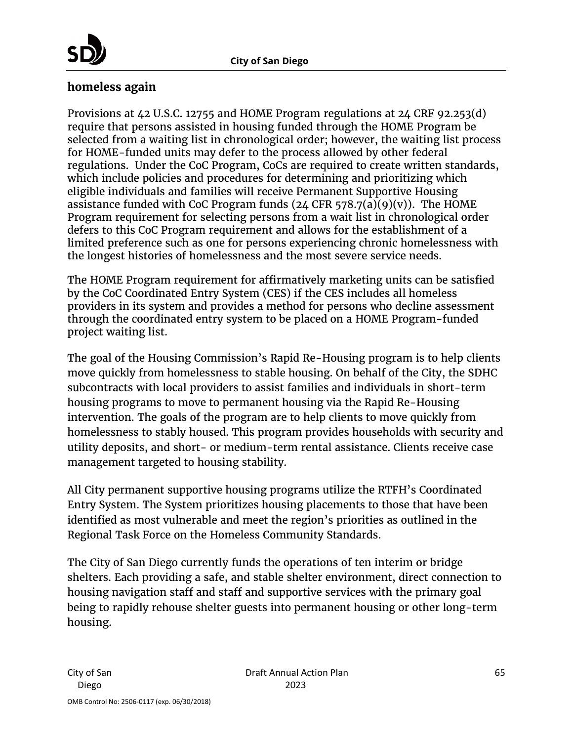

#### **homeless again**

Provisions at 42 U.S.C. 12755 and HOME Program regulations at 24 CRF 92.253(d) require that persons assisted in housing funded through the HOME Program be selected from a waiting list in chronological order; however, the waiting list process for HOME-funded units may defer to the process allowed by other federal regulations. Under the CoC Program, CoCs are required to create written standards, which include policies and procedures for determining and prioritizing which eligible individuals and families will receive Permanent Supportive Housing assistance funded with CoC Program funds  $(24 \text{ CFR } 578.7(a)(9)(v))$ . The HOME Program requirement for selecting persons from a wait list in chronological order defers to this CoC Program requirement and allows for the establishment of a limited preference such as one for persons experiencing chronic homelessness with the longest histories of homelessness and the most severe service needs.

The HOME Program requirement for affirmatively marketing units can be satisfied by the CoC Coordinated Entry System (CES) if the CES includes all homeless providers in its system and provides a method for persons who decline assessment through the coordinated entry system to be placed on a HOME Program-funded project waiting list.

The goal of the Housing Commission's Rapid Re-Housing program is to help clients move quickly from homelessness to stable housing. On behalf of the City, the SDHC subcontracts with local providers to assist families and individuals in short-term housing programs to move to permanent housing via the Rapid Re-Housing intervention. The goals of the program are to help clients to move quickly from homelessness to stably housed. This program provides households with security and utility deposits, and short- or medium-term rental assistance. Clients receive case management targeted to housing stability.

All City permanent supportive housing programs utilize the RTFH's Coordinated Entry System. The System prioritizes housing placements to those that have been identified as most vulnerable and meet the region's priorities as outlined in the Regional Task Force on the Homeless Community Standards.

The City of San Diego currently funds the operations of ten interim or bridge shelters. Each providing a safe, and stable shelter environment, direct connection to housing navigation staff and staff and supportive services with the primary goal being to rapidly rehouse shelter guests into permanent housing or other long-term housing.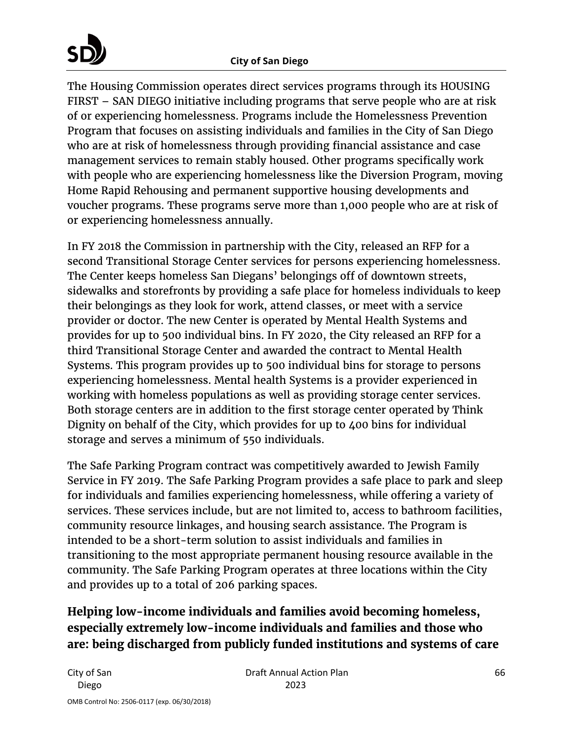The Housing Commission operates direct services programs through its HOUSING FIRST – SAN DIEGO initiative including programs that serve people who are at risk of or experiencing homelessness. Programs include the Homelessness Prevention Program that focuses on assisting individuals and families in the City of San Diego who are at risk of homelessness through providing financial assistance and case management services to remain stably housed. Other programs specifically work with people who are experiencing homelessness like the Diversion Program, moving Home Rapid Rehousing and permanent supportive housing developments and voucher programs. These programs serve more than 1,000 people who are at risk of or experiencing homelessness annually.

In FY 2018 the Commission in partnership with the City, released an RFP for a second Transitional Storage Center services for persons experiencing homelessness. The Center keeps homeless San Diegans' belongings off of downtown streets, sidewalks and storefronts by providing a safe place for homeless individuals to keep their belongings as they look for work, attend classes, or meet with a service provider or doctor. The new Center is operated by Mental Health Systems and provides for up to 500 individual bins. In FY 2020, the City released an RFP for a third Transitional Storage Center and awarded the contract to Mental Health Systems. This program provides up to 500 individual bins for storage to persons experiencing homelessness. Mental health Systems is a provider experienced in working with homeless populations as well as providing storage center services. Both storage centers are in addition to the first storage center operated by Think Dignity on behalf of the City, which provides for up to 400 bins for individual storage and serves a minimum of 550 individuals.

The Safe Parking Program contract was competitively awarded to Jewish Family Service in FY 2019. The Safe Parking Program provides a safe place to park and sleep for individuals and families experiencing homelessness, while offering a variety of services. These services include, but are not limited to, access to bathroom facilities, community resource linkages, and housing search assistance. The Program is intended to be a short-term solution to assist individuals and families in transitioning to the most appropriate permanent housing resource available in the community. The Safe Parking Program operates at three locations within the City and provides up to a total of 206 parking spaces.

# **Helping low-income individuals and families avoid becoming homeless, especially extremely low-income individuals and families and those who are: being discharged from publicly funded institutions and systems of care**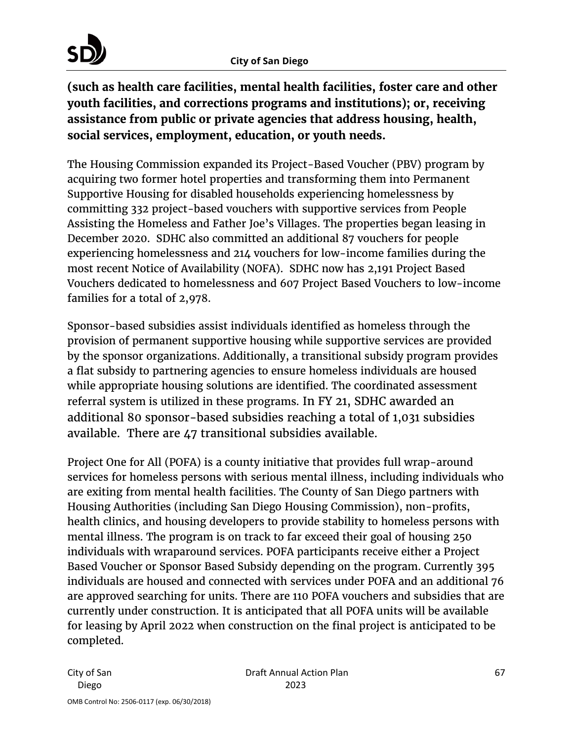# **City of San Diego**

**(such as health care facilities, mental health facilities, foster care and other youth facilities, and corrections programs and institutions); or, receiving assistance from public or private agencies that address housing, health, social services, employment, education, or youth needs.**

The Housing Commission expanded its Project-Based Voucher (PBV) program by acquiring two former hotel properties and transforming them into Permanent Supportive Housing for disabled households experiencing homelessness by committing 332 project-based vouchers with supportive services from People Assisting the Homeless and Father Joe's Villages. The properties began leasing in December 2020. SDHC also committed an additional 87 vouchers for people experiencing homelessness and 214 vouchers for low-income families during the most recent Notice of Availability (NOFA). SDHC now has 2,191 Project Based Vouchers dedicated to homelessness and 607 Project Based Vouchers to low-income families for a total of 2,978.

Sponsor-based subsidies assist individuals identified as homeless through the provision of permanent supportive housing while supportive services are provided by the sponsor organizations. Additionally, a transitional subsidy program provides a flat subsidy to partnering agencies to ensure homeless individuals are housed while appropriate housing solutions are identified. The coordinated assessment referral system is utilized in these programs. In FY 21, SDHC awarded an additional 80 sponsor-based subsidies reaching a total of 1,031 subsidies available. There are 47 transitional subsidies available.

Project One for All (POFA) is a county initiative that provides full wrap-around services for homeless persons with serious mental illness, including individuals who are exiting from mental health facilities. The County of San Diego partners with Housing Authorities (including San Diego Housing Commission), non-profits, health clinics, and housing developers to provide stability to homeless persons with mental illness. The program is on track to far exceed their goal of housing 250 individuals with wraparound services. POFA participants receive either a Project Based Voucher or Sponsor Based Subsidy depending on the program. Currently 395 individuals are housed and connected with services under POFA and an additional 76 are approved searching for units. There are 110 POFA vouchers and subsidies that are currently under construction. It is anticipated that all POFA units will be available for leasing by April 2022 when construction on the final project is anticipated to be completed.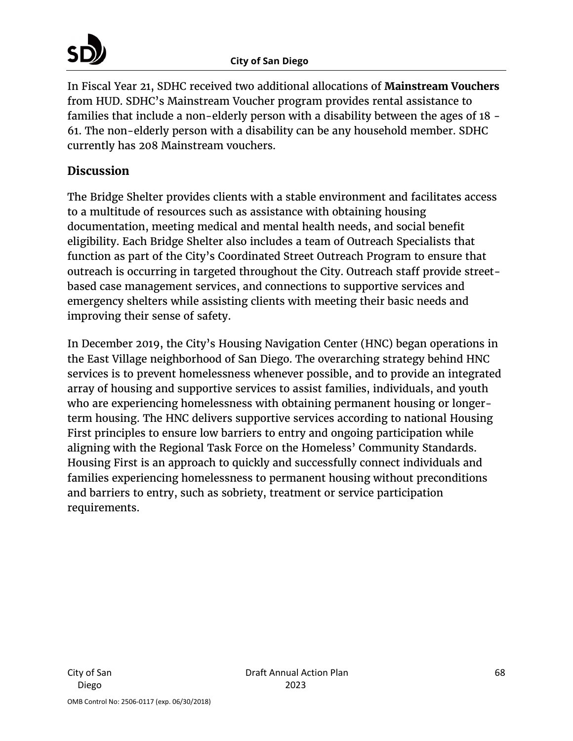In Fiscal Year 21, SDHC received two additional allocations of **Mainstream Vouchers** from HUD. SDHC's Mainstream Voucher program provides rental assistance to families that include a non-elderly person with a disability between the ages of 18 - 61. The non-elderly person with a disability can be any household member. SDHC currently has 208 Mainstream vouchers.

### **Discussion**

The Bridge Shelter provides clients with a stable environment and facilitates access to a multitude of resources such as assistance with obtaining housing documentation, meeting medical and mental health needs, and social benefit eligibility. Each Bridge Shelter also includes a team of Outreach Specialists that function as part of the City's Coordinated Street Outreach Program to ensure that outreach is occurring in targeted throughout the City. Outreach staff provide streetbased case management services, and connections to supportive services and emergency shelters while assisting clients with meeting their basic needs and improving their sense of safety.

In December 2019, the City's Housing Navigation Center (HNC) began operations in the East Village neighborhood of San Diego. The overarching strategy behind HNC services is to prevent homelessness whenever possible, and to provide an integrated array of housing and supportive services to assist families, individuals, and youth who are experiencing homelessness with obtaining permanent housing or longerterm housing. The HNC delivers supportive services according to national Housing First principles to ensure low barriers to entry and ongoing participation while aligning with the Regional Task Force on the Homeless' Community Standards. Housing First is an approach to quickly and successfully connect individuals and families experiencing homelessness to permanent housing without preconditions and barriers to entry, such as sobriety, treatment or service participation requirements.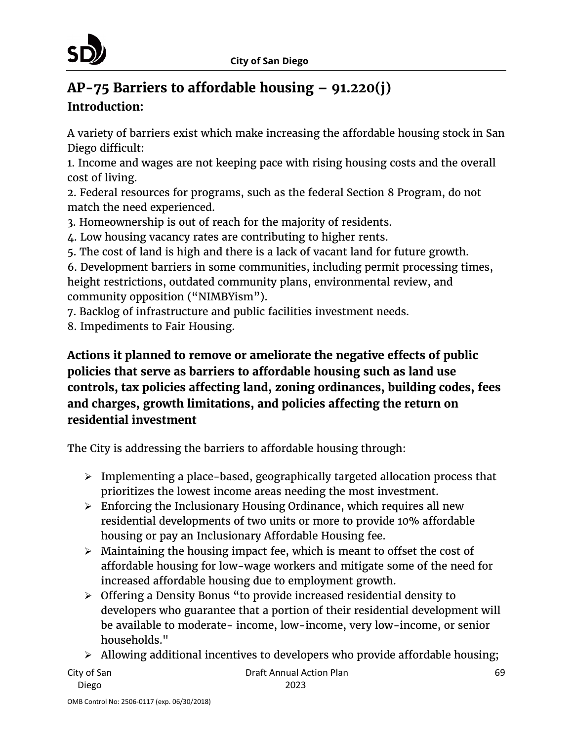

# **AP-75 Barriers to affordable housing – 91.220(j) Introduction:**

A variety of barriers exist which make increasing the affordable housing stock in San Diego difficult:

1. Income and wages are not keeping pace with rising housing costs and the overall cost of living.

2. Federal resources for programs, such as the federal Section 8 Program, do not match the need experienced.

- 3. Homeownership is out of reach for the majority of residents.
- 4. Low housing vacancy rates are contributing to higher rents.
- 5. The cost of land is high and there is a lack of vacant land for future growth.

6. Development barriers in some communities, including permit processing times, height restrictions, outdated community plans, environmental review, and community opposition ("NIMBYism").

7. Backlog of infrastructure and public facilities investment needs.

8. Impediments to Fair Housing.

# **Actions it planned to remove or ameliorate the negative effects of public policies that serve as barriers to affordable housing such as land use controls, tax policies affecting land, zoning ordinances, building codes, fees and charges, growth limitations, and policies affecting the return on residential investment**

The City is addressing the barriers to affordable housing through:

- Implementing a place-based, geographically targeted allocation process that prioritizes the lowest income areas needing the most investment.
- $\triangleright$  Enforcing the Inclusionary Housing Ordinance, which requires all new residential developments of two units or more to provide 10% affordable housing or pay an Inclusionary Affordable Housing fee.
- $\triangleright$  Maintaining the housing impact fee, which is meant to offset the cost of affordable housing for low-wage workers and mitigate some of the need for increased affordable housing due to employment growth.
- Offering a Density Bonus "to provide increased residential density to developers who guarantee that a portion of their residential development will be available to moderate- income, low-income, very low-income, or senior households."
- $\triangleright$  Allowing additional incentives to developers who provide affordable housing;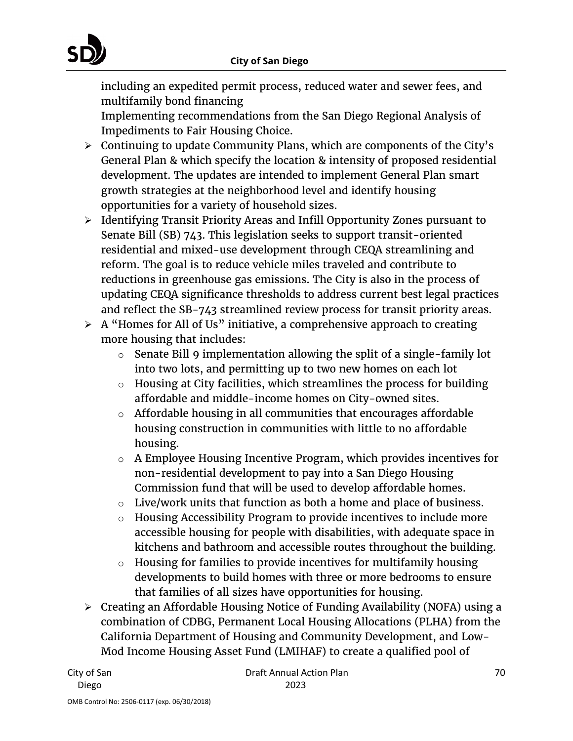including an expedited permit process, reduced water and sewer fees, and multifamily bond financing

Implementing recommendations from the San Diego Regional Analysis of Impediments to Fair Housing Choice.

- $\triangleright$  Continuing to update Community Plans, which are components of the City's General Plan & which specify the location & intensity of proposed residential development. The updates are intended to implement General Plan smart growth strategies at the neighborhood level and identify housing opportunities for a variety of household sizes.
- Identifying Transit Priority Areas and Infill Opportunity Zones pursuant to Senate Bill (SB) 743. This legislation seeks to support transit-oriented residential and mixed-use development through CEQA streamlining and reform. The goal is to reduce vehicle miles traveled and contribute to reductions in greenhouse gas emissions. The City is also in the process of updating CEQA significance thresholds to address current best legal practices and reflect the SB-743 streamlined review process for transit priority areas.
- $\triangleright$  A "Homes for All of Us" initiative, a comprehensive approach to creating more housing that includes:
	- $\circ$  Senate Bill 9 implementation allowing the split of a single-family lot into two lots, and permitting up to two new homes on each lot
	- o Housing at City facilities, which streamlines the process for building affordable and middle-income homes on City-owned sites.
	- $\circ$  Affordable housing in all communities that encourages affordable housing construction in communities with little to no affordable housing.
	- $\circ$  A Employee Housing Incentive Program, which provides incentives for non-residential development to pay into a San Diego Housing Commission fund that will be used to develop affordable homes.
	- $\circ$  Live/work units that function as both a home and place of business.
	- o Housing Accessibility Program to provide incentives to include more accessible housing for people with disabilities, with adequate space in kitchens and bathroom and accessible routes throughout the building.
	- o Housing for families to provide incentives for multifamily housing developments to build homes with three or more bedrooms to ensure that families of all sizes have opportunities for housing.
- Creating an Affordable Housing Notice of Funding Availability (NOFA) using a combination of CDBG, Permanent Local Housing Allocations (PLHA) from the California Department of Housing and Community Development, and Low-Mod Income Housing Asset Fund (LMIHAF) to create a qualified pool of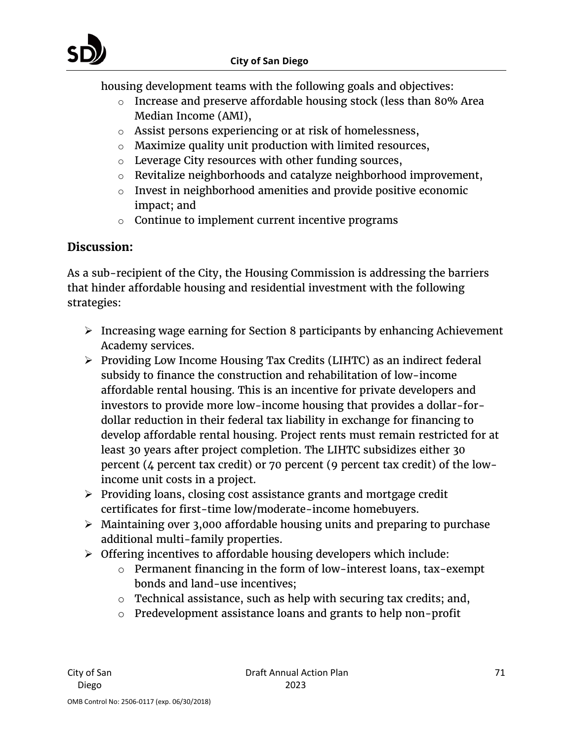housing development teams with the following goals and objectives:

- o Increase and preserve affordable housing stock (less than 80% Area Median Income (AMI),
- o Assist persons experiencing or at risk of homelessness,
- o Maximize quality unit production with limited resources,
- o Leverage City resources with other funding sources,
- o Revitalize neighborhoods and catalyze neighborhood improvement,
- o Invest in neighborhood amenities and provide positive economic impact; and
- $\circ$  Continue to implement current incentive programs

# **Discussion:**

As a sub-recipient of the City, the Housing Commission is addressing the barriers that hinder affordable housing and residential investment with the following strategies:

- $\triangleright$  Increasing wage earning for Section 8 participants by enhancing Achievement Academy services.
- Providing Low Income Housing Tax Credits (LIHTC) as an indirect federal subsidy to finance the construction and rehabilitation of low-income affordable rental housing. This is an incentive for private developers and investors to provide more low-income housing that provides a dollar-fordollar reduction in their federal tax liability in exchange for financing to develop affordable rental housing. Project rents must remain restricted for at least 30 years after project completion. The LIHTC subsidizes either 30 percent (4 percent tax credit) or 70 percent (9 percent tax credit) of the lowincome unit costs in a project.
- $\triangleright$  Providing loans, closing cost assistance grants and mortgage credit certificates for first-time low/moderate-income homebuyers.
- $\triangleright$  Maintaining over 3,000 affordable housing units and preparing to purchase additional multi-family properties.
- $\triangleright$  Offering incentives to affordable housing developers which include:
	- o Permanent financing in the form of low-interest loans, tax-exempt bonds and land-use incentives;
	- $\circ$  Technical assistance, such as help with securing tax credits; and,
	- o Predevelopment assistance loans and grants to help non-profit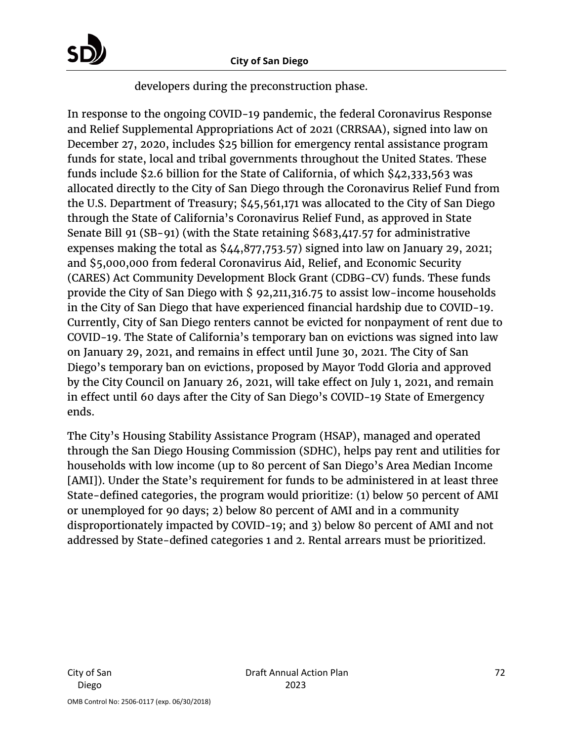

developers during the preconstruction phase.

In response to the ongoing COVID-19 pandemic, the federal Coronavirus Response and Relief Supplemental Appropriations Act of 2021 (CRRSAA), signed into law on December 27, 2020, includes \$25 billion for emergency rental assistance program funds for state, local and tribal governments throughout the United States. These funds include \$2.6 billion for the State of California, of which \$42,333,563 was allocated directly to the City of San Diego through the Coronavirus Relief Fund from the U.S. Department of Treasury; \$45,561,171 was allocated to the City of San Diego through the State of California's Coronavirus Relief Fund, as approved in State Senate Bill 91 (SB-91) (with the State retaining \$683,417.57 for administrative expenses making the total as \$44,877,753.57) signed into law on January 29, 2021; and \$5,000,000 from federal Coronavirus Aid, Relief, and Economic Security (CARES) Act Community Development Block Grant (CDBG-CV) funds. These funds provide the City of San Diego with \$ 92,211,316.75 to assist low-income households in the City of San Diego that have experienced financial hardship due to COVID-19. Currently, City of San Diego renters cannot be evicted for nonpayment of rent due to COVID-19. The State of California's temporary ban on evictions was signed into law on January 29, 2021, and remains in effect until June 30, 2021. The City of San Diego's temporary ban on evictions, proposed by Mayor Todd Gloria and approved by the City Council on January 26, 2021, will take effect on July 1, 2021, and remain in effect until 60 days after the City of San Diego's COVID-19 State of Emergency ends.

The City's Housing Stability Assistance Program (HSAP), managed and operated through the San Diego Housing Commission (SDHC), helps pay rent and utilities for households with low income (up to 80 percent of San Diego's Area Median Income [AMI]). Under the State's requirement for funds to be administered in at least three State-defined categories, the program would prioritize: (1) below 50 percent of AMI or unemployed for 90 days; 2) below 80 percent of AMI and in a community disproportionately impacted by COVID-19; and 3) below 80 percent of AMI and not addressed by State-defined categories 1 and 2. Rental arrears must be prioritized.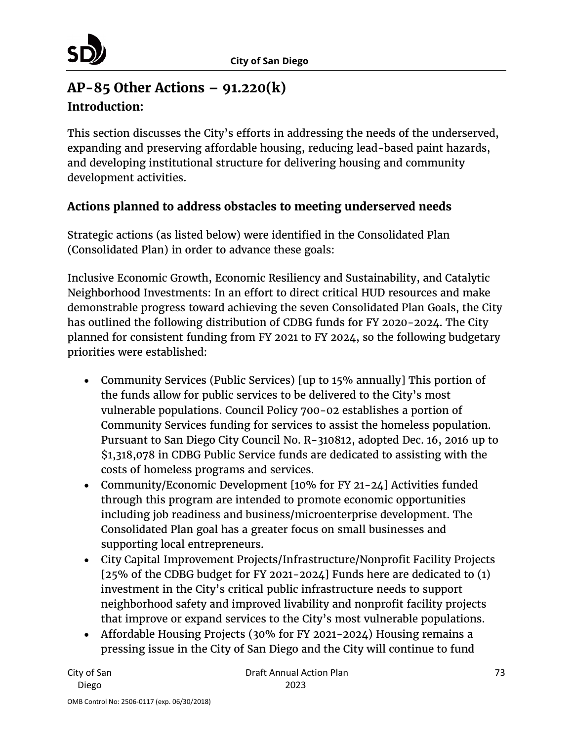# **AP-85 Other Actions – 91.220(k) Introduction:**

This section discusses the City's efforts in addressing the needs of the underserved, expanding and preserving affordable housing, reducing lead-based paint hazards, and developing institutional structure for delivering housing and community development activities.

## **Actions planned to address obstacles to meeting underserved needs**

Strategic actions (as listed below) were identified in the Consolidated Plan (Consolidated Plan) in order to advance these goals:

Inclusive Economic Growth, Economic Resiliency and Sustainability, and Catalytic Neighborhood Investments: In an effort to direct critical HUD resources and make demonstrable progress toward achieving the seven Consolidated Plan Goals, the City has outlined the following distribution of CDBG funds for FY 2020-2024. The City planned for consistent funding from FY 2021 to FY 2024, so the following budgetary priorities were established:

- Community Services (Public Services) [up to 15% annually] This portion of the funds allow for public services to be delivered to the City's most vulnerable populations. Council Policy 700-02 establishes a portion of Community Services funding for services to assist the homeless population. Pursuant to San Diego City Council No. R-310812, adopted Dec. 16, 2016 up to \$1,318,078 in CDBG Public Service funds are dedicated to assisting with the costs of homeless programs and services.
- Community/Economic Development [10% for FY 21-24] Activities funded through this program are intended to promote economic opportunities including job readiness and business/microenterprise development. The Consolidated Plan goal has a greater focus on small businesses and supporting local entrepreneurs.
- City Capital Improvement Projects/Infrastructure/Nonprofit Facility Projects [25% of the CDBG budget for FY 2021-2024] Funds here are dedicated to (1) investment in the City's critical public infrastructure needs to support neighborhood safety and improved livability and nonprofit facility projects that improve or expand services to the City's most vulnerable populations.
- Affordable Housing Projects (30% for FY 2021-2024) Housing remains a pressing issue in the City of San Diego and the City will continue to fund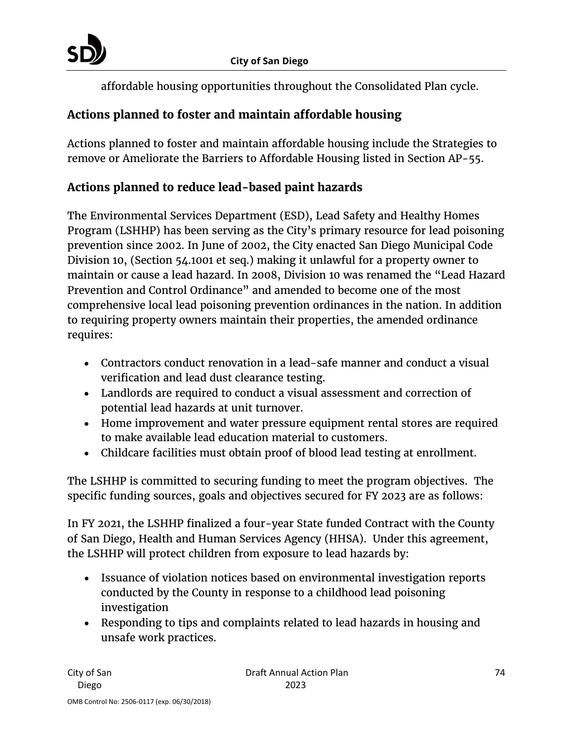affordable housing opportunities throughout the Consolidated Plan cycle.

# **Actions planned to foster and maintain affordable housing**

Actions planned to foster and maintain affordable housing include the Strategies to remove or Ameliorate the Barriers to Affordable Housing listed in Section AP-55.

## **Actions planned to reduce lead-based paint hazards**

The Environmental Services Department (ESD), Lead Safety and Healthy Homes Program (LSHHP) has been serving as the City's primary resource for lead poisoning prevention since 2002. In June of 2002, the City enacted San Diego Municipal Code Division 10, (Section 54.1001 et seq.) making it unlawful for a property owner to maintain or cause a lead hazard. In 2008, Division 10 was renamed the "Lead Hazard Prevention and Control Ordinance" and amended to become one of the most comprehensive local lead poisoning prevention ordinances in the nation. In addition to requiring property owners maintain their properties, the amended ordinance requires:

- Contractors conduct renovation in a lead-safe manner and conduct a visual verification and lead dust clearance testing.
- Landlords are required to conduct a visual assessment and correction of potential lead hazards at unit turnover.
- Home improvement and water pressure equipment rental stores are required to make available lead education material to customers.
- Childcare facilities must obtain proof of blood lead testing at enrollment.

The LSHHP is committed to securing funding to meet the program objectives. The specific funding sources, goals and objectives secured for FY 2023 are as follows:

In FY 2021, the LSHHP finalized a four-year State funded Contract with the County of San Diego, Health and Human Services Agency (HHSA). Under this agreement, the LSHHP will protect children from exposure to lead hazards by:

- Issuance of violation notices based on environmental investigation reports conducted by the County in response to a childhood lead poisoning investigation
- Responding to tips and complaints related to lead hazards in housing and unsafe work practices.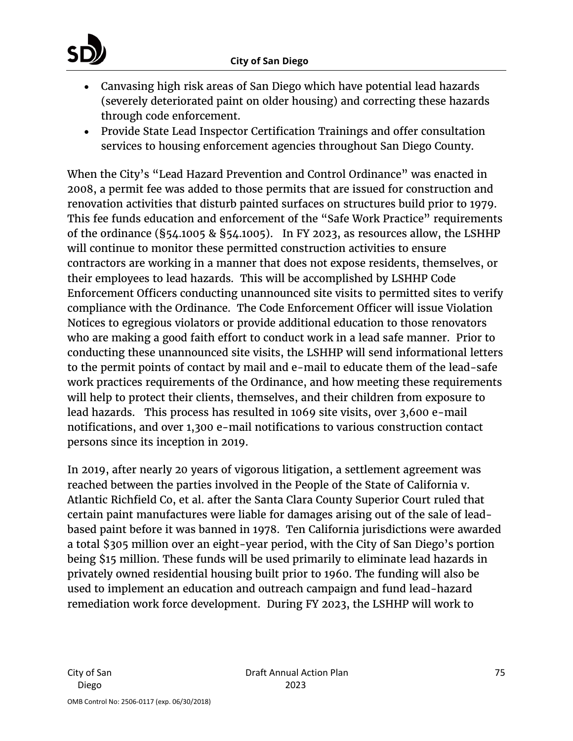

- Canvasing high risk areas of San Diego which have potential lead hazards (severely deteriorated paint on older housing) and correcting these hazards through code enforcement.
- Provide State Lead Inspector Certification Trainings and offer consultation services to housing enforcement agencies throughout San Diego County.

When the City's "Lead Hazard Prevention and Control Ordinance" was enacted in 2008, a permit fee was added to those permits that are issued for construction and renovation activities that disturb painted surfaces on structures build prior to 1979. This fee funds education and enforcement of the "Safe Work Practice" requirements of the ordinance (§54.1005 & §54.1005). In FY 2023, as resources allow, the LSHHP will continue to monitor these permitted construction activities to ensure contractors are working in a manner that does not expose residents, themselves, or their employees to lead hazards. This will be accomplished by LSHHP Code Enforcement Officers conducting unannounced site visits to permitted sites to verify compliance with the Ordinance. The Code Enforcement Officer will issue Violation Notices to egregious violators or provide additional education to those renovators who are making a good faith effort to conduct work in a lead safe manner. Prior to conducting these unannounced site visits, the LSHHP will send informational letters to the permit points of contact by mail and e-mail to educate them of the lead-safe work practices requirements of the Ordinance, and how meeting these requirements will help to protect their clients, themselves, and their children from exposure to lead hazards. This process has resulted in 1069 site visits, over 3,600 e-mail notifications, and over 1,300 e-mail notifications to various construction contact persons since its inception in 2019.

In 2019, after nearly 20 years of vigorous litigation, a settlement agreement was reached between the parties involved in the People of the State of California v. Atlantic Richfield Co, et al. after the Santa Clara County Superior Court ruled that certain paint manufactures were liable for damages arising out of the sale of leadbased paint before it was banned in 1978. Ten California jurisdictions were awarded a total \$305 million over an eight-year period, with the City of San Diego's portion being \$15 million. These funds will be used primarily to eliminate lead hazards in privately owned residential housing built prior to 1960. The funding will also be used to implement an education and outreach campaign and fund lead-hazard remediation work force development. During FY 2023, the LSHHP will work to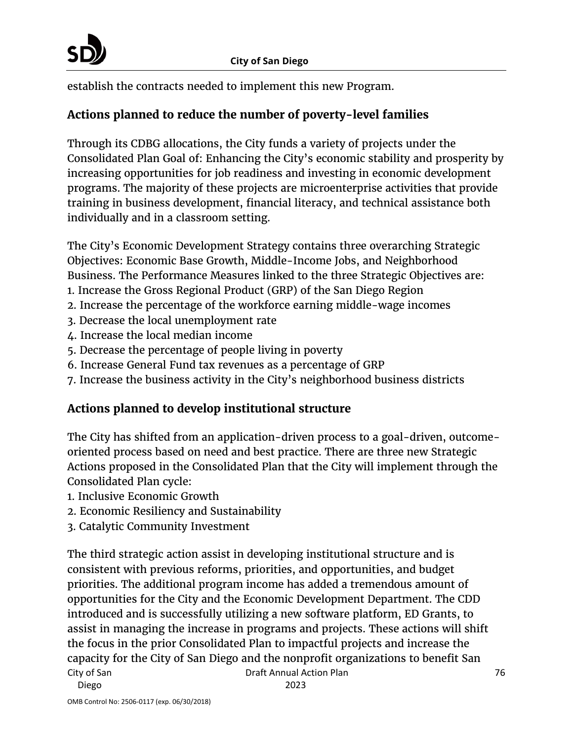establish the contracts needed to implement this new Program.

## **Actions planned to reduce the number of poverty-level families**

Through its CDBG allocations, the City funds a variety of projects under the Consolidated Plan Goal of: Enhancing the City's economic stability and prosperity by increasing opportunities for job readiness and investing in economic development programs. The majority of these projects are microenterprise activities that provide training in business development, financial literacy, and technical assistance both individually and in a classroom setting.

The City's Economic Development Strategy contains three overarching Strategic Objectives: Economic Base Growth, Middle-Income Jobs, and Neighborhood Business. The Performance Measures linked to the three Strategic Objectives are:

- 1. Increase the Gross Regional Product (GRP) of the San Diego Region
- 2. Increase the percentage of the workforce earning middle-wage incomes
- 3. Decrease the local unemployment rate
- 4. Increase the local median income
- 5. Decrease the percentage of people living in poverty
- 6. Increase General Fund tax revenues as a percentage of GRP
- 7. Increase the business activity in the City's neighborhood business districts

# **Actions planned to develop institutional structure**

The City has shifted from an application-driven process to a goal-driven, outcomeoriented process based on need and best practice. There are three new Strategic Actions proposed in the Consolidated Plan that the City will implement through the Consolidated Plan cycle:

- 1. Inclusive Economic Growth
- 2. Economic Resiliency and Sustainability
- 3. Catalytic Community Investment

City of San Draft Annual Action Plan The third strategic action assist in developing institutional structure and is consistent with previous reforms, priorities, and opportunities, and budget priorities. The additional program income has added a tremendous amount of opportunities for the City and the Economic Development Department. The CDD introduced and is successfully utilizing a new software platform, ED Grants, to assist in managing the increase in programs and projects. These actions will shift the focus in the prior Consolidated Plan to impactful projects and increase the capacity for the City of San Diego and the nonprofit organizations to benefit San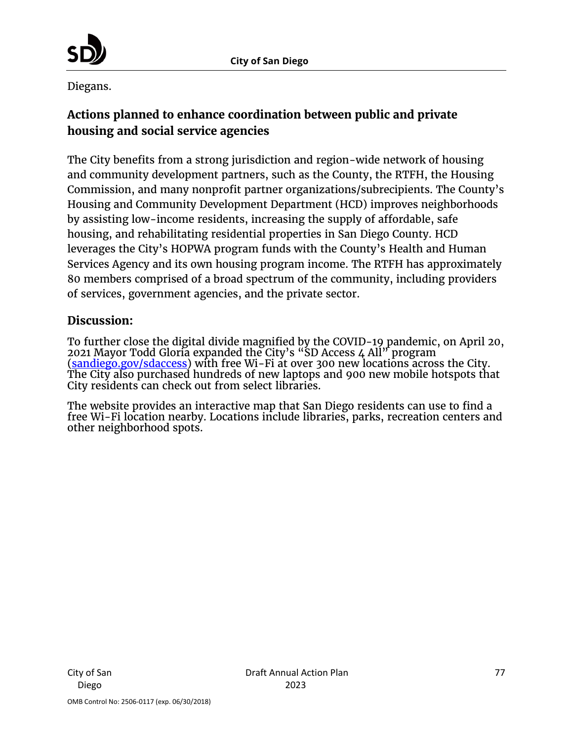

Diegans.

# **Actions planned to enhance coordination between public and private housing and social service agencies**

The City benefits from a strong jurisdiction and region-wide network of housing and community development partners, such as the County, the RTFH, the Housing Commission, and many nonprofit partner organizations/subrecipients. The County's Housing and Community Development Department (HCD) improves neighborhoods by assisting low-income residents, increasing the supply of affordable, safe housing, and rehabilitating residential properties in San Diego County. HCD leverages the City's HOPWA program funds with the County's Health and Human Services Agency and its own housing program income. The RTFH has approximately 80 members comprised of a broad spectrum of the community, including providers of services, government agencies, and the private sector.

### **Discussion:**

To further close the digital divide magnified by the COVID-19 pandemic, on April 20, 2021 Mayor Todd Gloria expanded the City's "SD Access 4 All" program [\(sandiego.gov/sdaccess\)](https://www.sandiego.gov/sdaccess) with free Wi-Fi at over 300 new locations across the City. The City also purchased hundreds of new laptops and 900 new mobile hotspots that City residents can check out from select libraries.

The website provides an interactive map that San Diego residents can use to find a free Wi-Fi location nearby. Locations include libraries, parks, recreation centers and other neighborhood spots.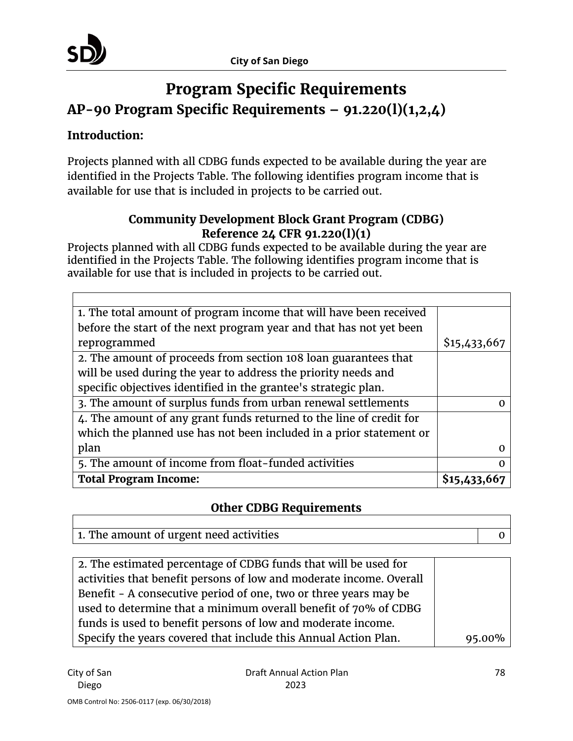

# **Program Specific Requirements AP-90 Program Specific Requirements – 91.220(l)(1,2,4)**

## **Introduction:**

Projects planned with all CDBG funds expected to be available during the year are identified in the Projects Table. The following identifies program income that is available for use that is included in projects to be carried out.

## **Community Development Block Grant Program (CDBG) Reference 24 CFR 91.220(l)(1)**

Projects planned with all CDBG funds expected to be available during the year are identified in the Projects Table. The following identifies program income that is available for use that is included in projects to be carried out.

| 1. The total amount of program income that will have been received  |              |
|---------------------------------------------------------------------|--------------|
| before the start of the next program year and that has not yet been |              |
| reprogrammed                                                        | \$15,433,667 |
| 2. The amount of proceeds from section 108 loan guarantees that     |              |
| will be used during the year to address the priority needs and      |              |
| specific objectives identified in the grantee's strategic plan.     |              |
| 3. The amount of surplus funds from urban renewal settlements       |              |
| 4. The amount of any grant funds returned to the line of credit for |              |
| which the planned use has not been included in a prior statement or |              |
| plan                                                                |              |
| 5. The amount of income from float-funded activities                |              |
| <b>Total Program Income:</b>                                        | \$15,43      |

## **Other CDBG Requirements**

| 1. The amount of urgent need activities |  |
|-----------------------------------------|--|

| 2. The estimated percentage of CDBG funds that will be used for     |        |
|---------------------------------------------------------------------|--------|
| activities that benefit persons of low and moderate income. Overall |        |
| Benefit - A consecutive period of one, two or three years may be    |        |
| used to determine that a minimum overall benefit of 70% of CDBG     |        |
| funds is used to benefit persons of low and moderate income.        |        |
| Specify the years covered that include this Annual Action Plan.     | 95.00% |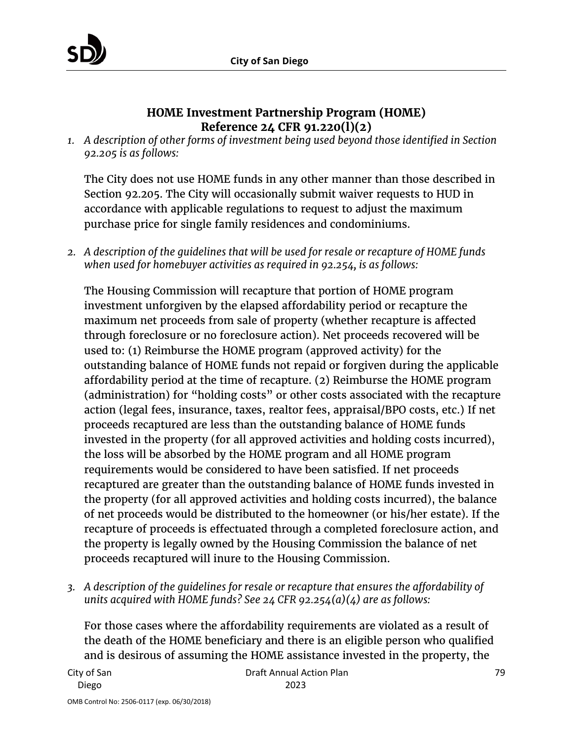

#### **HOME Investment Partnership Program (HOME) Reference 24 CFR 91.220(l)(2)**

*1. A description of other forms of investment being used beyond those identified in Section 92.205 is as follows:*

The City does not use HOME funds in any other manner than those described in Section 92.205. The City will occasionally submit waiver requests to HUD in accordance with applicable regulations to request to adjust the maximum purchase price for single family residences and condominiums.

*2. A description of the guidelines that will be used for resale or recapture of HOME funds when used for homebuyer activities as required in 92.254, is as follows:*

The Housing Commission will recapture that portion of HOME program investment unforgiven by the elapsed affordability period or recapture the maximum net proceeds from sale of property (whether recapture is affected through foreclosure or no foreclosure action). Net proceeds recovered will be used to: (1) Reimburse the HOME program (approved activity) for the outstanding balance of HOME funds not repaid or forgiven during the applicable affordability period at the time of recapture. (2) Reimburse the HOME program (administration) for "holding costs" or other costs associated with the recapture action (legal fees, insurance, taxes, realtor fees, appraisal/BPO costs, etc.) If net proceeds recaptured are less than the outstanding balance of HOME funds invested in the property (for all approved activities and holding costs incurred), the loss will be absorbed by the HOME program and all HOME program requirements would be considered to have been satisfied. If net proceeds recaptured are greater than the outstanding balance of HOME funds invested in the property (for all approved activities and holding costs incurred), the balance of net proceeds would be distributed to the homeowner (or his/her estate). If the recapture of proceeds is effectuated through a completed foreclosure action, and the property is legally owned by the Housing Commission the balance of net proceeds recaptured will inure to the Housing Commission.

*3. A description of the guidelines for resale or recapture that ensures the affordability of units acquired with HOME funds? See 24 CFR 92.254(a)(4) are as follows:*

For those cases where the affordability requirements are violated as a result of the death of the HOME beneficiary and there is an eligible person who qualified and is desirous of assuming the HOME assistance invested in the property, the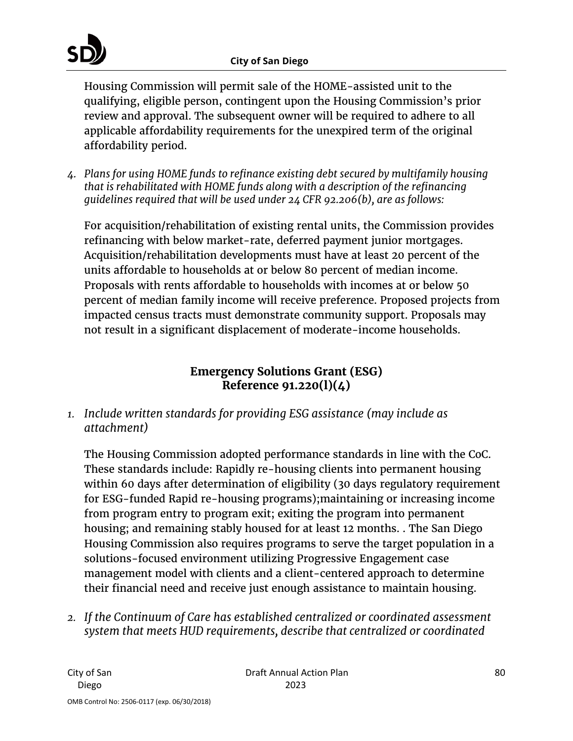Housing Commission will permit sale of the HOME-assisted unit to the qualifying, eligible person, contingent upon the Housing Commission's prior review and approval. The subsequent owner will be required to adhere to all applicable affordability requirements for the unexpired term of the original affordability period.

*4. Plans for using HOME funds to refinance existing debt secured by multifamily housing that is rehabilitated with HOME funds along with a description of the refinancing guidelines required that will be used under 24 CFR 92.206(b), are as follows:*

For acquisition/rehabilitation of existing rental units, the Commission provides refinancing with below market-rate, deferred payment junior mortgages. Acquisition/rehabilitation developments must have at least 20 percent of the units affordable to households at or below 80 percent of median income. Proposals with rents affordable to households with incomes at or below 50 percent of median family income will receive preference. Proposed projects from impacted census tracts must demonstrate community support. Proposals may not result in a significant displacement of moderate-income households.

## **Emergency Solutions Grant (ESG) Reference 91.220(l)(4)**

*1. Include written standards for providing ESG assistance (may include as attachment)*

The Housing Commission adopted performance standards in line with the CoC. These standards include: Rapidly re-housing clients into permanent housing within 60 days after determination of eligibility (30 days regulatory requirement for ESG-funded Rapid re-housing programs);maintaining or increasing income from program entry to program exit; exiting the program into permanent housing; and remaining stably housed for at least 12 months. . The San Diego Housing Commission also requires programs to serve the target population in a solutions-focused environment utilizing Progressive Engagement case management model with clients and a client-centered approach to determine their financial need and receive just enough assistance to maintain housing.

*2. If the Continuum of Care has established centralized or coordinated assessment system that meets HUD requirements, describe that centralized or coordinated*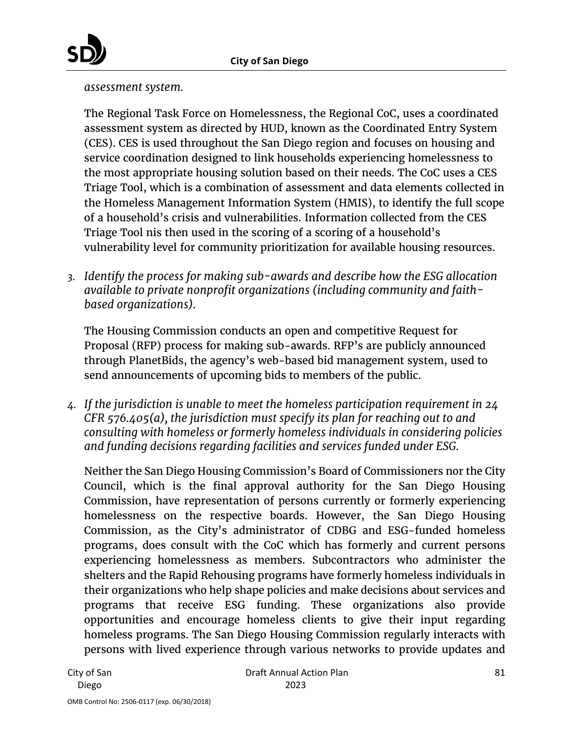

*assessment system.*

The Regional Task Force on Homelessness, the Regional CoC, uses a coordinated assessment system as directed by HUD, known as the Coordinated Entry System (CES). CES is used throughout the San Diego region and focuses on housing and service coordination designed to link households experiencing homelessness to the most appropriate housing solution based on their needs. The CoC uses a CES Triage Tool, which is a combination of assessment and data elements collected in the Homeless Management Information System (HMIS), to identify the full scope of a household's crisis and vulnerabilities. Information collected from the CES Triage Tool nis then used in the scoring of a scoring of a household's vulnerability level for community prioritization for available housing resources.

*3. Identify the process for making sub-awards and describe how the ESG allocation available to private nonprofit organizations (including community and faithbased organizations).*

The Housing Commission conducts an open and competitive Request for Proposal (RFP) process for making sub-awards. RFP's are publicly announced through PlanetBids, the agency's web-based bid management system, used to send announcements of upcoming bids to members of the public.

*4. If the jurisdiction is unable to meet the homeless participation requirement in 24 CFR 576.405(a), the jurisdiction must specify its plan for reaching out to and consulting with homeless or formerly homeless individuals in considering policies and funding decisions regarding facilities and services funded under ESG.*

Neither the San Diego Housing Commission's Board of Commissioners nor the City Council, which is the final approval authority for the San Diego Housing Commission, have representation of persons currently or formerly experiencing homelessness on the respective boards. However, the San Diego Housing Commission, as the City's administrator of CDBG and ESG-funded homeless programs, does consult with the CoC which has formerly and current persons experiencing homelessness as members. Subcontractors who administer the shelters and the Rapid Rehousing programs have formerly homeless individuals in their organizations who help shape policies and make decisions about services and programs that receive ESG funding. These organizations also provide opportunities and encourage homeless clients to give their input regarding homeless programs. The San Diego Housing Commission regularly interacts with persons with lived experience through various networks to provide updates and